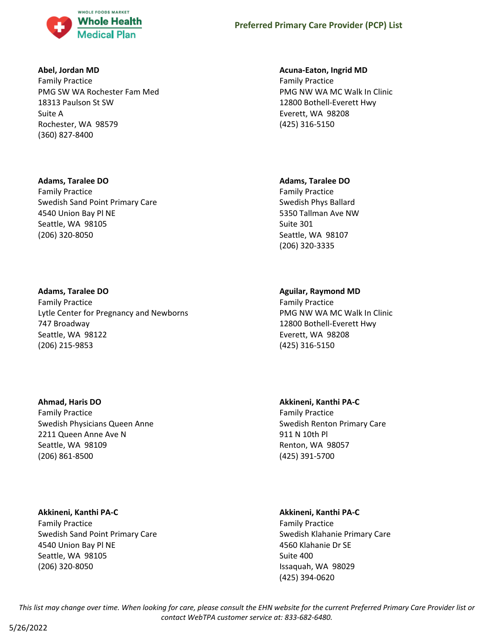

### **Abel, Jordan MD**

Family Practice PMG SW WA Rochester Fam Med 18313 Paulson St SW Suite A Rochester, WA 98579 (360) 827-8400

# **Adams, Taralee DO**

Family Practice Swedish Sand Point Primary Care 4540 Union Bay Pl NE Seattle, WA 98105 (206) 320-8050

# **Adams, Taralee DO**

Family Practice Lytle Center for Pregnancy and Newborns 747 Broadway Seattle, WA 98122 (206) 215-9853

# **Ahmad, Haris DO**

Family Practice Swedish Physicians Queen Anne 2211 Queen Anne Ave N Seattle, WA 98109 (206) 861-8500

# **Akkineni, Kanthi PA-C**

Family Practice Swedish Sand Point Primary Care 4540 Union Bay Pl NE Seattle, WA 98105 (206) 320-8050

# **Acuna-Eaton, Ingrid MD**

Family Practice PMG NW WA MC Walk In Clinic 12800 Bothell-Everett Hwy Everett, WA 98208 (425) 316-5150

# **Adams, Taralee DO**

Family Practice Swedish Phys Ballard 5350 Tallman Ave NW Suite 301 Seattle, WA 98107 (206) 320-3335

# **Aguilar, Raymond MD**

Family Practice PMG NW WA MC Walk In Clinic 12800 Bothell-Everett Hwy Everett, WA 98208 (425) 316-5150

# **Akkineni, Kanthi PA-C** Family Practice Swedish Renton Primary Care 911 N 10th Pl Renton, WA 98057 (425) 391-5700

# **Akkineni, Kanthi PA-C**

Family Practice Swedish Klahanie Primary Care 4560 Klahanie Dr SE Suite 400 Issaquah, WA 98029 (425) 394-0620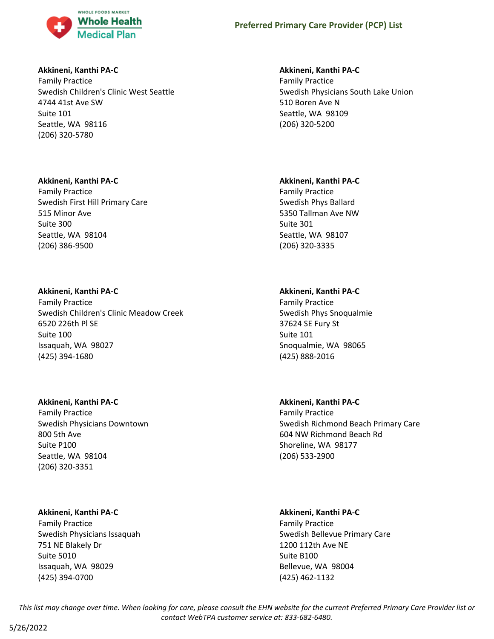

# **Akkineni, Kanthi PA-C**

Family Practice Swedish Children's Clinic West Seattle 4744 41st Ave SW Suite 101 Seattle, WA 98116 (206) 320-5780

# **Akkineni, Kanthi PA-C**

Family Practice Swedish First Hill Primary Care 515 Minor Ave Suite 300 Seattle, WA 98104 (206) 386-9500

# **Akkineni, Kanthi PA-C**

Family Practice Swedish Children's Clinic Meadow Creek 6520 226th Pl SE Suite 100 Issaquah, WA 98027 (425) 394-1680

### **Akkineni, Kanthi PA-C**

Family Practice Swedish Physicians Downtown 800 5th Ave Suite P100 Seattle, WA 98104 (206) 320-3351

# **Akkineni, Kanthi PA-C**

Family Practice Swedish Physicians Issaquah 751 NE Blakely Dr Suite 5010 Issaquah, WA 98029 (425) 394-0700

# **Akkineni, Kanthi PA-C**

Family Practice Swedish Physicians South Lake Union 510 Boren Ave N Seattle, WA 98109 (206) 320-5200

# **Akkineni, Kanthi PA-C**

Family Practice Swedish Phys Ballard 5350 Tallman Ave NW Suite 301 Seattle, WA 98107 (206) 320-3335

# **Akkineni, Kanthi PA-C**

Family Practice Swedish Phys Snoqualmie 37624 SE Fury St Suite 101 Snoqualmie, WA 98065 (425) 888-2016

# **Akkineni, Kanthi PA-C**

Family Practice Swedish Richmond Beach Primary Care 604 NW Richmond Beach Rd Shoreline, WA 98177 (206) 533-2900

# **Akkineni, Kanthi PA-C**

Family Practice Swedish Bellevue Primary Care 1200 112th Ave NE Suite B100 Bellevue, WA 98004 (425) 462-1132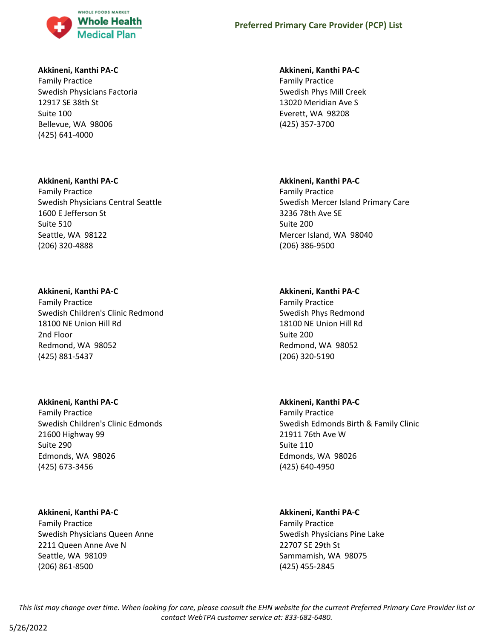

### **Akkineni, Kanthi PA-C**

Family Practice Swedish Physicians Factoria 12917 SE 38th St Suite 100 Bellevue, WA 98006 (425) 641-4000

### **Akkineni, Kanthi PA-C**

Family Practice Swedish Physicians Central Seattle 1600 E Jefferson St Suite 510 Seattle, WA 98122 (206) 320-4888

### **Akkineni, Kanthi PA-C**

Family Practice Swedish Children's Clinic Redmond 18100 NE Union Hill Rd 2nd Floor Redmond, WA 98052 (425) 881-5437

#### **Akkineni, Kanthi PA-C**

Family Practice Swedish Children's Clinic Edmonds 21600 Highway 99 Suite 290 Edmonds, WA 98026 (425) 673-3456

### **Akkineni, Kanthi PA-C**

Family Practice Swedish Physicians Queen Anne 2211 Queen Anne Ave N Seattle, WA 98109 (206) 861-8500

#### **Akkineni, Kanthi PA-C**

Family Practice Swedish Phys Mill Creek 13020 Meridian Ave S Everett, WA 98208 (425) 357-3700

### **Akkineni, Kanthi PA-C**

Family Practice Swedish Mercer Island Primary Care 3236 78th Ave SE Suite 200 Mercer Island, WA 98040 (206) 386-9500

# **Akkineni, Kanthi PA-C**

Family Practice Swedish Phys Redmond 18100 NE Union Hill Rd Suite 200 Redmond, WA 98052 (206) 320-5190

### **Akkineni, Kanthi PA-C**

Family Practice Swedish Edmonds Birth & Family Clinic 21911 76th Ave W Suite 110 Edmonds, WA 98026 (425) 640-4950

### **Akkineni, Kanthi PA-C**

Family Practice Swedish Physicians Pine Lake 22707 SE 29th St Sammamish, WA 98075 (425) 455-2845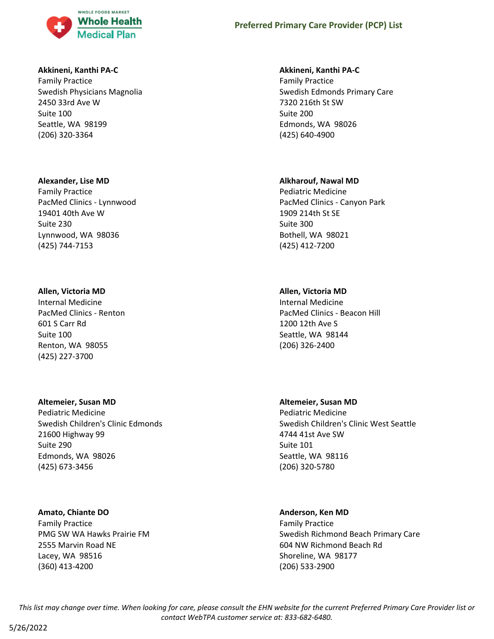

### **Akkineni, Kanthi PA-C**

Family Practice Swedish Physicians Magnolia 2450 33rd Ave W Suite 100 Seattle, WA 98199 (206) 320-3364

#### **Alexander, Lise MD**

Family Practice PacMed Clinics - Lynnwood 19401 40th Ave W Suite 230 Lynnwood, WA 98036 (425) 744-7153

#### **Allen, Victoria MD**

Internal Medicine PacMed Clinics - Renton 601 S Carr Rd Suite 100 Renton, WA 98055 (425) 227-3700

#### **Altemeier, Susan MD**

Pediatric Medicine Swedish Children's Clinic Edmonds 21600 Highway 99 Suite 290 Edmonds, WA 98026 (425) 673-3456

#### **Amato, Chiante DO**

Family Practice PMG SW WA Hawks Prairie FM 2555 Marvin Road NE Lacey, WA 98516 (360) 413-4200

#### **Akkineni, Kanthi PA-C**

Family Practice Swedish Edmonds Primary Care 7320 216th St SW Suite 200 Edmonds, WA 98026 (425) 640-4900

#### **Alkharouf, Nawal MD**

Pediatric Medicine PacMed Clinics - Canyon Park 1909 214th St SE Suite 300 Bothell, WA 98021 (425) 412-7200

#### **Allen, Victoria MD**

Internal Medicine PacMed Clinics - Beacon Hill 1200 12th Ave S Seattle, WA 98144 (206) 326-2400

### **Altemeier, Susan MD**

Pediatric Medicine Swedish Children's Clinic West Seattle 4744 41st Ave SW Suite 101 Seattle, WA 98116 (206) 320-5780

### **Anderson, Ken MD**

Family Practice Swedish Richmond Beach Primary Care 604 NW Richmond Beach Rd Shoreline, WA 98177 (206) 533-2900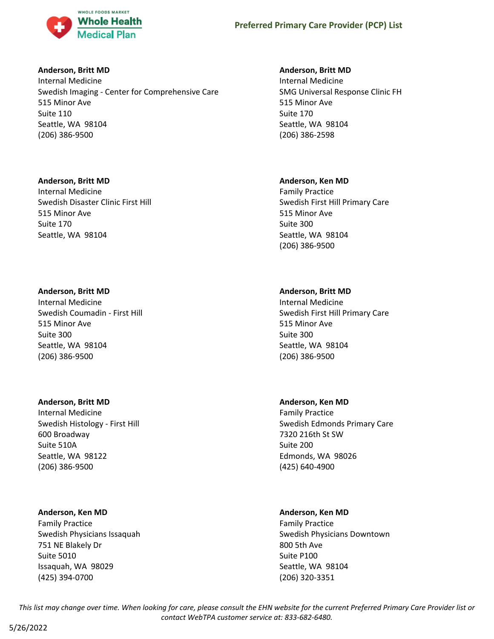

### **Anderson, Britt MD**

Internal Medicine Swedish Imaging - Center for Comprehensive Care 515 Minor Ave Suite 110 Seattle, WA 98104 (206) 386-9500

# **Anderson, Britt MD**

Internal Medicine Swedish Disaster Clinic First Hill 515 Minor Ave Suite 170 Seattle, WA 98104

# **Anderson, Britt MD**

Internal Medicine Swedish Coumadin - First Hill 515 Minor Ave Suite 300 Seattle, WA 98104 (206) 386-9500

### **Anderson, Britt MD**

Internal Medicine Swedish Histology - First Hill 600 Broadway Suite 510A Seattle, WA 98122 (206) 386-9500

### **Anderson, Ken MD**

Family Practice Swedish Physicians Issaquah 751 NE Blakely Dr Suite 5010 Issaquah, WA 98029 (425) 394-0700

# **Anderson, Britt MD**

Internal Medicine SMG Universal Response Clinic FH 515 Minor Ave Suite 170 Seattle, WA 98104 (206) 386-2598

# **Anderson, Ken MD**

Family Practice Swedish First Hill Primary Care 515 Minor Ave Suite 300 Seattle, WA 98104 (206) 386-9500

# **Anderson, Britt MD**

Internal Medicine Swedish First Hill Primary Care 515 Minor Ave Suite 300 Seattle, WA 98104 (206) 386-9500

# **Anderson, Ken MD**

Family Practice Swedish Edmonds Primary Care 7320 216th St SW Suite 200 Edmonds, WA 98026 (425) 640-4900

# **Anderson, Ken MD**

Family Practice Swedish Physicians Downtown 800 5th Ave Suite P100 Seattle, WA 98104 (206) 320-3351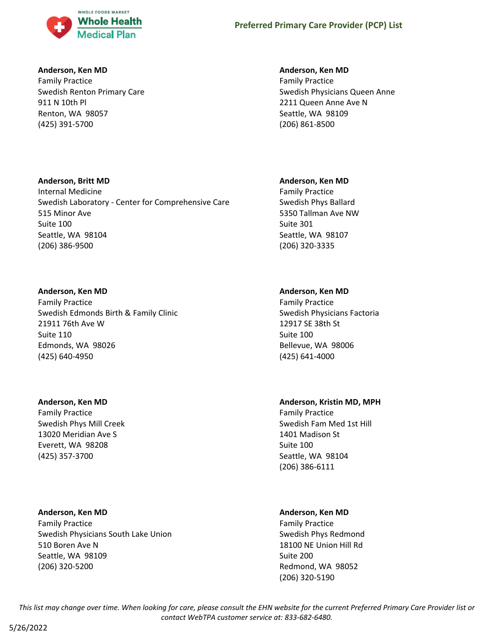

### **Anderson, Ken MD**

Family Practice Swedish Renton Primary Care 911 N 10th Pl Renton, WA 98057 (425) 391-5700

### **Anderson, Britt MD**

Internal Medicine Swedish Laboratory - Center for Comprehensive Care 515 Minor Ave Suite 100 Seattle, WA 98104 (206) 386-9500

#### **Anderson, Ken MD**

Family Practice Swedish Edmonds Birth & Family Clinic 21911 76th Ave W Suite 110 Edmonds, WA 98026 (425) 640-4950

### **Anderson, Ken MD**

Family Practice Swedish Phys Mill Creek 13020 Meridian Ave S Everett, WA 98208 (425) 357-3700

# **Anderson, Ken MD** Family Practice Swedish Physicians South Lake Union 510 Boren Ave N Seattle, WA 98109 (206) 320-5200

### **Anderson, Ken MD**

Family Practice Swedish Physicians Queen Anne 2211 Queen Anne Ave N Seattle, WA 98109 (206) 861-8500

#### **Anderson, Ken MD**

Family Practice Swedish Phys Ballard 5350 Tallman Ave NW Suite 301 Seattle, WA 98107 (206) 320-3335

# **Anderson, Ken MD**

Family Practice Swedish Physicians Factoria 12917 SE 38th St Suite 100 Bellevue, WA 98006 (425) 641-4000

# **Anderson, Kristin MD, MPH**

Family Practice Swedish Fam Med 1st Hill 1401 Madison St Suite 100 Seattle, WA 98104 (206) 386-6111

### **Anderson, Ken MD**

Family Practice Swedish Phys Redmond 18100 NE Union Hill Rd Suite 200 Redmond, WA 98052 (206) 320-5190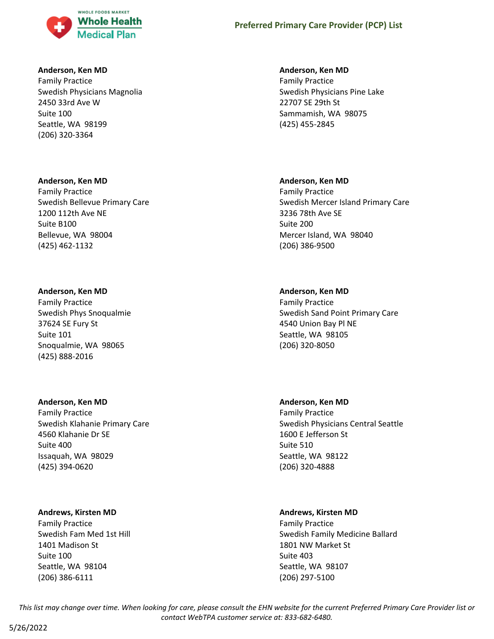

#### **Anderson, Ken MD**

Family Practice Swedish Physicians Magnolia 2450 33rd Ave W Suite 100 Seattle, WA 98199 (206) 320-3364

#### **Anderson, Ken MD**

Family Practice Swedish Bellevue Primary Care 1200 112th Ave NE Suite B100 Bellevue, WA 98004 (425) 462-1132

#### **Anderson, Ken MD**

Family Practice Swedish Phys Snoqualmie 37624 SE Fury St Suite 101 Snoqualmie, WA 98065 (425) 888-2016

### **Anderson, Ken MD**

Family Practice Swedish Klahanie Primary Care 4560 Klahanie Dr SE Suite 400 Issaquah, WA 98029 (425) 394-0620

### **Andrews, Kirsten MD**

Family Practice Swedish Fam Med 1st Hill 1401 Madison St Suite 100 Seattle, WA 98104 (206) 386-6111

#### **Anderson, Ken MD**

Family Practice Swedish Physicians Pine Lake 22707 SE 29th St Sammamish, WA 98075 (425) 455-2845

### **Anderson, Ken MD**

Family Practice Swedish Mercer Island Primary Care 3236 78th Ave SE Suite 200 Mercer Island, WA 98040 (206) 386-9500

### **Anderson, Ken MD**

Family Practice Swedish Sand Point Primary Care 4540 Union Bay Pl NE Seattle, WA 98105 (206) 320-8050

### **Anderson, Ken MD**

Family Practice Swedish Physicians Central Seattle 1600 E Jefferson St Suite 510 Seattle, WA 98122 (206) 320-4888

### **Andrews, Kirsten MD**

Family Practice Swedish Family Medicine Ballard 1801 NW Market St Suite 403 Seattle, WA 98107 (206) 297-5100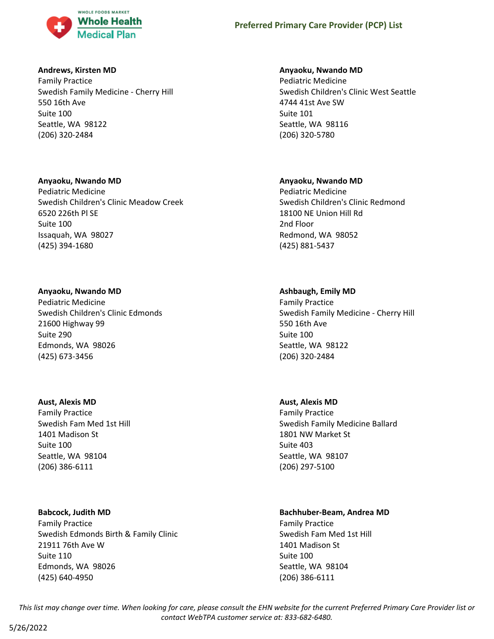

### **Andrews, Kirsten MD**

Family Practice Swedish Family Medicine - Cherry Hill 550 16th Ave Suite 100 Seattle, WA 98122 (206) 320-2484

# **Anyaoku, Nwando MD**

Pediatric Medicine Swedish Children's Clinic Meadow Creek 6520 226th Pl SE Suite 100 Issaquah, WA 98027 (425) 394-1680

# **Anyaoku, Nwando MD**

Pediatric Medicine Swedish Children's Clinic Edmonds 21600 Highway 99 Suite 290 Edmonds, WA 98026 (425) 673-3456

### **Aust, Alexis MD**

Family Practice Swedish Fam Med 1st Hill 1401 Madison St Suite 100 Seattle, WA 98104 (206) 386-6111

# **Babcock, Judith MD**

Family Practice Swedish Edmonds Birth & Family Clinic 21911 76th Ave W Suite 110 Edmonds, WA 98026 (425) 640-4950

# **Anyaoku, Nwando MD**

Pediatric Medicine Swedish Children's Clinic West Seattle 4744 41st Ave SW Suite 101 Seattle, WA 98116 (206) 320-5780

# **Anyaoku, Nwando MD**

Pediatric Medicine Swedish Children's Clinic Redmond 18100 NE Union Hill Rd 2nd Floor Redmond, WA 98052 (425) 881-5437

# **Ashbaugh, Emily MD**

Family Practice Swedish Family Medicine - Cherry Hill 550 16th Ave Suite 100 Seattle, WA 98122 (206) 320-2484

# **Aust, Alexis MD**

Family Practice Swedish Family Medicine Ballard 1801 NW Market St Suite 403 Seattle, WA 98107 (206) 297-5100

# **Bachhuber-Beam, Andrea MD**

Family Practice Swedish Fam Med 1st Hill 1401 Madison St Suite 100 Seattle, WA 98104 (206) 386-6111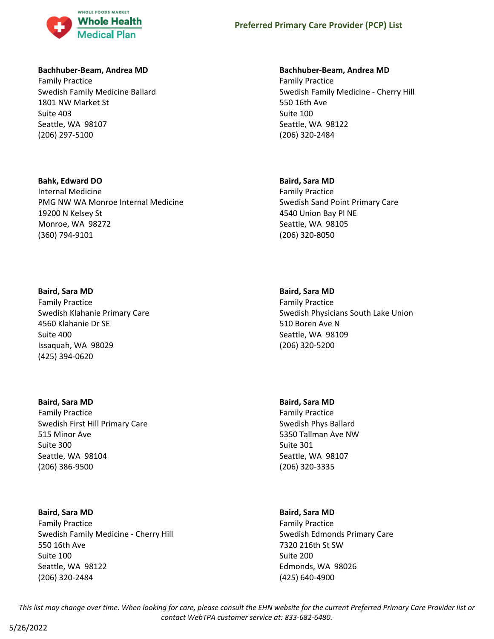

### **Bachhuber-Beam, Andrea MD**

Family Practice Swedish Family Medicine Ballard 1801 NW Market St Suite 403 Seattle, WA 98107 (206) 297-5100

### **Bahk, Edward DO**

Internal Medicine PMG NW WA Monroe Internal Medicine 19200 N Kelsey St Monroe, WA 98272 (360) 794-9101

### **Baird, Sara MD**

Family Practice Swedish Klahanie Primary Care 4560 Klahanie Dr SE Suite 400 Issaquah, WA 98029 (425) 394-0620

### **Baird, Sara MD**

Family Practice Swedish First Hill Primary Care 515 Minor Ave Suite 300 Seattle, WA 98104 (206) 386-9500

### **Baird, Sara MD**

Family Practice Swedish Family Medicine - Cherry Hill 550 16th Ave Suite 100 Seattle, WA 98122 (206) 320-2484

# **Bachhuber-Beam, Andrea MD**

Family Practice Swedish Family Medicine - Cherry Hill 550 16th Ave Suite 100 Seattle, WA 98122 (206) 320-2484

### **Baird, Sara MD**

Family Practice Swedish Sand Point Primary Care 4540 Union Bay Pl NE Seattle, WA 98105 (206) 320-8050

# **Baird, Sara MD**

Family Practice Swedish Physicians South Lake Union 510 Boren Ave N Seattle, WA 98109 (206) 320-5200

# **Baird, Sara MD**

Family Practice Swedish Phys Ballard 5350 Tallman Ave NW Suite 301 Seattle, WA 98107 (206) 320-3335

### **Baird, Sara MD**

Family Practice Swedish Edmonds Primary Care 7320 216th St SW Suite 200 Edmonds, WA 98026 (425) 640-4900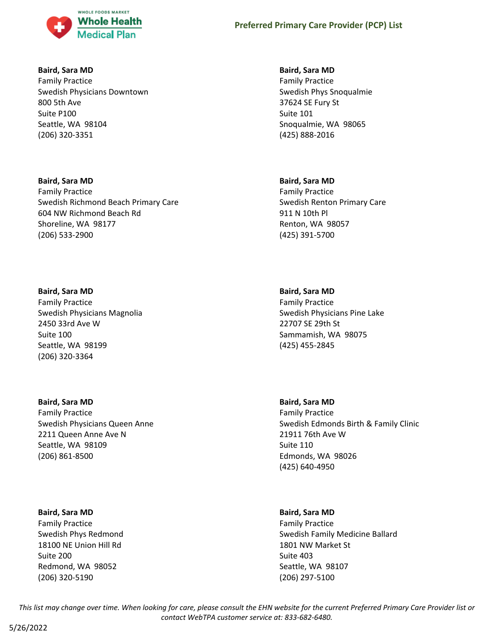

### **Baird, Sara MD**

Family Practice Swedish Physicians Downtown 800 5th Ave Suite P100 Seattle, WA 98104 (206) 320-3351

# **Baird, Sara MD** Family Practice Swedish Richmond Beach Primary Care 604 NW Richmond Beach Rd Shoreline, WA 98177 (206) 533-2900

# **Baird, Sara MD**

Family Practice Swedish Physicians Magnolia 2450 33rd Ave W Suite 100 Seattle, WA 98199 (206) 320-3364

### **Baird, Sara MD**

Family Practice Swedish Physicians Queen Anne 2211 Queen Anne Ave N Seattle, WA 98109 (206) 861-8500

### **Baird, Sara MD**

Family Practice Swedish Phys Redmond 18100 NE Union Hill Rd Suite 200 Redmond, WA 98052 (206) 320-5190

### **Baird, Sara MD**

Family Practice Swedish Phys Snoqualmie 37624 SE Fury St Suite 101 Snoqualmie, WA 98065 (425) 888-2016

# **Baird, Sara MD**

Family Practice Swedish Renton Primary Care 911 N 10th Pl Renton, WA 98057 (425) 391-5700

# **Baird, Sara MD**

Family Practice Swedish Physicians Pine Lake 22707 SE 29th St Sammamish, WA 98075 (425) 455-2845

### **Baird, Sara MD**

Family Practice Swedish Edmonds Birth & Family Clinic 21911 76th Ave W Suite 110 Edmonds, WA 98026 (425) 640-4950

# **Baird, Sara MD**

Family Practice Swedish Family Medicine Ballard 1801 NW Market St Suite 403 Seattle, WA 98107 (206) 297-5100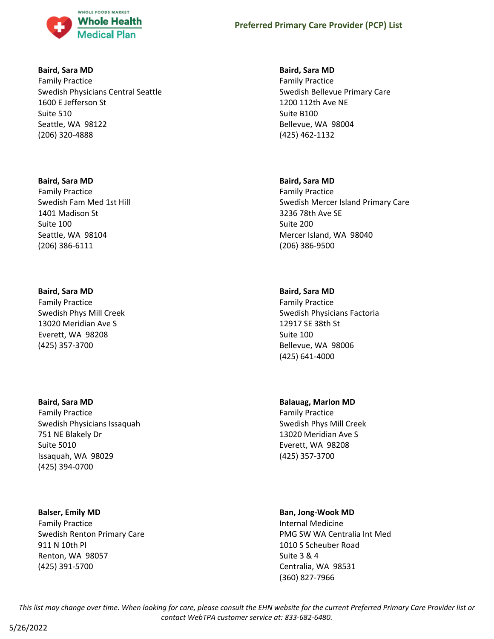

### **Baird, Sara MD**

Family Practice Swedish Physicians Central Seattle 1600 E Jefferson St Suite 510 Seattle, WA 98122 (206) 320-4888

#### **Baird, Sara MD**

Family Practice Swedish Fam Med 1st Hill 1401 Madison St Suite 100 Seattle, WA 98104 (206) 386-6111

### **Baird, Sara MD**

Family Practice Swedish Phys Mill Creek 13020 Meridian Ave S Everett, WA 98208 (425) 357-3700

### **Baird, Sara MD**

Family Practice Swedish Physicians Issaquah 751 NE Blakely Dr Suite 5010 Issaquah, WA 98029 (425) 394-0700

### **Balser, Emily MD**

Family Practice Swedish Renton Primary Care 911 N 10th Pl Renton, WA 98057 (425) 391-5700

### **Baird, Sara MD**

Family Practice Swedish Bellevue Primary Care 1200 112th Ave NE Suite B100 Bellevue, WA 98004 (425) 462-1132

#### **Baird, Sara MD**

Family Practice Swedish Mercer Island Primary Care 3236 78th Ave SE Suite 200 Mercer Island, WA 98040 (206) 386-9500

# **Baird, Sara MD**

Family Practice Swedish Physicians Factoria 12917 SE 38th St Suite 100 Bellevue, WA 98006 (425) 641-4000

# **Balauag, Marlon MD**

Family Practice Swedish Phys Mill Creek 13020 Meridian Ave S Everett, WA 98208 (425) 357-3700

### **Ban, Jong-Wook MD**

Internal Medicine PMG SW WA Centralia Int Med 1010 S Scheuber Road Suite 3 & 4 Centralia, WA 98531 (360) 827-7966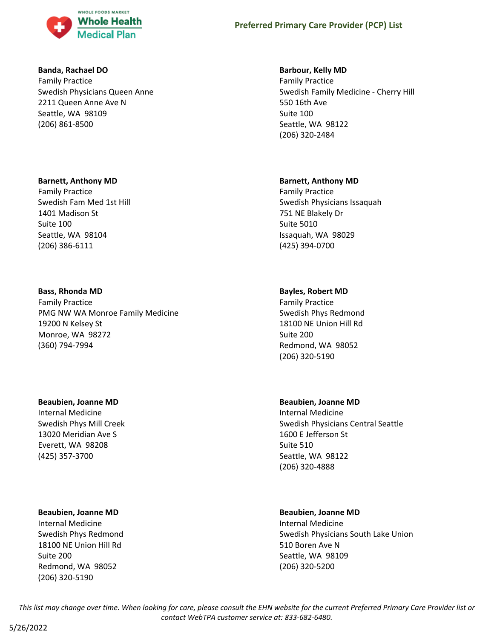

### **Banda, Rachael DO**

Family Practice Swedish Physicians Queen Anne 2211 Queen Anne Ave N Seattle, WA 98109 (206) 861-8500

# **Barnett, Anthony MD**

Family Practice Swedish Fam Med 1st Hill 1401 Madison St Suite 100 Seattle, WA 98104 (206) 386-6111

# **Bass, Rhonda MD**

Family Practice PMG NW WA Monroe Family Medicine 19200 N Kelsey St Monroe, WA 98272 (360) 794-7994

# **Beaubien, Joanne MD**

Internal Medicine Swedish Phys Mill Creek 13020 Meridian Ave S Everett, WA 98208 (425) 357-3700

### **Beaubien, Joanne MD**

Internal Medicine Swedish Phys Redmond 18100 NE Union Hill Rd Suite 200 Redmond, WA 98052 (206) 320-5190

# **Barbour, Kelly MD**

Family Practice Swedish Family Medicine - Cherry Hill 550 16th Ave Suite 100 Seattle, WA 98122 (206) 320-2484

# **Barnett, Anthony MD**

Family Practice Swedish Physicians Issaquah 751 NE Blakely Dr Suite 5010 Issaquah, WA 98029 (425) 394-0700

# **Bayles, Robert MD**

Family Practice Swedish Phys Redmond 18100 NE Union Hill Rd Suite 200 Redmond, WA 98052 (206) 320-5190

### **Beaubien, Joanne MD**

Internal Medicine Swedish Physicians Central Seattle 1600 E Jefferson St Suite 510 Seattle, WA 98122 (206) 320-4888

### **Beaubien, Joanne MD**

Internal Medicine Swedish Physicians South Lake Union 510 Boren Ave N Seattle, WA 98109 (206) 320-5200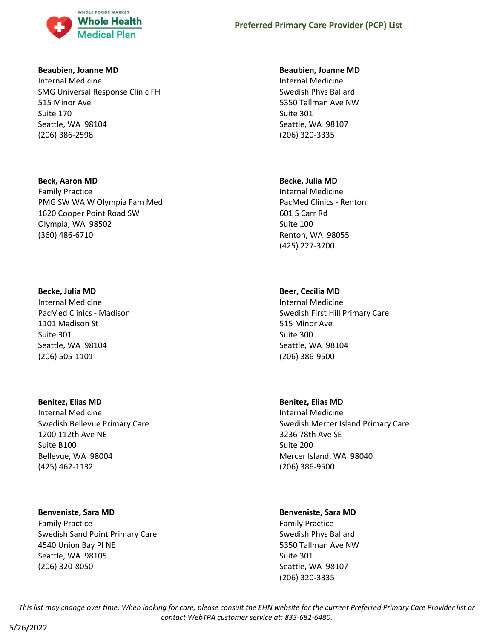

### **Beaubien, Joanne MD**

Internal Medicine SMG Universal Response Clinic FH 515 Minor Ave Suite 170 Seattle, WA 98104 (206) 386-2598

### **Beck, Aaron MD**

Family Practice PMG SW WA W Olympia Fam Med 1620 Cooper Point Road SW Olympia, WA 98502 (360) 486-6710

#### **Becke, Julia MD**

Internal Medicine PacMed Clinics - Madison 1101 Madison St Suite 301 Seattle, WA 98104 (206) 505-1101

### **Benitez, Elias MD**

Internal Medicine Swedish Bellevue Primary Care 1200 112th Ave NE Suite B100 Bellevue, WA 98004 (425) 462-1132

### **Benveniste, Sara MD**

Family Practice Swedish Sand Point Primary Care 4540 Union Bay Pl NE Seattle, WA 98105 (206) 320-8050

#### **Beaubien, Joanne MD**

Internal Medicine Swedish Phys Ballard 5350 Tallman Ave NW Suite 301 Seattle, WA 98107 (206) 320-3335

### **Becke, Julia MD**

Internal Medicine PacMed Clinics - Renton 601 S Carr Rd Suite 100 Renton, WA 98055 (425) 227-3700

# **Beer, Cecilia MD**

Internal Medicine Swedish First Hill Primary Care 515 Minor Ave Suite 300 Seattle, WA 98104 (206) 386-9500

### **Benitez, Elias MD**

Internal Medicine Swedish Mercer Island Primary Care 3236 78th Ave SE Suite 200 Mercer Island, WA 98040 (206) 386-9500

### **Benveniste, Sara MD**

Family Practice Swedish Phys Ballard 5350 Tallman Ave NW Suite 301 Seattle, WA 98107 (206) 320-3335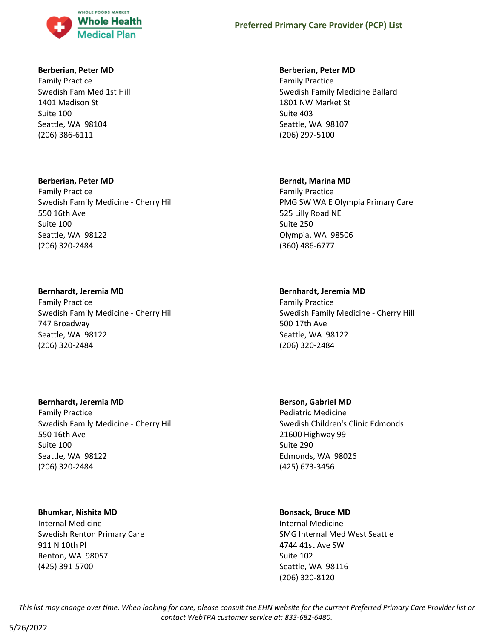

### **Berberian, Peter MD**

Family Practice Swedish Fam Med 1st Hill 1401 Madison St Suite 100 Seattle, WA 98104 (206) 386-6111

#### **Berberian, Peter MD**

Family Practice Swedish Family Medicine - Cherry Hill 550 16th Ave Suite 100 Seattle, WA 98122 (206) 320-2484

### **Bernhardt, Jeremia MD**

Family Practice Swedish Family Medicine - Cherry Hill 747 Broadway Seattle, WA 98122 (206) 320-2484

### **Bernhardt, Jeremia MD**

Family Practice Swedish Family Medicine - Cherry Hill 550 16th Ave Suite 100 Seattle, WA 98122 (206) 320-2484

### **Bhumkar, Nishita MD**

Internal Medicine Swedish Renton Primary Care 911 N 10th Pl Renton, WA 98057 (425) 391-5700

### **Berberian, Peter MD**

Family Practice Swedish Family Medicine Ballard 1801 NW Market St Suite 403 Seattle, WA 98107 (206) 297-5100

# **Berndt, Marina MD**

Family Practice PMG SW WA E Olympia Primary Care 525 Lilly Road NE Suite 250 Olympia, WA 98506 (360) 486-6777

# **Bernhardt, Jeremia MD**

Family Practice Swedish Family Medicine - Cherry Hill 500 17th Ave Seattle, WA 98122 (206) 320-2484

### **Berson, Gabriel MD**

Pediatric Medicine Swedish Children's Clinic Edmonds 21600 Highway 99 Suite 290 Edmonds, WA 98026 (425) 673-3456

# **Bonsack, Bruce MD**

Internal Medicine SMG Internal Med West Seattle 4744 41st Ave SW Suite 102 Seattle, WA 98116 (206) 320-8120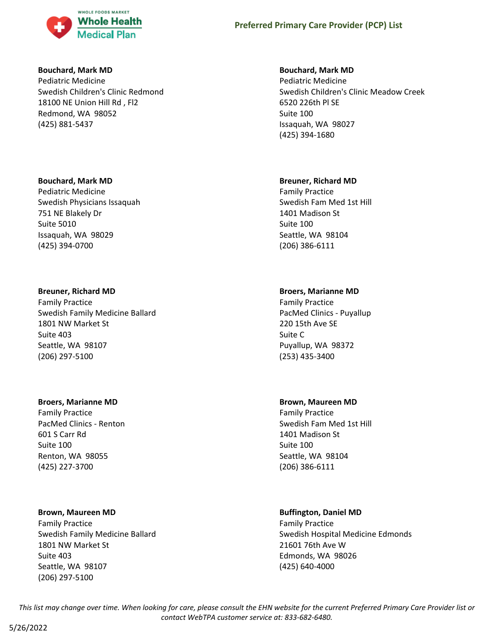

#### **Bouchard, Mark MD**

Pediatric Medicine Swedish Children's Clinic Redmond 18100 NE Union Hill Rd , Fl2 Redmond, WA 98052 (425) 881-5437

#### **Bouchard, Mark MD**

Pediatric Medicine Swedish Physicians Issaquah 751 NE Blakely Dr Suite 5010 Issaquah, WA 98029 (425) 394-0700

#### **Breuner, Richard MD**

Family Practice Swedish Family Medicine Ballard 1801 NW Market St Suite 403 Seattle, WA 98107 (206) 297-5100

#### **Broers, Marianne MD**

Family Practice PacMed Clinics - Renton 601 S Carr Rd Suite 100 Renton, WA 98055 (425) 227-3700

### **Brown, Maureen MD**

Family Practice Swedish Family Medicine Ballard 1801 NW Market St Suite 403 Seattle, WA 98107 (206) 297-5100

#### **Bouchard, Mark MD**

Pediatric Medicine Swedish Children's Clinic Meadow Creek 6520 226th Pl SE Suite 100 Issaquah, WA 98027 (425) 394-1680

#### **Breuner, Richard MD**

Family Practice Swedish Fam Med 1st Hill 1401 Madison St Suite 100 Seattle, WA 98104 (206) 386-6111

### **Broers, Marianne MD**

Family Practice PacMed Clinics - Puyallup 220 15th Ave SE Suite C Puyallup, WA 98372 (253) 435-3400

#### **Brown, Maureen MD**

Family Practice Swedish Fam Med 1st Hill 1401 Madison St Suite 100 Seattle, WA 98104 (206) 386-6111

### **Buffington, Daniel MD**

Family Practice Swedish Hospital Medicine Edmonds 21601 76th Ave W Edmonds, WA 98026 (425) 640-4000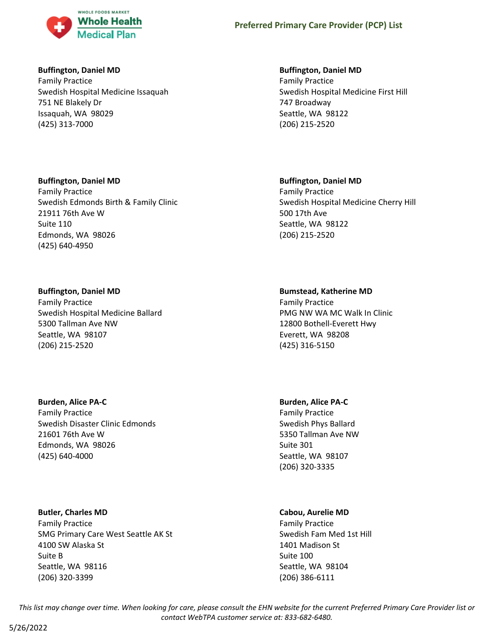

# **Buffington, Daniel MD**

Family Practice Swedish Hospital Medicine Issaquah 751 NE Blakely Dr Issaquah, WA 98029 (425) 313-7000

# **Buffington, Daniel MD**

Family Practice Swedish Edmonds Birth & Family Clinic 21911 76th Ave W Suite 110 Edmonds, WA 98026 (425) 640-4950

# **Buffington, Daniel MD**

Family Practice Swedish Hospital Medicine Ballard 5300 Tallman Ave NW Seattle, WA 98107 (206) 215-2520

# **Burden, Alice PA-C**

Family Practice Swedish Disaster Clinic Edmonds 21601 76th Ave W Edmonds, WA 98026 (425) 640-4000

# **Butler, Charles MD**

Family Practice SMG Primary Care West Seattle AK St 4100 SW Alaska St Suite B Seattle, WA 98116 (206) 320-3399

# **Buffington, Daniel MD**

Family Practice Swedish Hospital Medicine First Hill 747 Broadway Seattle, WA 98122 (206) 215-2520

# **Buffington, Daniel MD**

Family Practice Swedish Hospital Medicine Cherry Hill 500 17th Ave Seattle, WA 98122 (206) 215-2520

# **Bumstead, Katherine MD**

Family Practice PMG NW WA MC Walk In Clinic 12800 Bothell-Everett Hwy Everett, WA 98208 (425) 316-5150

# **Burden, Alice PA-C**

Family Practice Swedish Phys Ballard 5350 Tallman Ave NW Suite 301 Seattle, WA 98107 (206) 320-3335

# **Cabou, Aurelie MD**

Family Practice Swedish Fam Med 1st Hill 1401 Madison St Suite 100 Seattle, WA 98104 (206) 386-6111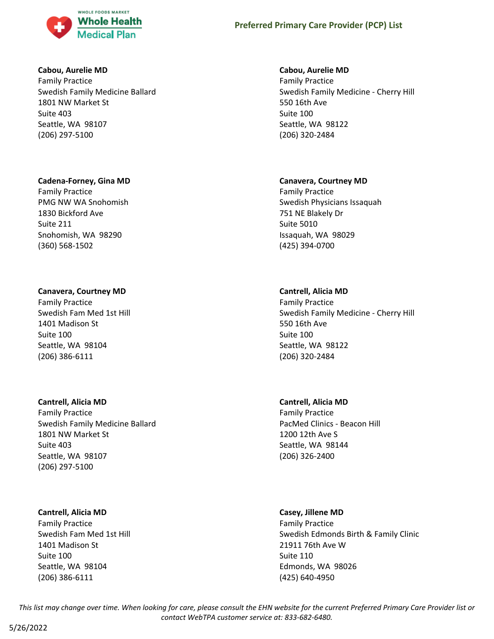

### **Cabou, Aurelie MD**

Family Practice Swedish Family Medicine Ballard 1801 NW Market St Suite 403 Seattle, WA 98107 (206) 297-5100

### **Cadena-Forney, Gina MD**

Family Practice PMG NW WA Snohomish 1830 Bickford Ave Suite 211 Snohomish, WA 98290 (360) 568-1502

# **Canavera, Courtney MD**

Family Practice Swedish Fam Med 1st Hill 1401 Madison St Suite 100 Seattle, WA 98104 (206) 386-6111

# **Cantrell, Alicia MD**

Family Practice Swedish Family Medicine Ballard 1801 NW Market St Suite 403 Seattle, WA 98107 (206) 297-5100

# **Cantrell, Alicia MD**

Family Practice Swedish Fam Med 1st Hill 1401 Madison St Suite 100 Seattle, WA 98104 (206) 386-6111

# **Cabou, Aurelie MD**

Family Practice Swedish Family Medicine - Cherry Hill 550 16th Ave Suite 100 Seattle, WA 98122 (206) 320-2484

# **Canavera, Courtney MD**

Family Practice Swedish Physicians Issaquah 751 NE Blakely Dr Suite 5010 Issaquah, WA 98029 (425) 394-0700

# **Cantrell, Alicia MD**

Family Practice Swedish Family Medicine - Cherry Hill 550 16th Ave Suite 100 Seattle, WA 98122 (206) 320-2484

# **Cantrell, Alicia MD**

Family Practice PacMed Clinics - Beacon Hill 1200 12th Ave S Seattle, WA 98144 (206) 326-2400

### **Casey, Jillene MD**

Family Practice Swedish Edmonds Birth & Family Clinic 21911 76th Ave W Suite 110 Edmonds, WA 98026 (425) 640-4950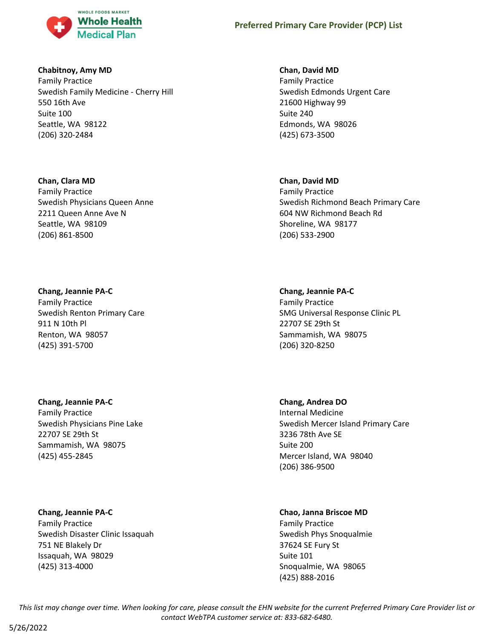

### **Chabitnoy, Amy MD**

Family Practice Swedish Family Medicine - Cherry Hill 550 16th Ave Suite 100 Seattle, WA 98122 (206) 320-2484

# **Chan, Clara MD**

Family Practice Swedish Physicians Queen Anne 2211 Queen Anne Ave N Seattle, WA 98109 (206) 861-8500

# **Chang, Jeannie PA-C**

Family Practice Swedish Renton Primary Care 911 N 10th Pl Renton, WA 98057 (425) 391-5700

# **Chang, Jeannie PA-C**

Family Practice Swedish Physicians Pine Lake 22707 SE 29th St Sammamish, WA 98075 (425) 455-2845

### **Chang, Jeannie PA-C**

Family Practice Swedish Disaster Clinic Issaquah 751 NE Blakely Dr Issaquah, WA 98029 (425) 313-4000

# **Chan, David MD**

Family Practice Swedish Edmonds Urgent Care 21600 Highway 99 Suite 240 Edmonds, WA 98026 (425) 673-3500

### **Chan, David MD**

Family Practice Swedish Richmond Beach Primary Care 604 NW Richmond Beach Rd Shoreline, WA 98177 (206) 533-2900

### **Chang, Jeannie PA-C**

Family Practice SMG Universal Response Clinic PL 22707 SE 29th St Sammamish, WA 98075 (206) 320-8250

### **Chang, Andrea DO**

Internal Medicine Swedish Mercer Island Primary Care 3236 78th Ave SE Suite 200 Mercer Island, WA 98040 (206) 386-9500

# **Chao, Janna Briscoe MD**

Family Practice Swedish Phys Snoqualmie 37624 SE Fury St Suite 101 Snoqualmie, WA 98065 (425) 888-2016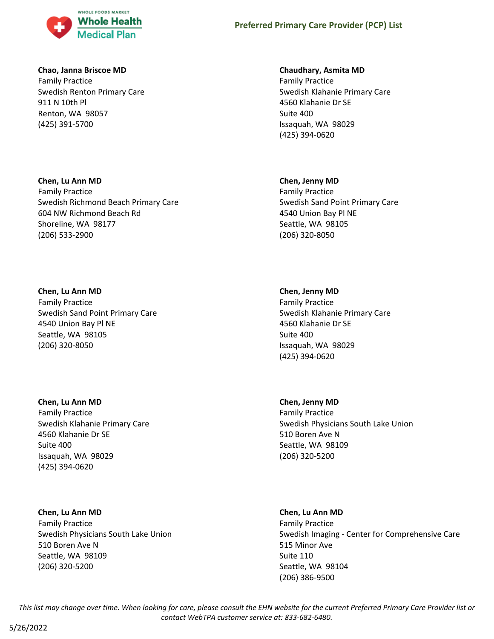

### **Chao, Janna Briscoe MD**

Family Practice Swedish Renton Primary Care 911 N 10th Pl Renton, WA 98057 (425) 391-5700

# **Chen, Lu Ann MD**

Family Practice Swedish Richmond Beach Primary Care 604 NW Richmond Beach Rd Shoreline, WA 98177 (206) 533-2900

# **Chen, Lu Ann MD**

Family Practice Swedish Sand Point Primary Care 4540 Union Bay Pl NE Seattle, WA 98105 (206) 320-8050

# **Chen, Lu Ann MD**

Family Practice Swedish Klahanie Primary Care 4560 Klahanie Dr SE Suite 400 Issaquah, WA 98029 (425) 394-0620

# **Chen, Lu Ann MD**

Family Practice Swedish Physicians South Lake Union 510 Boren Ave N Seattle, WA 98109 (206) 320-5200

# **Chaudhary, Asmita MD**

Family Practice Swedish Klahanie Primary Care 4560 Klahanie Dr SE Suite 400 Issaquah, WA 98029 (425) 394-0620

# **Chen, Jenny MD**

Family Practice Swedish Sand Point Primary Care 4540 Union Bay Pl NE Seattle, WA 98105 (206) 320-8050

### **Chen, Jenny MD**

Family Practice Swedish Klahanie Primary Care 4560 Klahanie Dr SE Suite 400 Issaquah, WA 98029 (425) 394-0620

### **Chen, Jenny MD**

Family Practice Swedish Physicians South Lake Union 510 Boren Ave N Seattle, WA 98109 (206) 320-5200

### **Chen, Lu Ann MD**

Family Practice Swedish Imaging - Center for Comprehensive Care 515 Minor Ave Suite 110 Seattle, WA 98104 (206) 386-9500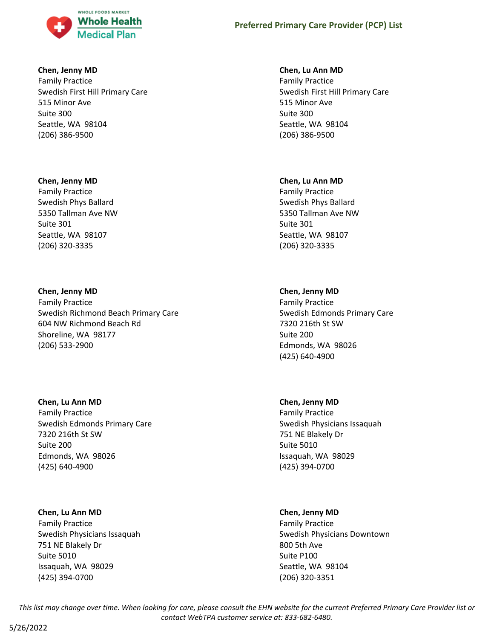

### **Chen, Jenny MD**

Family Practice Swedish First Hill Primary Care 515 Minor Ave Suite 300 Seattle, WA 98104 (206) 386-9500

# **Chen, Jenny MD**

Family Practice Swedish Phys Ballard 5350 Tallman Ave NW Suite 301 Seattle, WA 98107 (206) 320-3335

# **Chen, Jenny MD**

Family Practice Swedish Richmond Beach Primary Care 604 NW Richmond Beach Rd Shoreline, WA 98177 (206) 533-2900

# **Chen, Lu Ann MD**

Family Practice Swedish Edmonds Primary Care 7320 216th St SW Suite 200 Edmonds, WA 98026 (425) 640-4900

# **Chen, Lu Ann MD**

Family Practice Swedish Physicians Issaquah 751 NE Blakely Dr Suite 5010 Issaquah, WA 98029 (425) 394-0700

# **Chen, Lu Ann MD**

Family Practice Swedish First Hill Primary Care 515 Minor Ave Suite 300 Seattle, WA 98104 (206) 386-9500

# **Chen, Lu Ann MD**

Family Practice Swedish Phys Ballard 5350 Tallman Ave NW Suite 301 Seattle, WA 98107 (206) 320-3335

# **Chen, Jenny MD**

Family Practice Swedish Edmonds Primary Care 7320 216th St SW Suite 200 Edmonds, WA 98026 (425) 640-4900

# **Chen, Jenny MD**

Family Practice Swedish Physicians Issaquah 751 NE Blakely Dr Suite 5010 Issaquah, WA 98029 (425) 394-0700

# **Chen, Jenny MD**

Family Practice Swedish Physicians Downtown 800 5th Ave Suite P100 Seattle, WA 98104 (206) 320-3351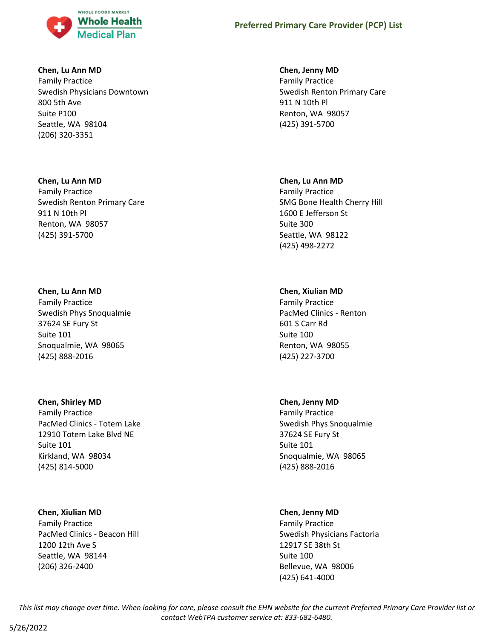

### **Chen, Lu Ann MD**

Family Practice Swedish Physicians Downtown 800 5th Ave Suite P100 Seattle, WA 98104 (206) 320-3351

# **Chen, Lu Ann MD**

Family Practice Swedish Renton Primary Care 911 N 10th Pl Renton, WA 98057 (425) 391-5700

# **Chen, Lu Ann MD**

Family Practice Swedish Phys Snoqualmie 37624 SE Fury St Suite 101 Snoqualmie, WA 98065 (425) 888-2016

### **Chen, Shirley MD**

Family Practice PacMed Clinics - Totem Lake 12910 Totem Lake Blvd NE Suite 101 Kirkland, WA 98034 (425) 814-5000

### **Chen, Xiulian MD**

Family Practice PacMed Clinics - Beacon Hill 1200 12th Ave S Seattle, WA 98144 (206) 326-2400

# **Chen, Jenny MD**

Family Practice Swedish Renton Primary Care 911 N 10th Pl Renton, WA 98057 (425) 391-5700

# **Chen, Lu Ann MD**

Family Practice SMG Bone Health Cherry Hill 1600 E Jefferson St Suite 300 Seattle, WA 98122 (425) 498-2272

# **Chen, Xiulian MD**

Family Practice PacMed Clinics - Renton 601 S Carr Rd Suite 100 Renton, WA 98055 (425) 227-3700

# **Chen, Jenny MD**

Family Practice Swedish Phys Snoqualmie 37624 SE Fury St Suite 101 Snoqualmie, WA 98065 (425) 888-2016

# **Chen, Jenny MD**

Family Practice Swedish Physicians Factoria 12917 SE 38th St Suite 100 Bellevue, WA 98006 (425) 641-4000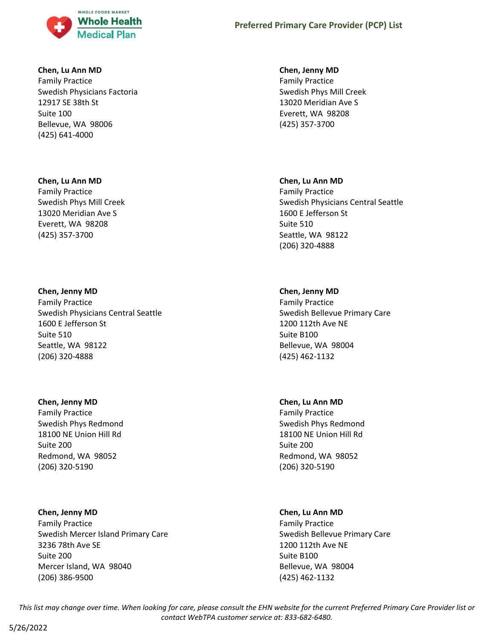

### **Chen, Lu Ann MD**

Family Practice Swedish Physicians Factoria 12917 SE 38th St Suite 100 Bellevue, WA 98006 (425) 641-4000

#### **Chen, Lu Ann MD**

Family Practice Swedish Phys Mill Creek 13020 Meridian Ave S Everett, WA 98208 (425) 357-3700

#### **Chen, Jenny MD**

Family Practice Swedish Physicians Central Seattle 1600 E Jefferson St Suite 510 Seattle, WA 98122 (206) 320-4888

#### **Chen, Jenny MD**

Family Practice Swedish Phys Redmond 18100 NE Union Hill Rd Suite 200 Redmond, WA 98052 (206) 320-5190

#### **Chen, Jenny MD**

Family Practice Swedish Mercer Island Primary Care 3236 78th Ave SE Suite 200 Mercer Island, WA 98040 (206) 386-9500

#### **Chen, Jenny MD**

Family Practice Swedish Phys Mill Creek 13020 Meridian Ave S Everett, WA 98208 (425) 357-3700

#### **Chen, Lu Ann MD**

Family Practice Swedish Physicians Central Seattle 1600 E Jefferson St Suite 510 Seattle, WA 98122 (206) 320-4888

### **Chen, Jenny MD**

Family Practice Swedish Bellevue Primary Care 1200 112th Ave NE Suite B100 Bellevue, WA 98004 (425) 462-1132

#### **Chen, Lu Ann MD**

Family Practice Swedish Phys Redmond 18100 NE Union Hill Rd Suite 200 Redmond, WA 98052 (206) 320-5190

#### **Chen, Lu Ann MD**

Family Practice Swedish Bellevue Primary Care 1200 112th Ave NE Suite B100 Bellevue, WA 98004 (425) 462-1132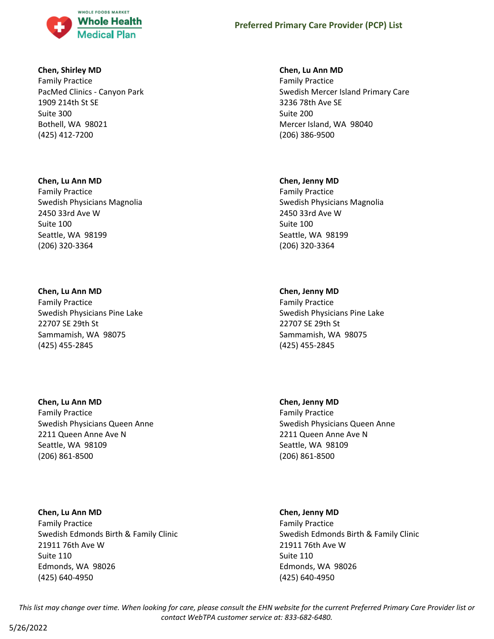

### **Chen, Shirley MD**

Family Practice PacMed Clinics - Canyon Park 1909 214th St SE Suite 300 Bothell, WA 98021 (425) 412-7200

#### **Chen, Lu Ann MD**

Family Practice Swedish Physicians Magnolia 2450 33rd Ave W Suite 100 Seattle, WA 98199 (206) 320-3364

#### **Chen, Lu Ann MD**

Family Practice Swedish Physicians Pine Lake 22707 SE 29th St Sammamish, WA 98075 (425) 455-2845

### **Chen, Lu Ann MD**

Family Practice Swedish Physicians Queen Anne 2211 Queen Anne Ave N Seattle, WA 98109 (206) 861-8500

### **Chen, Lu Ann MD**

Family Practice Swedish Edmonds Birth & Family Clinic 21911 76th Ave W Suite 110 Edmonds, WA 98026 (425) 640-4950

# **Chen, Lu Ann MD**

Family Practice Swedish Mercer Island Primary Care 3236 78th Ave SE Suite 200 Mercer Island, WA 98040 (206) 386-9500

#### **Chen, Jenny MD**

Family Practice Swedish Physicians Magnolia 2450 33rd Ave W Suite 100 Seattle, WA 98199 (206) 320-3364

### **Chen, Jenny MD**

Family Practice Swedish Physicians Pine Lake 22707 SE 29th St Sammamish, WA 98075 (425) 455-2845

### **Chen, Jenny MD**

Family Practice Swedish Physicians Queen Anne 2211 Queen Anne Ave N Seattle, WA 98109 (206) 861-8500

#### **Chen, Jenny MD**

Family Practice Swedish Edmonds Birth & Family Clinic 21911 76th Ave W Suite 110 Edmonds, WA 98026 (425) 640-4950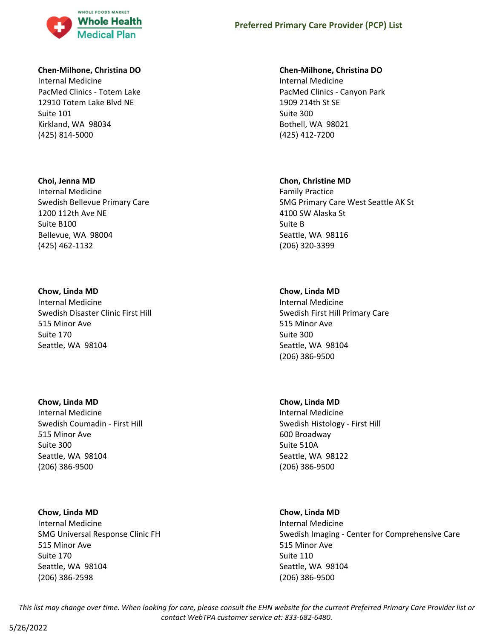

### **Chen-Milhone, Christina DO**

Internal Medicine PacMed Clinics - Totem Lake 12910 Totem Lake Blvd NE Suite 101 Kirkland, WA 98034 (425) 814-5000

#### **Choi, Jenna MD**

Internal Medicine Swedish Bellevue Primary Care 1200 112th Ave NE Suite B100 Bellevue, WA 98004 (425) 462-1132

### **Chow, Linda MD**

Internal Medicine Swedish Disaster Clinic First Hill 515 Minor Ave Suite 170 Seattle, WA 98104

#### **Chow, Linda MD**

Internal Medicine Swedish Coumadin - First Hill 515 Minor Ave Suite 300 Seattle, WA 98104 (206) 386-9500

### **Chow, Linda MD**

Internal Medicine SMG Universal Response Clinic FH 515 Minor Ave Suite 170 Seattle, WA 98104 (206) 386-2598

### **Chen-Milhone, Christina DO**

Internal Medicine PacMed Clinics - Canyon Park 1909 214th St SE Suite 300 Bothell, WA 98021 (425) 412-7200

#### **Chon, Christine MD**

Family Practice SMG Primary Care West Seattle AK St 4100 SW Alaska St Suite B Seattle, WA 98116 (206) 320-3399

### **Chow, Linda MD**

Internal Medicine Swedish First Hill Primary Care 515 Minor Ave Suite 300 Seattle, WA 98104 (206) 386-9500

#### **Chow, Linda MD**

Internal Medicine Swedish Histology - First Hill 600 Broadway Suite 510A Seattle, WA 98122 (206) 386-9500

#### **Chow, Linda MD**

Internal Medicine Swedish Imaging - Center for Comprehensive Care 515 Minor Ave Suite 110 Seattle, WA 98104 (206) 386-9500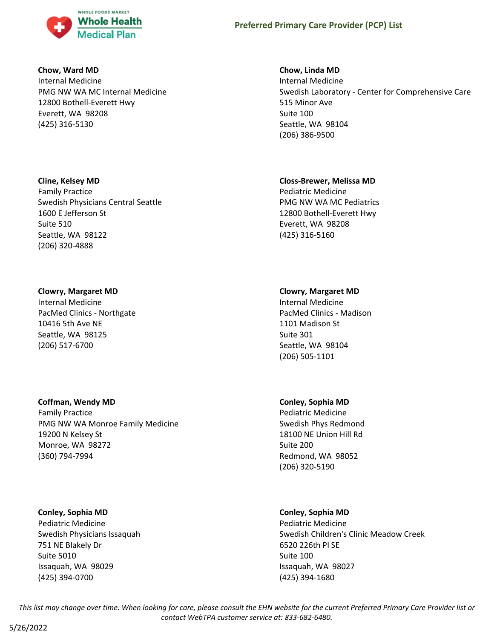

### **Chow, Ward MD**

Internal Medicine PMG NW WA MC Internal Medicine 12800 Bothell-Everett Hwy Everett, WA 98208 (425) 316-5130

# **Cline, Kelsey MD**

Family Practice Swedish Physicians Central Seattle 1600 E Jefferson St Suite 510 Seattle, WA 98122 (206) 320-4888

# **Clowry, Margaret MD**

Internal Medicine PacMed Clinics - Northgate 10416 5th Ave NE Seattle, WA 98125 (206) 517-6700

# **Coffman, Wendy MD**

Family Practice PMG NW WA Monroe Family Medicine 19200 N Kelsey St Monroe, WA 98272 (360) 794-7994

### **Conley, Sophia MD**

Pediatric Medicine Swedish Physicians Issaquah 751 NE Blakely Dr Suite 5010 Issaquah, WA 98029 (425) 394-0700

### **Chow, Linda MD**

Internal Medicine Swedish Laboratory - Center for Comprehensive Care 515 Minor Ave Suite 100 Seattle, WA 98104 (206) 386-9500

# **Closs-Brewer, Melissa MD**

Pediatric Medicine PMG NW WA MC Pediatrics 12800 Bothell-Everett Hwy Everett, WA 98208 (425) 316-5160

# **Clowry, Margaret MD**

Internal Medicine PacMed Clinics - Madison 1101 Madison St Suite 301 Seattle, WA 98104 (206) 505-1101

### **Conley, Sophia MD**

Pediatric Medicine Swedish Phys Redmond 18100 NE Union Hill Rd Suite 200 Redmond, WA 98052 (206) 320-5190

# **Conley, Sophia MD**

Pediatric Medicine Swedish Children's Clinic Meadow Creek 6520 226th Pl SE Suite 100 Issaquah, WA 98027 (425) 394-1680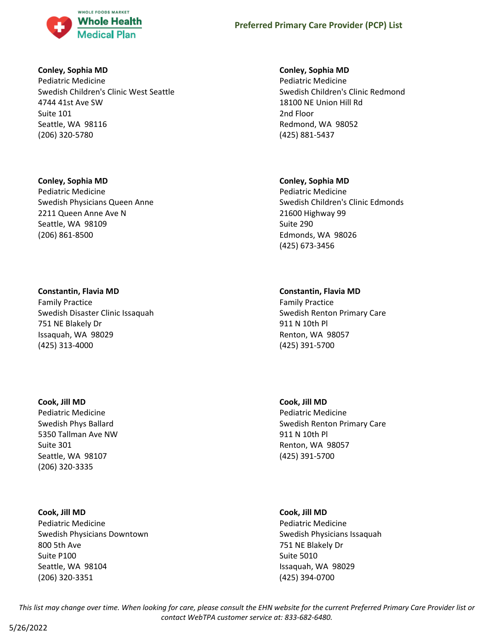

### **Conley, Sophia MD**

Pediatric Medicine Swedish Children's Clinic West Seattle 4744 41st Ave SW Suite 101 Seattle, WA 98116 (206) 320-5780

# **Conley, Sophia MD**

Pediatric Medicine Swedish Physicians Queen Anne 2211 Queen Anne Ave N Seattle, WA 98109 (206) 861-8500

# **Constantin, Flavia MD**

Family Practice Swedish Disaster Clinic Issaquah 751 NE Blakely Dr Issaquah, WA 98029 (425) 313-4000

### **Cook, Jill MD**

Pediatric Medicine Swedish Phys Ballard 5350 Tallman Ave NW Suite 301 Seattle, WA 98107 (206) 320-3335

# **Cook, Jill MD**

Pediatric Medicine Swedish Physicians Downtown 800 5th Ave Suite P100 Seattle, WA 98104 (206) 320-3351

# **Conley, Sophia MD**

Pediatric Medicine Swedish Children's Clinic Redmond 18100 NE Union Hill Rd 2nd Floor Redmond, WA 98052 (425) 881-5437

# **Conley, Sophia MD**

Pediatric Medicine Swedish Children's Clinic Edmonds 21600 Highway 99 Suite 290 Edmonds, WA 98026 (425) 673-3456

# **Constantin, Flavia MD**

Family Practice Swedish Renton Primary Care 911 N 10th Pl Renton, WA 98057 (425) 391-5700

**Cook, Jill MD** Pediatric Medicine Swedish Renton Primary Care 911 N 10th Pl Renton, WA 98057 (425) 391-5700

### **Cook, Jill MD**

Pediatric Medicine Swedish Physicians Issaquah 751 NE Blakely Dr Suite 5010 Issaquah, WA 98029 (425) 394-0700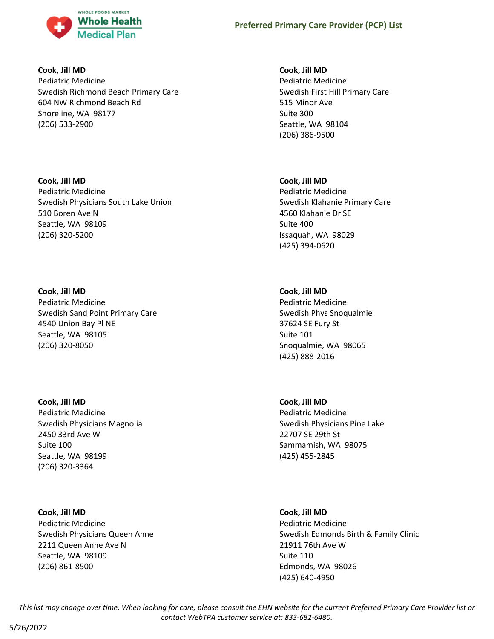

**Cook, Jill MD**

Pediatric Medicine Swedish Richmond Beach Primary Care 604 NW Richmond Beach Rd Shoreline, WA 98177 (206) 533-2900

**Cook, Jill MD** Pediatric Medicine Swedish Physicians South Lake Union 510 Boren Ave N Seattle, WA 98109 (206) 320-5200

**Cook, Jill MD** Pediatric Medicine Swedish Sand Point Primary Care 4540 Union Bay Pl NE Seattle, WA 98105 (206) 320-8050

**Cook, Jill MD** Pediatric Medicine Swedish Physicians Magnolia 2450 33rd Ave W Suite 100 Seattle, WA 98199 (206) 320-3364

**Cook, Jill MD** Pediatric Medicine Swedish Physicians Queen Anne 2211 Queen Anne Ave N Seattle, WA 98109 (206) 861-8500

**Cook, Jill MD**

Pediatric Medicine Swedish First Hill Primary Care 515 Minor Ave Suite 300 Seattle, WA 98104 (206) 386-9500

**Cook, Jill MD** Pediatric Medicine Swedish Klahanie Primary Care 4560 Klahanie Dr SE Suite 400 Issaquah, WA 98029 (425) 394-0620

**Cook, Jill MD** Pediatric Medicine Swedish Phys Snoqualmie 37624 SE Fury St Suite 101 Snoqualmie, WA 98065 (425) 888-2016

**Cook, Jill MD** Pediatric Medicine Swedish Physicians Pine Lake 22707 SE 29th St Sammamish, WA 98075 (425) 455-2845

**Cook, Jill MD** Pediatric Medicine Swedish Edmonds Birth & Family Clinic 21911 76th Ave W Suite 110 Edmonds, WA 98026 (425) 640-4950

*This list may change over time. When looking for care, please consult the EHN website for the current Preferred Primary Care Provider list or contact WebTPA customer service at: 833-682-6480.*

5/26/2022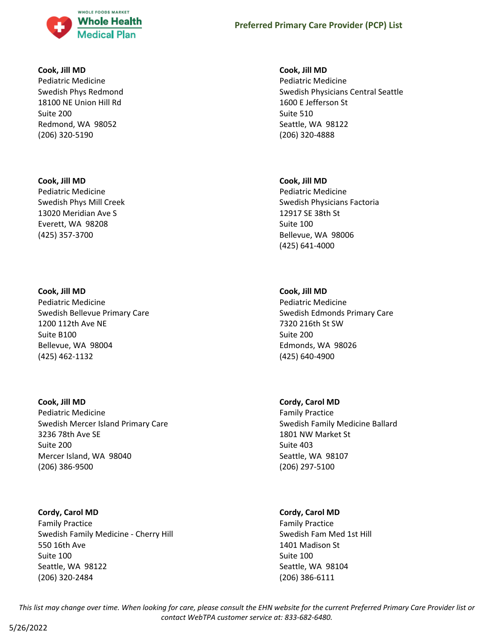

#### **Cook, Jill MD**

Pediatric Medicine Swedish Phys Redmond 18100 NE Union Hill Rd Suite 200 Redmond, WA 98052 (206) 320-5190

#### **Cook, Jill MD**

Pediatric Medicine Swedish Phys Mill Creek 13020 Meridian Ave S Everett, WA 98208 (425) 357-3700

### **Cook, Jill MD**

Pediatric Medicine Swedish Bellevue Primary Care 1200 112th Ave NE Suite B100 Bellevue, WA 98004 (425) 462-1132

#### **Cook, Jill MD**

Pediatric Medicine Swedish Mercer Island Primary Care 3236 78th Ave SE Suite 200 Mercer Island, WA 98040 (206) 386-9500

### **Cordy, Carol MD**

Family Practice Swedish Family Medicine - Cherry Hill 550 16th Ave Suite 100 Seattle, WA 98122 (206) 320-2484

### **Cook, Jill MD**

Pediatric Medicine Swedish Physicians Central Seattle 1600 E Jefferson St Suite 510 Seattle, WA 98122 (206) 320-4888

# **Cook, Jill MD**

Pediatric Medicine Swedish Physicians Factoria 12917 SE 38th St Suite 100 Bellevue, WA 98006 (425) 641-4000

# **Cook, Jill MD**

Pediatric Medicine Swedish Edmonds Primary Care 7320 216th St SW Suite 200 Edmonds, WA 98026 (425) 640-4900

### **Cordy, Carol MD**

Family Practice Swedish Family Medicine Ballard 1801 NW Market St Suite 403 Seattle, WA 98107 (206) 297-5100

### **Cordy, Carol MD**

Family Practice Swedish Fam Med 1st Hill 1401 Madison St Suite 100 Seattle, WA 98104 (206) 386-6111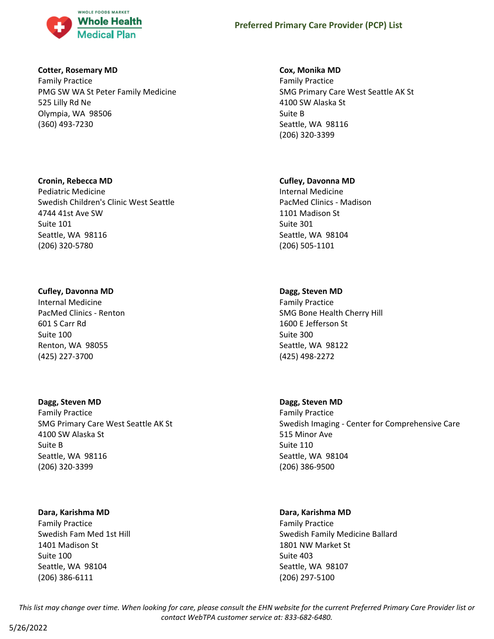

### **Cotter, Rosemary MD**

Family Practice PMG SW WA St Peter Family Medicine 525 Lilly Rd Ne Olympia, WA 98506 (360) 493-7230

### **Cronin, Rebecca MD**

Pediatric Medicine Swedish Children's Clinic West Seattle 4744 41st Ave SW Suite 101 Seattle, WA 98116 (206) 320-5780

# **Cufley, Davonna MD**

Internal Medicine PacMed Clinics - Renton 601 S Carr Rd Suite 100 Renton, WA 98055 (425) 227-3700

# **Dagg, Steven MD**

Family Practice SMG Primary Care West Seattle AK St 4100 SW Alaska St Suite B Seattle, WA 98116 (206) 320-3399

# **Dara, Karishma MD**

Family Practice Swedish Fam Med 1st Hill 1401 Madison St Suite 100 Seattle, WA 98104 (206) 386-6111

# **Cox, Monika MD**

Family Practice SMG Primary Care West Seattle AK St 4100 SW Alaska St Suite B Seattle, WA 98116 (206) 320-3399

# **Cufley, Davonna MD**

Internal Medicine PacMed Clinics - Madison 1101 Madison St Suite 301 Seattle, WA 98104 (206) 505-1101

# **Dagg, Steven MD**

Family Practice SMG Bone Health Cherry Hill 1600 E Jefferson St Suite 300 Seattle, WA 98122 (425) 498-2272

# **Dagg, Steven MD**

Family Practice Swedish Imaging - Center for Comprehensive Care 515 Minor Ave Suite 110 Seattle, WA 98104 (206) 386-9500

# **Dara, Karishma MD**

Family Practice Swedish Family Medicine Ballard 1801 NW Market St Suite 403 Seattle, WA 98107 (206) 297-5100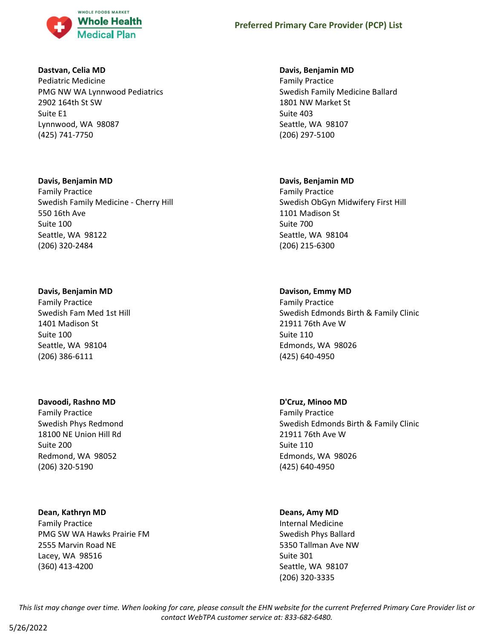

### **Dastvan, Celia MD**

Pediatric Medicine PMG NW WA Lynnwood Pediatrics 2902 164th St SW Suite E1 Lynnwood, WA 98087 (425) 741-7750

# **Davis, Benjamin MD**

Family Practice Swedish Family Medicine - Cherry Hill 550 16th Ave Suite 100 Seattle, WA 98122 (206) 320-2484

# **Davis, Benjamin MD**

Family Practice Swedish Fam Med 1st Hill 1401 Madison St Suite 100 Seattle, WA 98104 (206) 386-6111

### **Davoodi, Rashno MD**

Family Practice Swedish Phys Redmond 18100 NE Union Hill Rd Suite 200 Redmond, WA 98052 (206) 320-5190

# **Dean, Kathryn MD**

Family Practice PMG SW WA Hawks Prairie FM 2555 Marvin Road NE Lacey, WA 98516 (360) 413-4200

# **Davis, Benjamin MD**

Family Practice Swedish Family Medicine Ballard 1801 NW Market St Suite 403 Seattle, WA 98107 (206) 297-5100

# **Davis, Benjamin MD**

Family Practice Swedish ObGyn Midwifery First Hill 1101 Madison St Suite 700 Seattle, WA 98104 (206) 215-6300

# **Davison, Emmy MD**

Family Practice Swedish Edmonds Birth & Family Clinic 21911 76th Ave W Suite 110 Edmonds, WA 98026 (425) 640-4950

# **D'Cruz, Minoo MD**

Family Practice Swedish Edmonds Birth & Family Clinic 21911 76th Ave W Suite 110 Edmonds, WA 98026 (425) 640-4950

# **Deans, Amy MD**

Internal Medicine Swedish Phys Ballard 5350 Tallman Ave NW Suite 301 Seattle, WA 98107 (206) 320-3335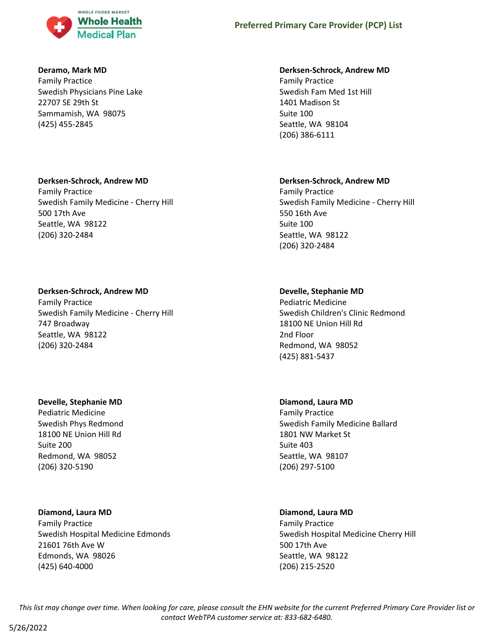

### **Deramo, Mark MD**

Family Practice Swedish Physicians Pine Lake 22707 SE 29th St Sammamish, WA 98075 (425) 455-2845

### **Derksen-Schrock, Andrew MD**

Family Practice Swedish Family Medicine - Cherry Hill 500 17th Ave Seattle, WA 98122 (206) 320-2484

### **Derksen-Schrock, Andrew MD**

Family Practice Swedish Family Medicine - Cherry Hill 747 Broadway Seattle, WA 98122 (206) 320-2484

### **Develle, Stephanie MD**

Pediatric Medicine Swedish Phys Redmond 18100 NE Union Hill Rd Suite 200 Redmond, WA 98052 (206) 320-5190

### **Diamond, Laura MD**

Family Practice Swedish Hospital Medicine Edmonds 21601 76th Ave W Edmonds, WA 98026 (425) 640-4000

#### **Derksen-Schrock, Andrew MD**

Family Practice Swedish Fam Med 1st Hill 1401 Madison St Suite 100 Seattle, WA 98104 (206) 386-6111

### **Derksen-Schrock, Andrew MD**

Family Practice Swedish Family Medicine - Cherry Hill 550 16th Ave Suite 100 Seattle, WA 98122 (206) 320-2484

# **Develle, Stephanie MD**

Pediatric Medicine Swedish Children's Clinic Redmond 18100 NE Union Hill Rd 2nd Floor Redmond, WA 98052 (425) 881-5437

# **Diamond, Laura MD**

Family Practice Swedish Family Medicine Ballard 1801 NW Market St Suite 403 Seattle, WA 98107 (206) 297-5100

### **Diamond, Laura MD**

Family Practice Swedish Hospital Medicine Cherry Hill 500 17th Ave Seattle, WA 98122 (206) 215-2520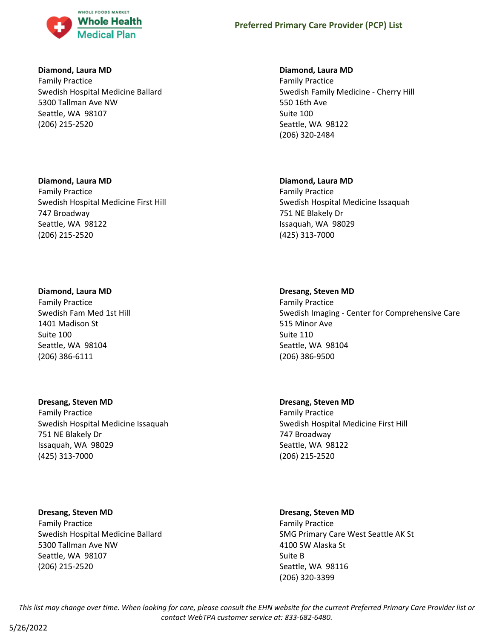

#### **Diamond, Laura MD**

Family Practice Swedish Hospital Medicine Ballard 5300 Tallman Ave NW Seattle, WA 98107 (206) 215-2520

### **Diamond, Laura MD**

Family Practice Swedish Hospital Medicine First Hill 747 Broadway Seattle, WA 98122 (206) 215-2520

### **Diamond, Laura MD**

Family Practice Swedish Fam Med 1st Hill 1401 Madison St Suite 100 Seattle, WA 98104 (206) 386-6111

# **Dresang, Steven MD**

Family Practice Swedish Hospital Medicine Issaquah 751 NE Blakely Dr Issaquah, WA 98029 (425) 313-7000

**Dresang, Steven MD** Family Practice Swedish Hospital Medicine Ballard 5300 Tallman Ave NW Seattle, WA 98107 (206) 215-2520

### **Diamond, Laura MD**

Family Practice Swedish Family Medicine - Cherry Hill 550 16th Ave Suite 100 Seattle, WA 98122 (206) 320-2484

#### **Diamond, Laura MD**

Family Practice Swedish Hospital Medicine Issaquah 751 NE Blakely Dr Issaquah, WA 98029 (425) 313-7000

#### **Dresang, Steven MD**

Family Practice Swedish Imaging - Center for Comprehensive Care 515 Minor Ave Suite 110 Seattle, WA 98104 (206) 386-9500

# **Dresang, Steven MD** Family Practice Swedish Hospital Medicine First Hill 747 Broadway Seattle, WA 98122 (206) 215-2520

### **Dresang, Steven MD**

Family Practice SMG Primary Care West Seattle AK St 4100 SW Alaska St Suite B Seattle, WA 98116 (206) 320-3399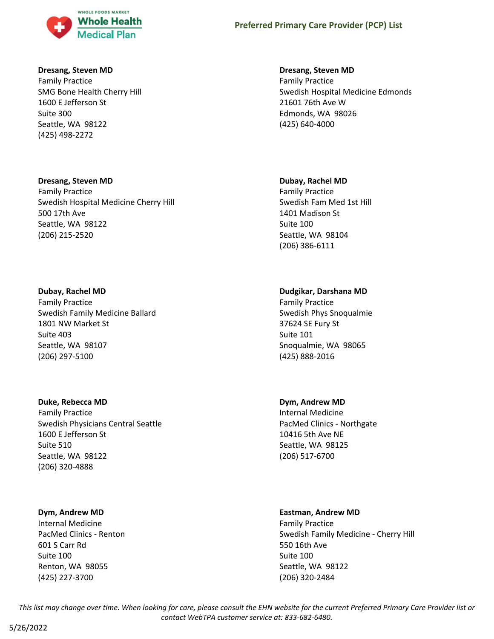

#### **Dresang, Steven MD**

Family Practice SMG Bone Health Cherry Hill 1600 E Jefferson St Suite 300 Seattle, WA 98122 (425) 498-2272

#### **Dresang, Steven MD**

Family Practice Swedish Hospital Medicine Cherry Hill 500 17th Ave Seattle, WA 98122 (206) 215-2520

### **Dubay, Rachel MD**

Family Practice Swedish Family Medicine Ballard 1801 NW Market St Suite 403 Seattle, WA 98107 (206) 297-5100

#### **Duke, Rebecca MD**

Family Practice Swedish Physicians Central Seattle 1600 E Jefferson St Suite 510 Seattle, WA 98122 (206) 320-4888

### **Dym, Andrew MD**

Internal Medicine PacMed Clinics - Renton 601 S Carr Rd Suite 100 Renton, WA 98055 (425) 227-3700

#### **Dresang, Steven MD**

Family Practice Swedish Hospital Medicine Edmonds 21601 76th Ave W Edmonds, WA 98026 (425) 640-4000

#### **Dubay, Rachel MD**

Family Practice Swedish Fam Med 1st Hill 1401 Madison St Suite 100 Seattle, WA 98104 (206) 386-6111

# **Dudgikar, Darshana MD**

Family Practice Swedish Phys Snoqualmie 37624 SE Fury St Suite 101 Snoqualmie, WA 98065 (425) 888-2016

### **Dym, Andrew MD**

Internal Medicine PacMed Clinics - Northgate 10416 5th Ave NE Seattle, WA 98125 (206) 517-6700

#### **Eastman, Andrew MD**

Family Practice Swedish Family Medicine - Cherry Hill 550 16th Ave Suite 100 Seattle, WA 98122 (206) 320-2484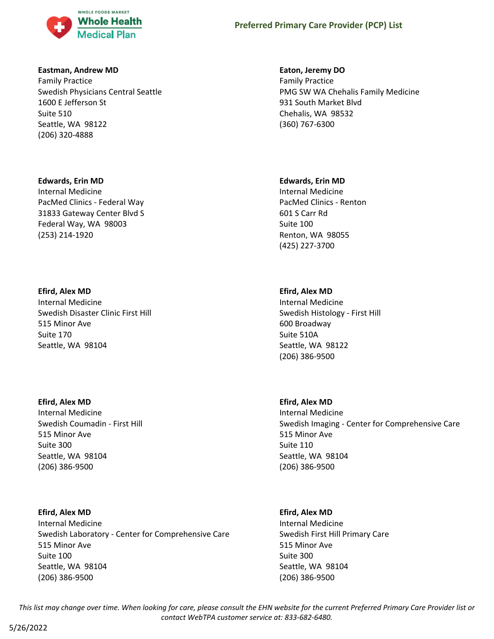

#### **Eastman, Andrew MD**

Family Practice Swedish Physicians Central Seattle 1600 E Jefferson St Suite 510 Seattle, WA 98122 (206) 320-4888

#### **Edwards, Erin MD**

Internal Medicine PacMed Clinics - Federal Way 31833 Gateway Center Blvd S Federal Way, WA 98003 (253) 214-1920

#### **Efird, Alex MD**

Internal Medicine Swedish Disaster Clinic First Hill 515 Minor Ave Suite 170 Seattle, WA 98104

#### **Efird, Alex MD**

Internal Medicine Swedish Coumadin - First Hill 515 Minor Ave Suite 300 Seattle, WA 98104 (206) 386-9500

### **Efird, Alex MD**

Internal Medicine Swedish Laboratory - Center for Comprehensive Care 515 Minor Ave Suite 100 Seattle, WA 98104 (206) 386-9500

#### **Eaton, Jeremy DO**

Family Practice PMG SW WA Chehalis Family Medicine 931 South Market Blvd Chehalis, WA 98532 (360) 767-6300

#### **Edwards, Erin MD**

Internal Medicine PacMed Clinics - Renton 601 S Carr Rd Suite 100 Renton, WA 98055 (425) 227-3700

### **Efird, Alex MD**

Internal Medicine Swedish Histology - First Hill 600 Broadway Suite 510A Seattle, WA 98122 (206) 386-9500

### **Efird, Alex MD**

Internal Medicine Swedish Imaging - Center for Comprehensive Care 515 Minor Ave Suite 110 Seattle, WA 98104 (206) 386-9500

#### **Efird, Alex MD**

Internal Medicine Swedish First Hill Primary Care 515 Minor Ave Suite 300 Seattle, WA 98104 (206) 386-9500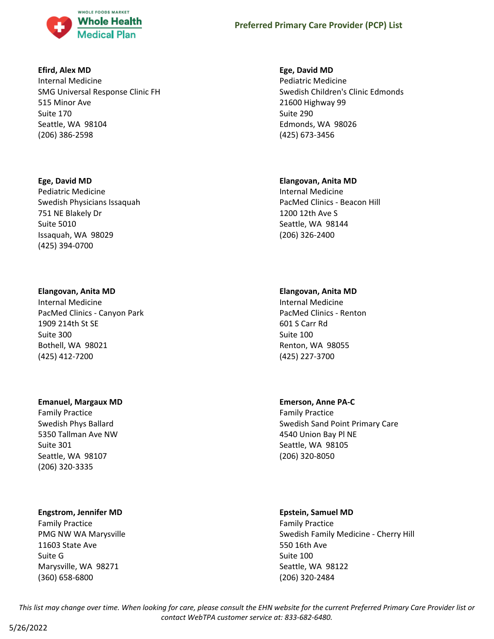

### **Efird, Alex MD**

Internal Medicine SMG Universal Response Clinic FH 515 Minor Ave Suite 170 Seattle, WA 98104 (206) 386-2598

### **Ege, David MD**

Pediatric Medicine Swedish Physicians Issaquah 751 NE Blakely Dr Suite 5010 Issaquah, WA 98029 (425) 394-0700

# **Elangovan, Anita MD**

Internal Medicine PacMed Clinics - Canyon Park 1909 214th St SE Suite 300 Bothell, WA 98021 (425) 412-7200

### **Emanuel, Margaux MD**

Family Practice Swedish Phys Ballard 5350 Tallman Ave NW Suite 301 Seattle, WA 98107 (206) 320-3335

# **Engstrom, Jennifer MD**

Family Practice PMG NW WA Marysville 11603 State Ave Suite G Marysville, WA 98271 (360) 658-6800

# **Ege, David MD**

Pediatric Medicine Swedish Children's Clinic Edmonds 21600 Highway 99 Suite 290 Edmonds, WA 98026 (425) 673-3456

# **Elangovan, Anita MD**

Internal Medicine PacMed Clinics - Beacon Hill 1200 12th Ave S Seattle, WA 98144 (206) 326-2400

# **Elangovan, Anita MD**

Internal Medicine PacMed Clinics - Renton 601 S Carr Rd Suite 100 Renton, WA 98055 (425) 227-3700

# **Emerson, Anne PA-C**

Family Practice Swedish Sand Point Primary Care 4540 Union Bay Pl NE Seattle, WA 98105 (206) 320-8050

# **Epstein, Samuel MD**

Family Practice Swedish Family Medicine - Cherry Hill 550 16th Ave Suite 100 Seattle, WA 98122 (206) 320-2484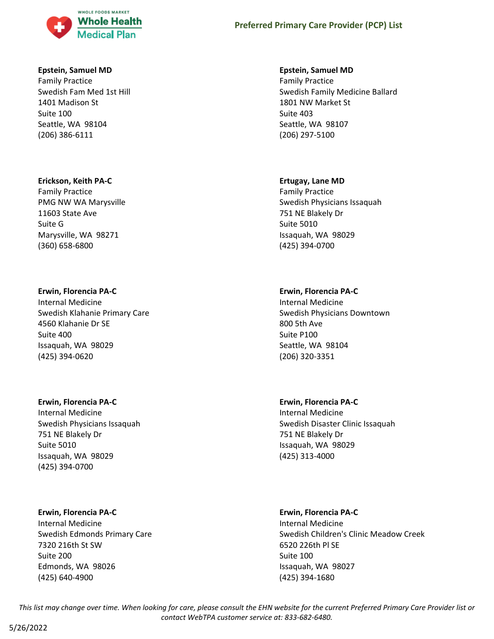

#### **Epstein, Samuel MD**

Family Practice Swedish Fam Med 1st Hill 1401 Madison St Suite 100 Seattle, WA 98104 (206) 386-6111

#### **Erickson, Keith PA-C**

Family Practice PMG NW WA Marysville 11603 State Ave Suite G Marysville, WA 98271 (360) 658-6800

#### **Erwin, Florencia PA-C**

Internal Medicine Swedish Klahanie Primary Care 4560 Klahanie Dr SE Suite 400 Issaquah, WA 98029 (425) 394-0620

#### **Erwin, Florencia PA-C**

Internal Medicine Swedish Physicians Issaquah 751 NE Blakely Dr Suite 5010 Issaquah, WA 98029 (425) 394-0700

#### **Erwin, Florencia PA-C**

Internal Medicine Swedish Edmonds Primary Care 7320 216th St SW Suite 200 Edmonds, WA 98026 (425) 640-4900

#### **Epstein, Samuel MD**

Family Practice Swedish Family Medicine Ballard 1801 NW Market St Suite 403 Seattle, WA 98107 (206) 297-5100

#### **Ertugay, Lane MD**

Family Practice Swedish Physicians Issaquah 751 NE Blakely Dr Suite 5010 Issaquah, WA 98029 (425) 394-0700

### **Erwin, Florencia PA-C**

Internal Medicine Swedish Physicians Downtown 800 5th Ave Suite P100 Seattle, WA 98104 (206) 320-3351

### **Erwin, Florencia PA-C**

Internal Medicine Swedish Disaster Clinic Issaquah 751 NE Blakely Dr Issaquah, WA 98029 (425) 313-4000

#### **Erwin, Florencia PA-C**

Internal Medicine Swedish Children's Clinic Meadow Creek 6520 226th Pl SE Suite 100 Issaquah, WA 98027 (425) 394-1680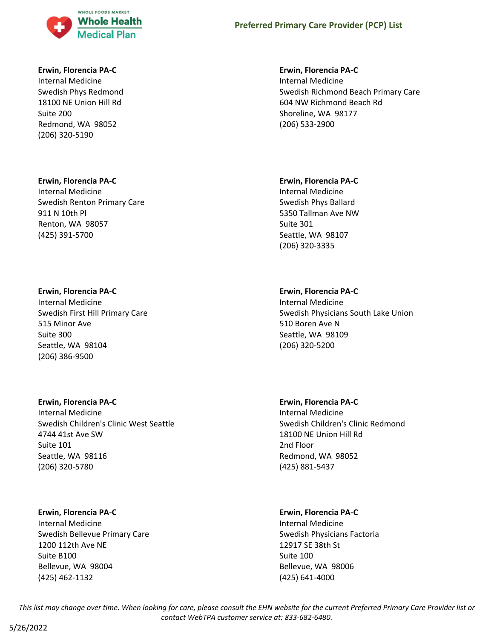

#### **Erwin, Florencia PA-C**

Internal Medicine Swedish Phys Redmond 18100 NE Union Hill Rd Suite 200 Redmond, WA 98052 (206) 320-5190

#### **Erwin, Florencia PA-C**

Internal Medicine Swedish Renton Primary Care 911 N 10th Pl Renton, WA 98057 (425) 391-5700

#### **Erwin, Florencia PA-C**

Internal Medicine Swedish First Hill Primary Care 515 Minor Ave Suite 300 Seattle, WA 98104 (206) 386-9500

#### **Erwin, Florencia PA-C**

Internal Medicine Swedish Children's Clinic West Seattle 4744 41st Ave SW Suite 101 Seattle, WA 98116 (206) 320-5780

#### **Erwin, Florencia PA-C**

Internal Medicine Swedish Bellevue Primary Care 1200 112th Ave NE Suite B100 Bellevue, WA 98004 (425) 462-1132

#### **Erwin, Florencia PA-C**

Internal Medicine Swedish Richmond Beach Primary Care 604 NW Richmond Beach Rd Shoreline, WA 98177 (206) 533-2900

#### **Erwin, Florencia PA-C**

Internal Medicine Swedish Phys Ballard 5350 Tallman Ave NW Suite 301 Seattle, WA 98107 (206) 320-3335

### **Erwin, Florencia PA-C**

Internal Medicine Swedish Physicians South Lake Union 510 Boren Ave N Seattle, WA 98109 (206) 320-5200

## **Erwin, Florencia PA-C**

Internal Medicine Swedish Children's Clinic Redmond 18100 NE Union Hill Rd 2nd Floor Redmond, WA 98052 (425) 881-5437

#### **Erwin, Florencia PA-C**

Internal Medicine Swedish Physicians Factoria 12917 SE 38th St Suite 100 Bellevue, WA 98006 (425) 641-4000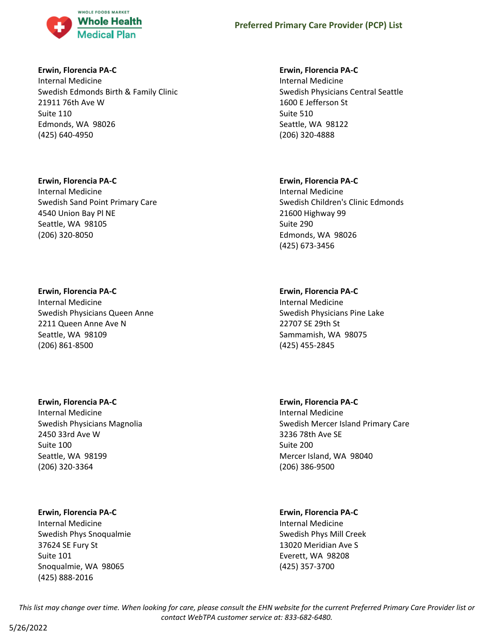

### **Erwin, Florencia PA-C**

Internal Medicine Swedish Edmonds Birth & Family Clinic 21911 76th Ave W Suite 110 Edmonds, WA 98026 (425) 640-4950

### **Erwin, Florencia PA-C**

Internal Medicine Swedish Sand Point Primary Care 4540 Union Bay Pl NE Seattle, WA 98105 (206) 320-8050

### **Erwin, Florencia PA-C**

Internal Medicine Swedish Physicians Queen Anne 2211 Queen Anne Ave N Seattle, WA 98109 (206) 861-8500

## **Erwin, Florencia PA-C**

Internal Medicine Swedish Physicians Magnolia 2450 33rd Ave W Suite 100 Seattle, WA 98199 (206) 320-3364

### **Erwin, Florencia PA-C**

Internal Medicine Swedish Phys Snoqualmie 37624 SE Fury St Suite 101 Snoqualmie, WA 98065 (425) 888-2016

### **Erwin, Florencia PA-C**

Internal Medicine Swedish Physicians Central Seattle 1600 E Jefferson St Suite 510 Seattle, WA 98122 (206) 320-4888

### **Erwin, Florencia PA-C**

Internal Medicine Swedish Children's Clinic Edmonds 21600 Highway 99 Suite 290 Edmonds, WA 98026 (425) 673-3456

## **Erwin, Florencia PA-C**

Internal Medicine Swedish Physicians Pine Lake 22707 SE 29th St Sammamish, WA 98075 (425) 455-2845

### **Erwin, Florencia PA-C**

Internal Medicine Swedish Mercer Island Primary Care 3236 78th Ave SE Suite 200 Mercer Island, WA 98040 (206) 386-9500

### **Erwin, Florencia PA-C**

Internal Medicine Swedish Phys Mill Creek 13020 Meridian Ave S Everett, WA 98208 (425) 357-3700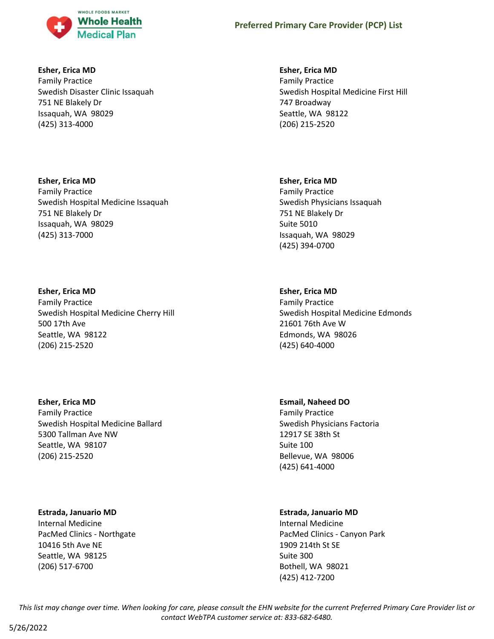

### **Esher, Erica MD**

Family Practice Swedish Disaster Clinic Issaquah 751 NE Blakely Dr Issaquah, WA 98029 (425) 313-4000

## **Esher, Erica MD** Family Practice Swedish Hospital Medicine Issaquah 751 NE Blakely Dr Issaquah, WA 98029 (425) 313-7000

## **Esher, Erica MD**

Family Practice Swedish Hospital Medicine Cherry Hill 500 17th Ave Seattle, WA 98122 (206) 215-2520

## **Esher, Erica MD** Family Practice Swedish Hospital Medicine Ballard 5300 Tallman Ave NW Seattle, WA 98107 (206) 215-2520

### **Estrada, Januario MD**

Internal Medicine PacMed Clinics - Northgate 10416 5th Ave NE Seattle, WA 98125 (206) 517-6700

### **Esher, Erica MD**

Family Practice Swedish Hospital Medicine First Hill 747 Broadway Seattle, WA 98122 (206) 215-2520

### **Esher, Erica MD**

Family Practice Swedish Physicians Issaquah 751 NE Blakely Dr Suite 5010 Issaquah, WA 98029 (425) 394-0700

## **Esher, Erica MD**

Family Practice Swedish Hospital Medicine Edmonds 21601 76th Ave W Edmonds, WA 98026 (425) 640-4000

### **Esmail, Naheed DO**

Family Practice Swedish Physicians Factoria 12917 SE 38th St Suite 100 Bellevue, WA 98006 (425) 641-4000

## **Estrada, Januario MD**

Internal Medicine PacMed Clinics - Canyon Park 1909 214th St SE Suite 300 Bothell, WA 98021 (425) 412-7200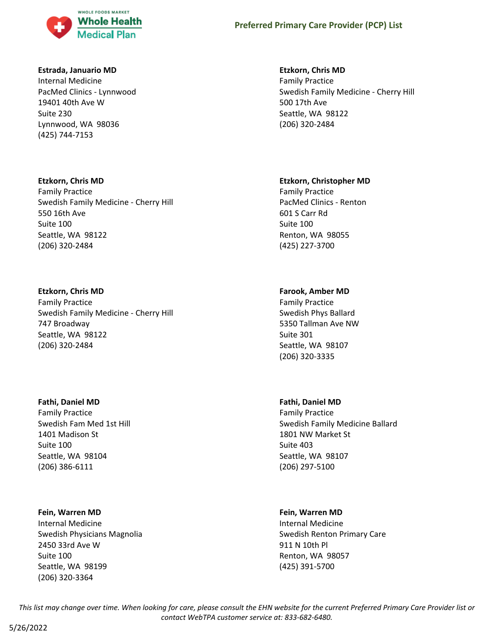

#### **Estrada, Januario MD**

Internal Medicine PacMed Clinics - Lynnwood 19401 40th Ave W Suite 230 Lynnwood, WA 98036 (425) 744-7153

#### **Etzkorn, Chris MD**

Family Practice Swedish Family Medicine - Cherry Hill 550 16th Ave Suite 100 Seattle, WA 98122 (206) 320-2484

### **Etzkorn, Chris MD**

Family Practice Swedish Family Medicine - Cherry Hill 747 Broadway Seattle, WA 98122 (206) 320-2484

#### **Fathi, Daniel MD**

Family Practice Swedish Fam Med 1st Hill 1401 Madison St Suite 100 Seattle, WA 98104 (206) 386-6111

#### **Fein, Warren MD**

Internal Medicine Swedish Physicians Magnolia 2450 33rd Ave W Suite 100 Seattle, WA 98199 (206) 320-3364

#### **Etzkorn, Chris MD**

Family Practice Swedish Family Medicine - Cherry Hill 500 17th Ave Seattle, WA 98122 (206) 320-2484

#### **Etzkorn, Christopher MD**

Family Practice PacMed Clinics - Renton 601 S Carr Rd Suite 100 Renton, WA 98055 (425) 227-3700

### **Farook, Amber MD**

Family Practice Swedish Phys Ballard 5350 Tallman Ave NW Suite 301 Seattle, WA 98107 (206) 320-3335

#### **Fathi, Daniel MD**

Family Practice Swedish Family Medicine Ballard 1801 NW Market St Suite 403 Seattle, WA 98107 (206) 297-5100

#### **Fein, Warren MD**

Internal Medicine Swedish Renton Primary Care 911 N 10th Pl Renton, WA 98057 (425) 391-5700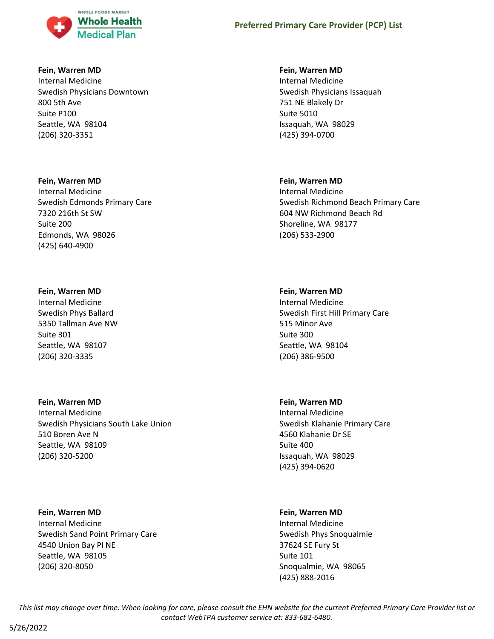

#### **Fein, Warren MD**

Internal Medicine Swedish Physicians Downtown 800 5th Ave Suite P100 Seattle, WA 98104 (206) 320-3351

#### **Fein, Warren MD**

Internal Medicine Swedish Edmonds Primary Care 7320 216th St SW Suite 200 Edmonds, WA 98026 (425) 640-4900

#### **Fein, Warren MD**

Internal Medicine Swedish Phys Ballard 5350 Tallman Ave NW Suite 301 Seattle, WA 98107 (206) 320-3335

## **Fein, Warren MD**

Internal Medicine Swedish Physicians South Lake Union 510 Boren Ave N Seattle, WA 98109 (206) 320-5200

### **Fein, Warren MD**

Internal Medicine Swedish Sand Point Primary Care 4540 Union Bay Pl NE Seattle, WA 98105 (206) 320-8050

#### **Fein, Warren MD**

Internal Medicine Swedish Physicians Issaquah 751 NE Blakely Dr Suite 5010 Issaquah, WA 98029 (425) 394-0700

### **Fein, Warren MD**

Internal Medicine Swedish Richmond Beach Primary Care 604 NW Richmond Beach Rd Shoreline, WA 98177 (206) 533-2900

#### **Fein, Warren MD**

Internal Medicine Swedish First Hill Primary Care 515 Minor Ave Suite 300 Seattle, WA 98104 (206) 386-9500

### **Fein, Warren MD**

Internal Medicine Swedish Klahanie Primary Care 4560 Klahanie Dr SE Suite 400 Issaquah, WA 98029 (425) 394-0620

### **Fein, Warren MD**

Internal Medicine Swedish Phys Snoqualmie 37624 SE Fury St Suite 101 Snoqualmie, WA 98065 (425) 888-2016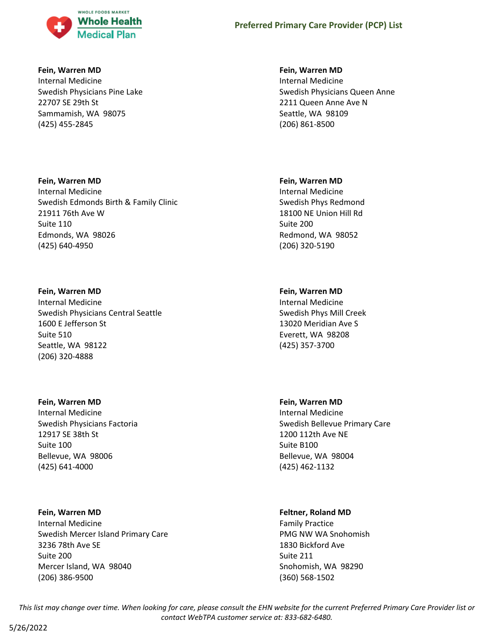

### **Fein, Warren MD**

Internal Medicine Swedish Physicians Pine Lake 22707 SE 29th St Sammamish, WA 98075 (425) 455-2845

### **Fein, Warren MD**

Internal Medicine Swedish Edmonds Birth & Family Clinic 21911 76th Ave W Suite 110 Edmonds, WA 98026 (425) 640-4950

### **Fein, Warren MD**

Internal Medicine Swedish Physicians Central Seattle 1600 E Jefferson St Suite 510 Seattle, WA 98122 (206) 320-4888

#### **Fein, Warren MD**

Internal Medicine Swedish Physicians Factoria 12917 SE 38th St Suite 100 Bellevue, WA 98006 (425) 641-4000

### **Fein, Warren MD**

Internal Medicine Swedish Mercer Island Primary Care 3236 78th Ave SE Suite 200 Mercer Island, WA 98040 (206) 386-9500

### **Fein, Warren MD**

Internal Medicine Swedish Physicians Queen Anne 2211 Queen Anne Ave N Seattle, WA 98109 (206) 861-8500

### **Fein, Warren MD**

Internal Medicine Swedish Phys Redmond 18100 NE Union Hill Rd Suite 200 Redmond, WA 98052 (206) 320-5190

### **Fein, Warren MD**

Internal Medicine Swedish Phys Mill Creek 13020 Meridian Ave S Everett, WA 98208 (425) 357-3700

### **Fein, Warren MD**

Internal Medicine Swedish Bellevue Primary Care 1200 112th Ave NE Suite B100 Bellevue, WA 98004 (425) 462-1132

### **Feltner, Roland MD**

Family Practice PMG NW WA Snohomish 1830 Bickford Ave Suite 211 Snohomish, WA 98290 (360) 568-1502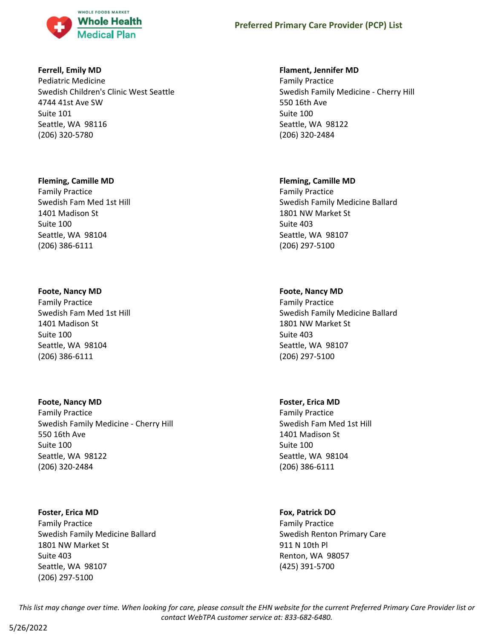

### **Ferrell, Emily MD**

Pediatric Medicine Swedish Children's Clinic West Seattle 4744 41st Ave SW Suite 101 Seattle, WA 98116 (206) 320-5780

### **Fleming, Camille MD**

Family Practice Swedish Fam Med 1st Hill 1401 Madison St Suite 100 Seattle, WA 98104 (206) 386-6111

## **Foote, Nancy MD**

Family Practice Swedish Fam Med 1st Hill 1401 Madison St Suite 100 Seattle, WA 98104 (206) 386-6111

**Foote, Nancy MD** Family Practice Swedish Family Medicine - Cherry Hill 550 16th Ave Suite 100 Seattle, WA 98122 (206) 320-2484

**Foster, Erica MD** Family Practice Swedish Family Medicine Ballard 1801 NW Market St Suite 403 Seattle, WA 98107 (206) 297-5100

### **Flament, Jennifer MD**

Family Practice Swedish Family Medicine - Cherry Hill 550 16th Ave Suite 100 Seattle, WA 98122 (206) 320-2484

## **Fleming, Camille MD**

Family Practice Swedish Family Medicine Ballard 1801 NW Market St Suite 403 Seattle, WA 98107 (206) 297-5100

## **Foote, Nancy MD**

Family Practice Swedish Family Medicine Ballard 1801 NW Market St Suite 403 Seattle, WA 98107 (206) 297-5100

### **Foster, Erica MD**

Family Practice Swedish Fam Med 1st Hill 1401 Madison St Suite 100 Seattle, WA 98104 (206) 386-6111

### **Fox, Patrick DO**

Family Practice Swedish Renton Primary Care 911 N 10th Pl Renton, WA 98057 (425) 391-5700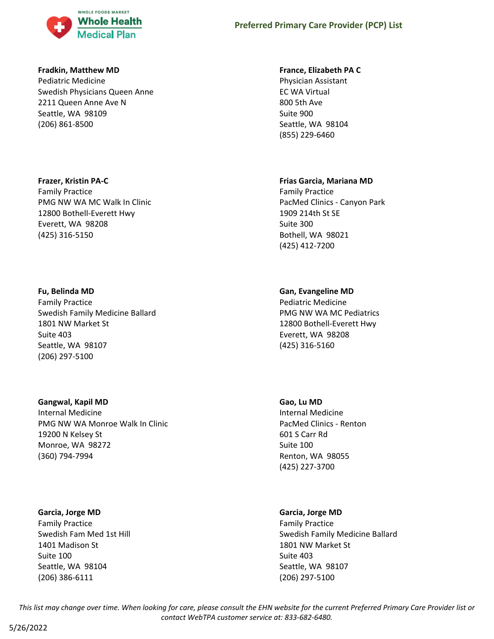

### **Fradkin, Matthew MD**

Pediatric Medicine Swedish Physicians Queen Anne 2211 Queen Anne Ave N Seattle, WA 98109 (206) 861-8500

### **Frazer, Kristin PA-C**

Family Practice PMG NW WA MC Walk In Clinic 12800 Bothell-Everett Hwy Everett, WA 98208 (425) 316-5150

### **Fu, Belinda MD**

Family Practice Swedish Family Medicine Ballard 1801 NW Market St Suite 403 Seattle, WA 98107 (206) 297-5100

## **Gangwal, Kapil MD**

Internal Medicine PMG NW WA Monroe Walk In Clinic 19200 N Kelsey St Monroe, WA 98272 (360) 794-7994

### **Garcia, Jorge MD**

Family Practice Swedish Fam Med 1st Hill 1401 Madison St Suite 100 Seattle, WA 98104 (206) 386-6111

### **France, Elizabeth PA C**

Physician Assistant EC WA Virtual 800 5th Ave Suite 900 Seattle, WA 98104 (855) 229-6460

### **Frias Garcia, Mariana MD**

Family Practice PacMed Clinics - Canyon Park 1909 214th St SE Suite 300 Bothell, WA 98021 (425) 412-7200

## **Gan, Evangeline MD**

Pediatric Medicine PMG NW WA MC Pediatrics 12800 Bothell-Everett Hwy Everett, WA 98208 (425) 316-5160

## **Gao, Lu MD**

Internal Medicine PacMed Clinics - Renton 601 S Carr Rd Suite 100 Renton, WA 98055 (425) 227-3700

## **Garcia, Jorge MD**

Family Practice Swedish Family Medicine Ballard 1801 NW Market St Suite 403 Seattle, WA 98107 (206) 297-5100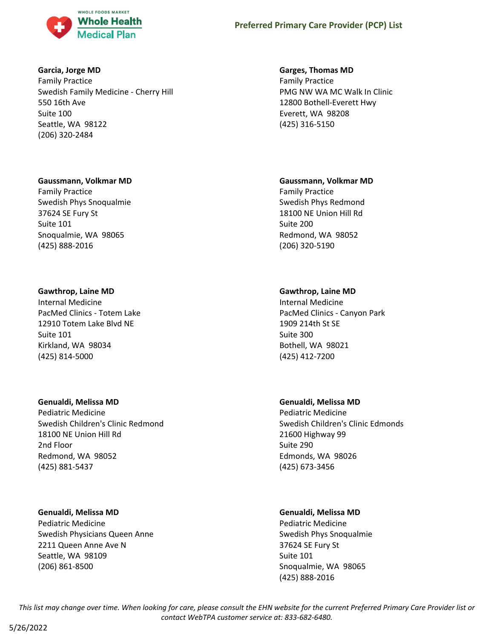

### **Garcia, Jorge MD**

Family Practice Swedish Family Medicine - Cherry Hill 550 16th Ave Suite 100 Seattle, WA 98122 (206) 320-2484

### **Gaussmann, Volkmar MD**

Family Practice Swedish Phys Snoqualmie 37624 SE Fury St Suite 101 Snoqualmie, WA 98065 (425) 888-2016

## **Gawthrop, Laine MD**

Internal Medicine PacMed Clinics - Totem Lake 12910 Totem Lake Blvd NE Suite 101 Kirkland, WA 98034 (425) 814-5000

### **Genualdi, Melissa MD**

Pediatric Medicine Swedish Children's Clinic Redmond 18100 NE Union Hill Rd 2nd Floor Redmond, WA 98052 (425) 881-5437

## **Genualdi, Melissa MD**

Pediatric Medicine Swedish Physicians Queen Anne 2211 Queen Anne Ave N Seattle, WA 98109 (206) 861-8500

### **Garges, Thomas MD**

Family Practice PMG NW WA MC Walk In Clinic 12800 Bothell-Everett Hwy Everett, WA 98208 (425) 316-5150

## **Gaussmann, Volkmar MD**

Family Practice Swedish Phys Redmond 18100 NE Union Hill Rd Suite 200 Redmond, WA 98052 (206) 320-5190

## **Gawthrop, Laine MD**

Internal Medicine PacMed Clinics - Canyon Park 1909 214th St SE Suite 300 Bothell, WA 98021 (425) 412-7200

## **Genualdi, Melissa MD**

Pediatric Medicine Swedish Children's Clinic Edmonds 21600 Highway 99 Suite 290 Edmonds, WA 98026 (425) 673-3456

## **Genualdi, Melissa MD**

Pediatric Medicine Swedish Phys Snoqualmie 37624 SE Fury St Suite 101 Snoqualmie, WA 98065 (425) 888-2016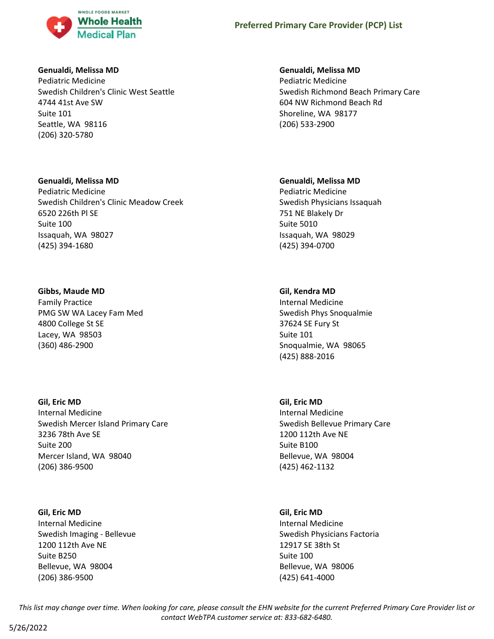

### **Genualdi, Melissa MD**

Pediatric Medicine Swedish Children's Clinic West Seattle 4744 41st Ave SW Suite 101 Seattle, WA 98116 (206) 320-5780

### **Genualdi, Melissa MD**

Pediatric Medicine Swedish Children's Clinic Meadow Creek 6520 226th Pl SE Suite 100 Issaquah, WA 98027 (425) 394-1680

## **Gibbs, Maude MD**

Family Practice PMG SW WA Lacey Fam Med 4800 College St SE Lacey, WA 98503 (360) 486-2900

## **Gil, Eric MD**

Internal Medicine Swedish Mercer Island Primary Care 3236 78th Ave SE Suite 200 Mercer Island, WA 98040 (206) 386-9500

## **Gil, Eric MD**

Internal Medicine Swedish Imaging - Bellevue 1200 112th Ave NE Suite B250 Bellevue, WA 98004 (206) 386-9500

## **Genualdi, Melissa MD**

Pediatric Medicine Swedish Richmond Beach Primary Care 604 NW Richmond Beach Rd Shoreline, WA 98177 (206) 533-2900

## **Genualdi, Melissa MD**

Pediatric Medicine Swedish Physicians Issaquah 751 NE Blakely Dr Suite 5010 Issaquah, WA 98029 (425) 394-0700

## **Gil, Kendra MD**

Internal Medicine Swedish Phys Snoqualmie 37624 SE Fury St Suite 101 Snoqualmie, WA 98065 (425) 888-2016

## **Gil, Eric MD** Internal Medicine Swedish Bellevue Primary Care 1200 112th Ave NE Suite B100 Bellevue, WA 98004 (425) 462-1132

## **Gil, Eric MD** Internal Medicine Swedish Physicians Factoria 12917 SE 38th St Suite 100 Bellevue, WA 98006 (425) 641-4000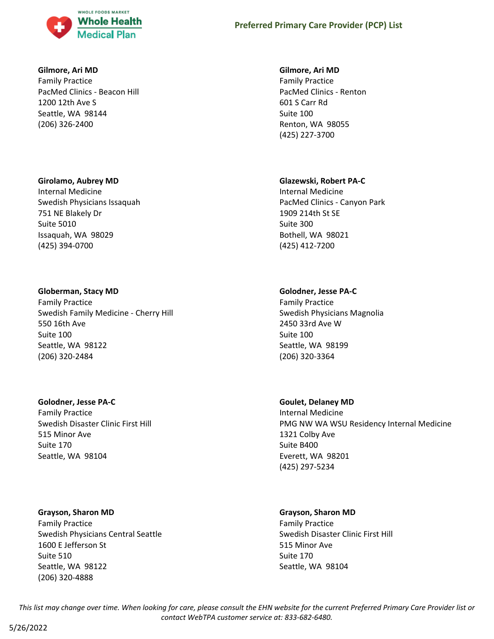

### **Gilmore, Ari MD**

Family Practice PacMed Clinics - Beacon Hill 1200 12th Ave S Seattle, WA 98144 (206) 326-2400

### **Girolamo, Aubrey MD**

Internal Medicine Swedish Physicians Issaquah 751 NE Blakely Dr Suite 5010 Issaquah, WA 98029 (425) 394-0700

### **Globerman, Stacy MD**

Family Practice Swedish Family Medicine - Cherry Hill 550 16th Ave Suite 100 Seattle, WA 98122 (206) 320-2484

### **Golodner, Jesse PA-C**

Family Practice Swedish Disaster Clinic First Hill 515 Minor Ave Suite 170 Seattle, WA 98104

### **Grayson, Sharon MD**

Family Practice Swedish Physicians Central Seattle 1600 E Jefferson St Suite 510 Seattle, WA 98122 (206) 320-4888

#### **Gilmore, Ari MD**

Family Practice PacMed Clinics - Renton 601 S Carr Rd Suite 100 Renton, WA 98055 (425) 227-3700

### **Glazewski, Robert PA-C**

Internal Medicine PacMed Clinics - Canyon Park 1909 214th St SE Suite 300 Bothell, WA 98021 (425) 412-7200

### **Golodner, Jesse PA-C**

Family Practice Swedish Physicians Magnolia 2450 33rd Ave W Suite 100 Seattle, WA 98199 (206) 320-3364

### **Goulet, Delaney MD**

Internal Medicine PMG NW WA WSU Residency Internal Medicine 1321 Colby Ave Suite B400 Everett, WA 98201 (425) 297-5234

#### **Grayson, Sharon MD**

Family Practice Swedish Disaster Clinic First Hill 515 Minor Ave Suite 170 Seattle, WA 98104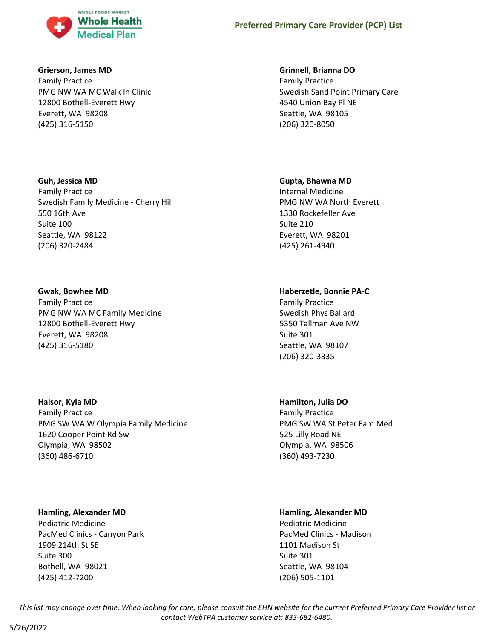

### **Grierson, James MD**

Family Practice PMG NW WA MC Walk In Clinic 12800 Bothell-Everett Hwy Everett, WA 98208 (425) 316-5150

### **Guh, Jessica MD**

Family Practice Swedish Family Medicine - Cherry Hill 550 16th Ave Suite 100 Seattle, WA 98122 (206) 320-2484

### **Gwak, Bowhee MD**

Family Practice PMG NW WA MC Family Medicine 12800 Bothell-Everett Hwy Everett, WA 98208 (425) 316-5180

### **Halsor, Kyla MD**

Family Practice PMG SW WA W Olympia Family Medicine 1620 Cooper Point Rd Sw Olympia, WA 98502 (360) 486-6710

### **Hamling, Alexander MD**

Pediatric Medicine PacMed Clinics - Canyon Park 1909 214th St SE Suite 300 Bothell, WA 98021 (425) 412-7200

### **Grinnell, Brianna DO**

Family Practice Swedish Sand Point Primary Care 4540 Union Bay Pl NE Seattle, WA 98105 (206) 320-8050

#### **Gupta, Bhawna MD**

Internal Medicine PMG NW WA North Everett 1330 Rockefeller Ave Suite 210 Everett, WA 98201 (425) 261-4940

### **Haberzetle, Bonnie PA-C**

Family Practice Swedish Phys Ballard 5350 Tallman Ave NW Suite 301 Seattle, WA 98107 (206) 320-3335

### **Hamilton, Julia DO**

Family Practice PMG SW WA St Peter Fam Med 525 Lilly Road NE Olympia, WA 98506 (360) 493-7230

### **Hamling, Alexander MD**

Pediatric Medicine PacMed Clinics - Madison 1101 Madison St Suite 301 Seattle, WA 98104 (206) 505-1101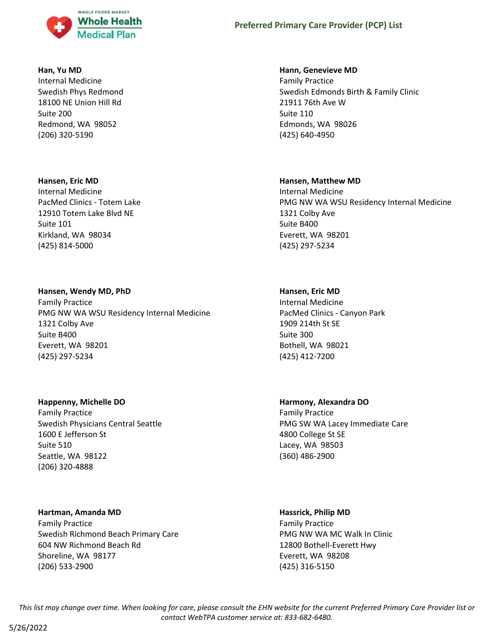

#### **Han, Yu MD**

Internal Medicine Swedish Phys Redmond 18100 NE Union Hill Rd Suite 200 Redmond, WA 98052 (206) 320-5190

#### **Hansen, Eric MD**

Internal Medicine PacMed Clinics - Totem Lake 12910 Totem Lake Blvd NE Suite 101 Kirkland, WA 98034 (425) 814-5000

### **Hansen, Wendy MD, PhD**

Family Practice PMG NW WA WSU Residency Internal Medicine 1321 Colby Ave Suite B400 Everett, WA 98201 (425) 297-5234

### **Happenny, Michelle DO**

Family Practice Swedish Physicians Central Seattle 1600 E Jefferson St Suite 510 Seattle, WA 98122 (206) 320-4888

### **Hartman, Amanda MD**

Family Practice Swedish Richmond Beach Primary Care 604 NW Richmond Beach Rd Shoreline, WA 98177 (206) 533-2900

#### **Hann, Genevieve MD**

Family Practice Swedish Edmonds Birth & Family Clinic 21911 76th Ave W Suite 110 Edmonds, WA 98026 (425) 640-4950

#### **Hansen, Matthew MD**

Internal Medicine PMG NW WA WSU Residency Internal Medicine 1321 Colby Ave Suite B400 Everett, WA 98201 (425) 297-5234

### **Hansen, Eric MD**

Internal Medicine PacMed Clinics - Canyon Park 1909 214th St SE Suite 300 Bothell, WA 98021 (425) 412-7200

## **Harmony, Alexandra DO**

Family Practice PMG SW WA Lacey Immediate Care 4800 College St SE Lacey, WA 98503 (360) 486-2900

#### **Hassrick, Philip MD**

Family Practice PMG NW WA MC Walk In Clinic 12800 Bothell-Everett Hwy Everett, WA 98208 (425) 316-5150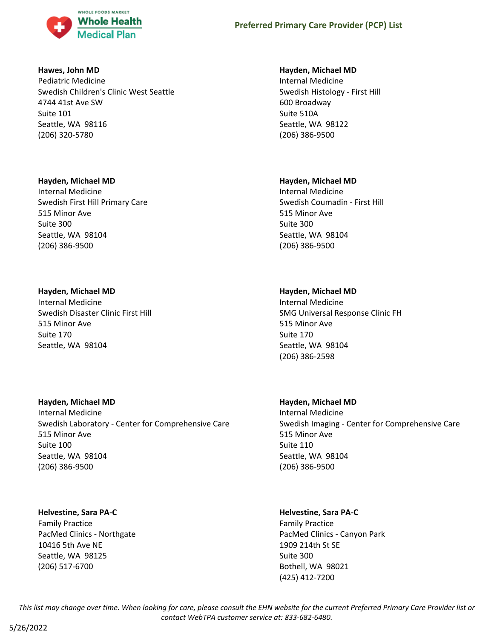

### **Hawes, John MD**

Pediatric Medicine Swedish Children's Clinic West Seattle 4744 41st Ave SW Suite 101 Seattle, WA 98116 (206) 320-5780

### **Hayden, Michael MD**

Internal Medicine Swedish First Hill Primary Care 515 Minor Ave Suite 300 Seattle, WA 98104 (206) 386-9500

## **Hayden, Michael MD**

Internal Medicine Swedish Disaster Clinic First Hill 515 Minor Ave Suite 170 Seattle, WA 98104

## **Hayden, Michael MD**

Internal Medicine Swedish Laboratory - Center for Comprehensive Care 515 Minor Ave Suite 100 Seattle, WA 98104 (206) 386-9500

### **Helvestine, Sara PA-C**

Family Practice PacMed Clinics - Northgate 10416 5th Ave NE Seattle, WA 98125 (206) 517-6700

### **Hayden, Michael MD**

Internal Medicine Swedish Histology - First Hill 600 Broadway Suite 510A Seattle, WA 98122 (206) 386-9500

## **Hayden, Michael MD**

Internal Medicine Swedish Coumadin - First Hill 515 Minor Ave Suite 300 Seattle, WA 98104 (206) 386-9500

## **Hayden, Michael MD**

Internal Medicine SMG Universal Response Clinic FH 515 Minor Ave Suite 170 Seattle, WA 98104 (206) 386-2598

## **Hayden, Michael MD**

Internal Medicine Swedish Imaging - Center for Comprehensive Care 515 Minor Ave Suite 110 Seattle, WA 98104 (206) 386-9500

## **Helvestine, Sara PA-C**

Family Practice PacMed Clinics - Canyon Park 1909 214th St SE Suite 300 Bothell, WA 98021 (425) 412-7200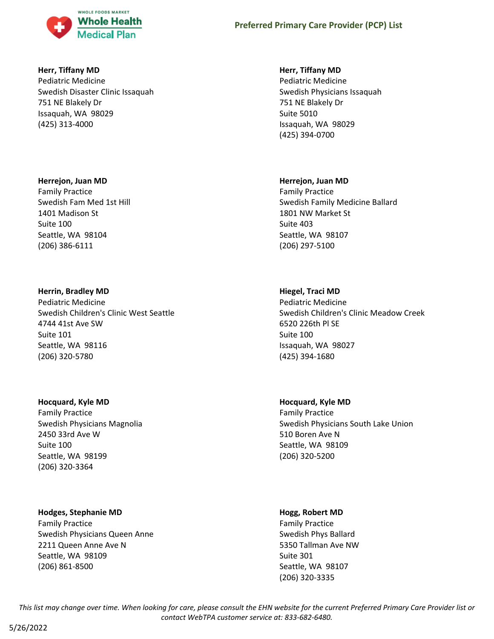

### **Herr, Tiffany MD**

Pediatric Medicine Swedish Disaster Clinic Issaquah 751 NE Blakely Dr Issaquah, WA 98029 (425) 313-4000

#### **Herrejon, Juan MD**

Family Practice Swedish Fam Med 1st Hill 1401 Madison St Suite 100 Seattle, WA 98104 (206) 386-6111

### **Herrin, Bradley MD**

Pediatric Medicine Swedish Children's Clinic West Seattle 4744 41st Ave SW Suite 101 Seattle, WA 98116 (206) 320-5780

#### **Hocquard, Kyle MD**

Family Practice Swedish Physicians Magnolia 2450 33rd Ave W Suite 100 Seattle, WA 98199 (206) 320-3364

### **Hodges, Stephanie MD**

Family Practice Swedish Physicians Queen Anne 2211 Queen Anne Ave N Seattle, WA 98109 (206) 861-8500

### **Herr, Tiffany MD**

Pediatric Medicine Swedish Physicians Issaquah 751 NE Blakely Dr Suite 5010 Issaquah, WA 98029 (425) 394-0700

#### **Herrejon, Juan MD**

Family Practice Swedish Family Medicine Ballard 1801 NW Market St Suite 403 Seattle, WA 98107 (206) 297-5100

### **Hiegel, Traci MD**

Pediatric Medicine Swedish Children's Clinic Meadow Creek 6520 226th Pl SE Suite 100 Issaquah, WA 98027 (425) 394-1680

### **Hocquard, Kyle MD**

Family Practice Swedish Physicians South Lake Union 510 Boren Ave N Seattle, WA 98109 (206) 320-5200

#### **Hogg, Robert MD**

Family Practice Swedish Phys Ballard 5350 Tallman Ave NW Suite 301 Seattle, WA 98107 (206) 320-3335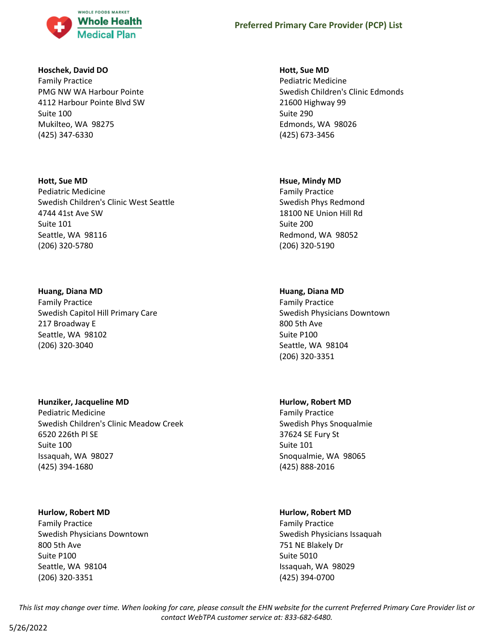

### **Hoschek, David DO**

Family Practice PMG NW WA Harbour Pointe 4112 Harbour Pointe Blvd SW Suite 100 Mukilteo, WA 98275 (425) 347-6330

# **Hott, Sue MD**

Pediatric Medicine Swedish Children's Clinic West Seattle 4744 41st Ave SW Suite 101 Seattle, WA 98116 (206) 320-5780

## **Huang, Diana MD**

Family Practice Swedish Capitol Hill Primary Care 217 Broadway E Seattle, WA 98102 (206) 320-3040

## **Hunziker, Jacqueline MD**

Pediatric Medicine Swedish Children's Clinic Meadow Creek 6520 226th Pl SE Suite 100 Issaquah, WA 98027 (425) 394-1680

### **Hurlow, Robert MD**

Family Practice Swedish Physicians Downtown 800 5th Ave Suite P100 Seattle, WA 98104 (206) 320-3351

### **Hott, Sue MD**

Pediatric Medicine Swedish Children's Clinic Edmonds 21600 Highway 99 Suite 290 Edmonds, WA 98026 (425) 673-3456

### **Hsue, Mindy MD**

Family Practice Swedish Phys Redmond 18100 NE Union Hill Rd Suite 200 Redmond, WA 98052 (206) 320-5190

## **Huang, Diana MD**

Family Practice Swedish Physicians Downtown 800 5th Ave Suite P100 Seattle, WA 98104 (206) 320-3351

## **Hurlow, Robert MD**

Family Practice Swedish Phys Snoqualmie 37624 SE Fury St Suite 101 Snoqualmie, WA 98065 (425) 888-2016

## **Hurlow, Robert MD**

Family Practice Swedish Physicians Issaquah 751 NE Blakely Dr Suite 5010 Issaquah, WA 98029 (425) 394-0700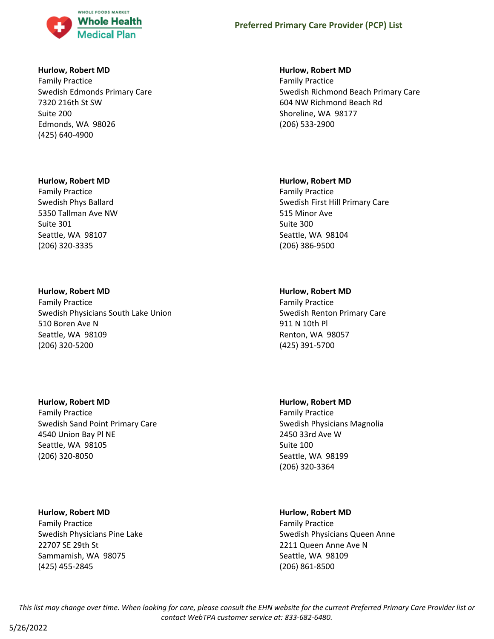

### **Hurlow, Robert MD**

Family Practice Swedish Edmonds Primary Care 7320 216th St SW Suite 200 Edmonds, WA 98026 (425) 640-4900

#### **Hurlow, Robert MD**

Family Practice Swedish Phys Ballard 5350 Tallman Ave NW Suite 301 Seattle, WA 98107 (206) 320-3335

### **Hurlow, Robert MD**

Family Practice Swedish Physicians South Lake Union 510 Boren Ave N Seattle, WA 98109 (206) 320-5200

### **Hurlow, Robert MD**

Family Practice Swedish Sand Point Primary Care 4540 Union Bay Pl NE Seattle, WA 98105 (206) 320-8050

### **Hurlow, Robert MD**

Family Practice Swedish Physicians Pine Lake 22707 SE 29th St Sammamish, WA 98075 (425) 455-2845

### **Hurlow, Robert MD**

Family Practice Swedish Richmond Beach Primary Care 604 NW Richmond Beach Rd Shoreline, WA 98177 (206) 533-2900

#### **Hurlow, Robert MD**

Family Practice Swedish First Hill Primary Care 515 Minor Ave Suite 300 Seattle, WA 98104 (206) 386-9500

### **Hurlow, Robert MD**

Family Practice Swedish Renton Primary Care 911 N 10th Pl Renton, WA 98057 (425) 391-5700

### **Hurlow, Robert MD**

Family Practice Swedish Physicians Magnolia 2450 33rd Ave W Suite 100 Seattle, WA 98199 (206) 320-3364

### **Hurlow, Robert MD**

Family Practice Swedish Physicians Queen Anne 2211 Queen Anne Ave N Seattle, WA 98109 (206) 861-8500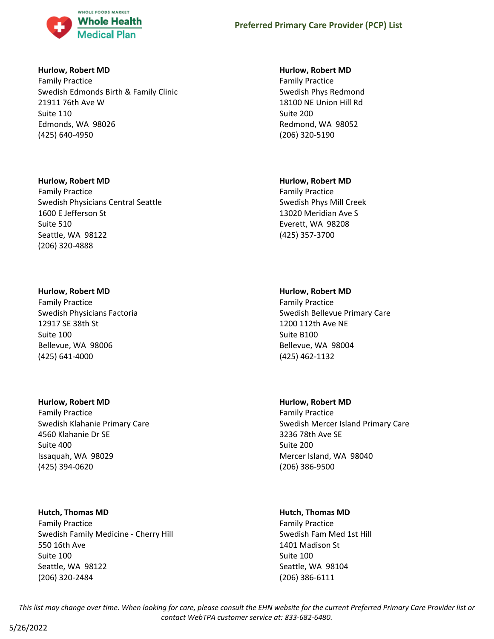

### **Hurlow, Robert MD**

Family Practice Swedish Edmonds Birth & Family Clinic 21911 76th Ave W Suite 110 Edmonds, WA 98026 (425) 640-4950

### **Hurlow, Robert MD**

Family Practice Swedish Physicians Central Seattle 1600 E Jefferson St Suite 510 Seattle, WA 98122 (206) 320-4888

### **Hurlow, Robert MD**

Family Practice Swedish Physicians Factoria 12917 SE 38th St Suite 100 Bellevue, WA 98006 (425) 641-4000

## **Hurlow, Robert MD**

Family Practice Swedish Klahanie Primary Care 4560 Klahanie Dr SE Suite 400 Issaquah, WA 98029 (425) 394-0620

## **Hutch, Thomas MD**

Family Practice Swedish Family Medicine - Cherry Hill 550 16th Ave Suite 100 Seattle, WA 98122 (206) 320-2484

## **Hurlow, Robert MD**

Family Practice Swedish Phys Redmond 18100 NE Union Hill Rd Suite 200 Redmond, WA 98052 (206) 320-5190

### **Hurlow, Robert MD**

Family Practice Swedish Phys Mill Creek 13020 Meridian Ave S Everett, WA 98208 (425) 357-3700

## **Hurlow, Robert MD**

Family Practice Swedish Bellevue Primary Care 1200 112th Ave NE Suite B100 Bellevue, WA 98004 (425) 462-1132

## **Hurlow, Robert MD**

Family Practice Swedish Mercer Island Primary Care 3236 78th Ave SE Suite 200 Mercer Island, WA 98040 (206) 386-9500

## **Hutch, Thomas MD**

Family Practice Swedish Fam Med 1st Hill 1401 Madison St Suite 100 Seattle, WA 98104 (206) 386-6111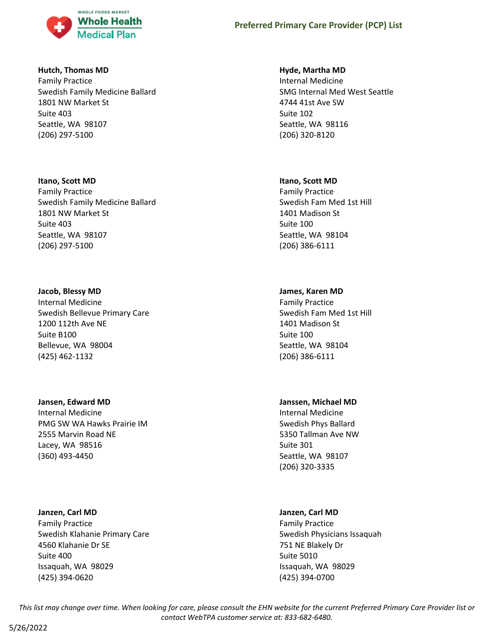

### **Hutch, Thomas MD**

Family Practice Swedish Family Medicine Ballard 1801 NW Market St Suite 403 Seattle, WA 98107 (206) 297-5100

### **Itano, Scott MD**

Family Practice Swedish Family Medicine Ballard 1801 NW Market St Suite 403 Seattle, WA 98107 (206) 297-5100

### **Jacob, Blessy MD**

Internal Medicine Swedish Bellevue Primary Care 1200 112th Ave NE Suite B100 Bellevue, WA 98004 (425) 462-1132

## **Jansen, Edward MD**

Internal Medicine PMG SW WA Hawks Prairie IM 2555 Marvin Road NE Lacey, WA 98516 (360) 493-4450

### **Janzen, Carl MD**

Family Practice Swedish Klahanie Primary Care 4560 Klahanie Dr SE Suite 400 Issaquah, WA 98029 (425) 394-0620

### **Hyde, Martha MD**

Internal Medicine SMG Internal Med West Seattle 4744 41st Ave SW Suite 102 Seattle, WA 98116 (206) 320-8120

### **Itano, Scott MD**

Family Practice Swedish Fam Med 1st Hill 1401 Madison St Suite 100 Seattle, WA 98104 (206) 386-6111

## **James, Karen MD**

Family Practice Swedish Fam Med 1st Hill 1401 Madison St Suite 100 Seattle, WA 98104 (206) 386-6111

## **Janssen, Michael MD**

Internal Medicine Swedish Phys Ballard 5350 Tallman Ave NW Suite 301 Seattle, WA 98107 (206) 320-3335

## **Janzen, Carl MD**

Family Practice Swedish Physicians Issaquah 751 NE Blakely Dr Suite 5010 Issaquah, WA 98029 (425) 394-0700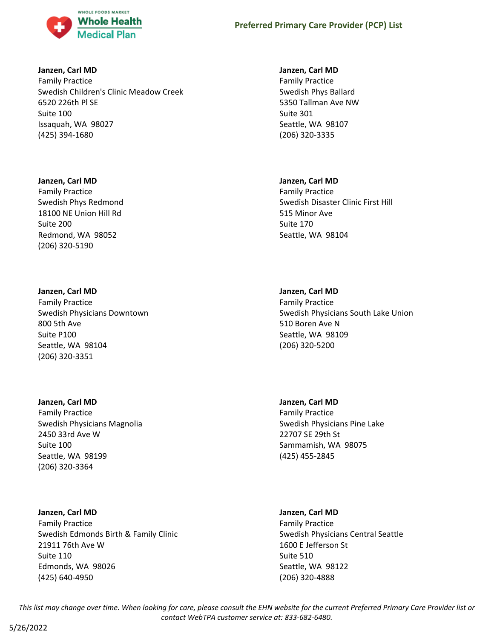

### **Janzen, Carl MD**

Family Practice Swedish Children's Clinic Meadow Creek 6520 226th Pl SE Suite 100 Issaquah, WA 98027 (425) 394-1680

### **Janzen, Carl MD**

Family Practice Swedish Phys Redmond 18100 NE Union Hill Rd Suite 200 Redmond, WA 98052 (206) 320-5190

### **Janzen, Carl MD**

Family Practice Swedish Physicians Downtown 800 5th Ave Suite P100 Seattle, WA 98104 (206) 320-3351

### **Janzen, Carl MD**

Family Practice Swedish Physicians Magnolia 2450 33rd Ave W Suite 100 Seattle, WA 98199 (206) 320-3364

### **Janzen, Carl MD**

Family Practice Swedish Edmonds Birth & Family Clinic 21911 76th Ave W Suite 110 Edmonds, WA 98026 (425) 640-4950

### **Janzen, Carl MD**

Family Practice Swedish Phys Ballard 5350 Tallman Ave NW Suite 301 Seattle, WA 98107 (206) 320-3335

## **Janzen, Carl MD**

Family Practice Swedish Disaster Clinic First Hill 515 Minor Ave Suite 170 Seattle, WA 98104

## **Janzen, Carl MD**

Family Practice Swedish Physicians South Lake Union 510 Boren Ave N Seattle, WA 98109 (206) 320-5200

### **Janzen, Carl MD**

Family Practice Swedish Physicians Pine Lake 22707 SE 29th St Sammamish, WA 98075 (425) 455-2845

### **Janzen, Carl MD**

Family Practice Swedish Physicians Central Seattle 1600 E Jefferson St Suite 510 Seattle, WA 98122 (206) 320-4888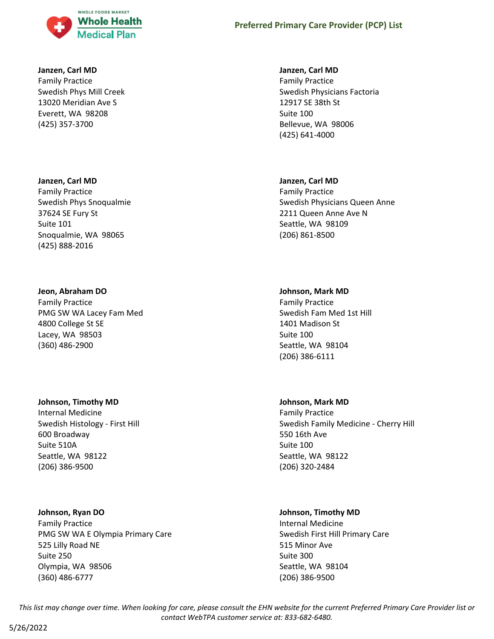

#### **Janzen, Carl MD**

Family Practice Swedish Phys Mill Creek 13020 Meridian Ave S Everett, WA 98208 (425) 357-3700

#### **Janzen, Carl MD**

Family Practice Swedish Phys Snoqualmie 37624 SE Fury St Suite 101 Snoqualmie, WA 98065 (425) 888-2016

#### **Jeon, Abraham DO**

Family Practice PMG SW WA Lacey Fam Med 4800 College St SE Lacey, WA 98503 (360) 486-2900

### **Johnson, Timothy MD**

Internal Medicine Swedish Histology - First Hill 600 Broadway Suite 510A Seattle, WA 98122 (206) 386-9500

### **Johnson, Ryan DO**

Family Practice PMG SW WA E Olympia Primary Care 525 Lilly Road NE Suite 250 Olympia, WA 98506 (360) 486-6777

### **Janzen, Carl MD**

Family Practice Swedish Physicians Factoria 12917 SE 38th St Suite 100 Bellevue, WA 98006 (425) 641-4000

#### **Janzen, Carl MD**

Family Practice Swedish Physicians Queen Anne 2211 Queen Anne Ave N Seattle, WA 98109 (206) 861-8500

#### **Johnson, Mark MD**

Family Practice Swedish Fam Med 1st Hill 1401 Madison St Suite 100 Seattle, WA 98104 (206) 386-6111

#### **Johnson, Mark MD**

Family Practice Swedish Family Medicine - Cherry Hill 550 16th Ave Suite 100 Seattle, WA 98122 (206) 320-2484

### **Johnson, Timothy MD**

Internal Medicine Swedish First Hill Primary Care 515 Minor Ave Suite 300 Seattle, WA 98104 (206) 386-9500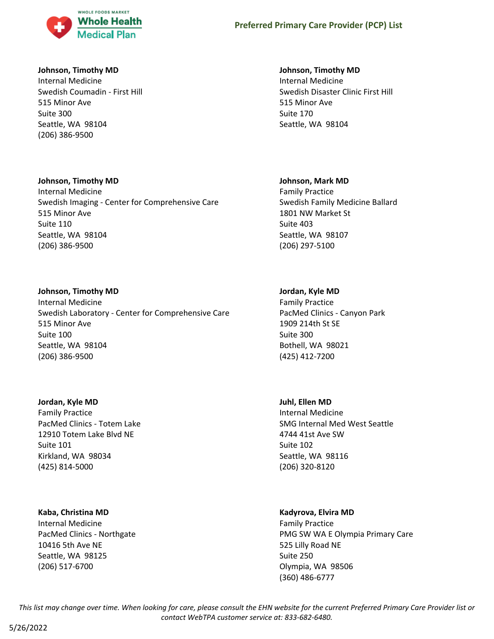

### **Johnson, Timothy MD**

Internal Medicine Swedish Coumadin - First Hill 515 Minor Ave Suite 300 Seattle, WA 98104 (206) 386-9500

### **Johnson, Timothy MD**

Internal Medicine Swedish Imaging - Center for Comprehensive Care 515 Minor Ave Suite 110 Seattle, WA 98104 (206) 386-9500

### **Johnson, Timothy MD**

Internal Medicine Swedish Laboratory - Center for Comprehensive Care 515 Minor Ave Suite 100 Seattle, WA 98104 (206) 386-9500

### **Jordan, Kyle MD**

Family Practice PacMed Clinics - Totem Lake 12910 Totem Lake Blvd NE Suite 101 Kirkland, WA 98034 (425) 814-5000

## **Kaba, Christina MD**

Internal Medicine PacMed Clinics - Northgate 10416 5th Ave NE Seattle, WA 98125 (206) 517-6700

### **Johnson, Timothy MD**

Internal Medicine Swedish Disaster Clinic First Hill 515 Minor Ave Suite 170 Seattle, WA 98104

### **Johnson, Mark MD**

Family Practice Swedish Family Medicine Ballard 1801 NW Market St Suite 403 Seattle, WA 98107 (206) 297-5100

## **Jordan, Kyle MD**

Family Practice PacMed Clinics - Canyon Park 1909 214th St SE Suite 300 Bothell, WA 98021 (425) 412-7200

## **Juhl, Ellen MD**

Internal Medicine SMG Internal Med West Seattle 4744 41st Ave SW Suite 102 Seattle, WA 98116 (206) 320-8120

## **Kadyrova, Elvira MD**

Family Practice PMG SW WA E Olympia Primary Care 525 Lilly Road NE Suite 250 Olympia, WA 98506 (360) 486-6777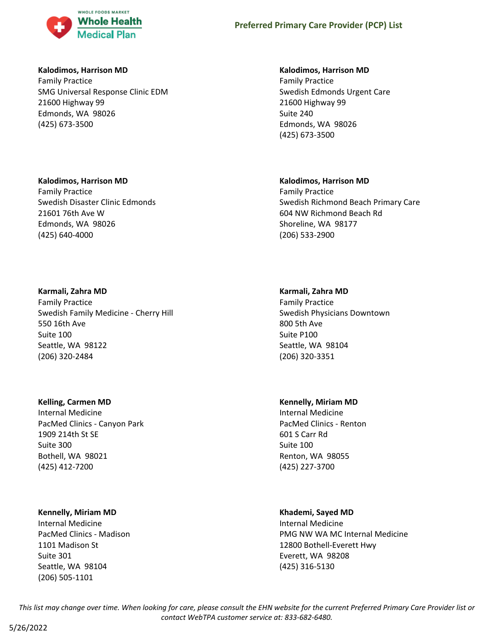

#### **Kalodimos, Harrison MD**

Family Practice SMG Universal Response Clinic EDM 21600 Highway 99 Edmonds, WA 98026 (425) 673-3500

### **Kalodimos, Harrison MD**

Family Practice Swedish Edmonds Urgent Care 21600 Highway 99 Suite 240 Edmonds, WA 98026 (425) 673-3500

#### **Kalodimos, Harrison MD**

Family Practice Swedish Disaster Clinic Edmonds 21601 76th Ave W Edmonds, WA 98026 (425) 640-4000

### **Karmali, Zahra MD**

Family Practice Swedish Family Medicine - Cherry Hill 550 16th Ave Suite 100 Seattle, WA 98122 (206) 320-2484

### **Kelling, Carmen MD**

Internal Medicine PacMed Clinics - Canyon Park 1909 214th St SE Suite 300 Bothell, WA 98021 (425) 412-7200

### **Kennelly, Miriam MD**

Internal Medicine PacMed Clinics - Madison 1101 Madison St Suite 301 Seattle, WA 98104 (206) 505-1101

### **Kalodimos, Harrison MD**

Family Practice Swedish Richmond Beach Primary Care 604 NW Richmond Beach Rd Shoreline, WA 98177 (206) 533-2900

#### **Karmali, Zahra MD**

Family Practice Swedish Physicians Downtown 800 5th Ave Suite P100 Seattle, WA 98104 (206) 320-3351

#### **Kennelly, Miriam MD**

Internal Medicine PacMed Clinics - Renton 601 S Carr Rd Suite 100 Renton, WA 98055 (425) 227-3700

### **Khademi, Sayed MD**

Internal Medicine PMG NW WA MC Internal Medicine 12800 Bothell-Everett Hwy Everett, WA 98208 (425) 316-5130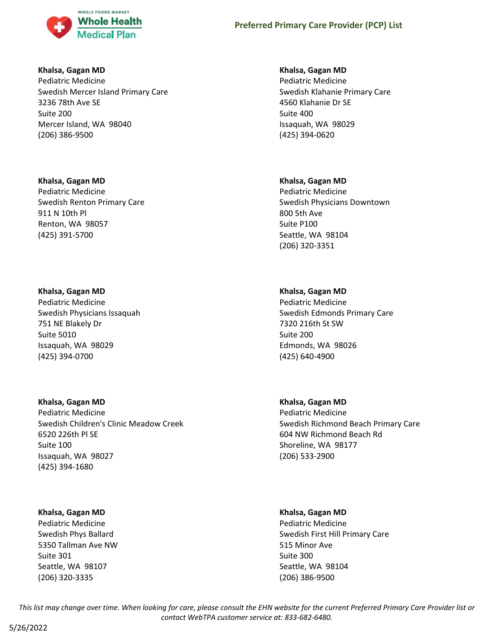

#### **Khalsa, Gagan MD**

Pediatric Medicine Swedish Mercer Island Primary Care 3236 78th Ave SE Suite 200 Mercer Island, WA 98040 (206) 386-9500

### **Khalsa, Gagan MD**

Pediatric Medicine Swedish Renton Primary Care 911 N 10th Pl Renton, WA 98057 (425) 391-5700

## **Khalsa, Gagan MD**

Pediatric Medicine Swedish Physicians Issaquah 751 NE Blakely Dr Suite 5010 Issaquah, WA 98029 (425) 394-0700

## **Khalsa, Gagan MD**

Pediatric Medicine Swedish Children's Clinic Meadow Creek 6520 226th Pl SE Suite 100 Issaquah, WA 98027 (425) 394-1680

## **Khalsa, Gagan MD**

Pediatric Medicine Swedish Phys Ballard 5350 Tallman Ave NW Suite 301 Seattle, WA 98107 (206) 320-3335

### **Khalsa, Gagan MD**

Pediatric Medicine Swedish Klahanie Primary Care 4560 Klahanie Dr SE Suite 400 Issaquah, WA 98029 (425) 394-0620

### **Khalsa, Gagan MD**

Pediatric Medicine Swedish Physicians Downtown 800 5th Ave Suite P100 Seattle, WA 98104 (206) 320-3351

## **Khalsa, Gagan MD**

Pediatric Medicine Swedish Edmonds Primary Care 7320 216th St SW Suite 200 Edmonds, WA 98026 (425) 640-4900

## **Khalsa, Gagan MD**

Pediatric Medicine Swedish Richmond Beach Primary Care 604 NW Richmond Beach Rd Shoreline, WA 98177 (206) 533-2900

### **Khalsa, Gagan MD**

Pediatric Medicine Swedish First Hill Primary Care 515 Minor Ave Suite 300 Seattle, WA 98104 (206) 386-9500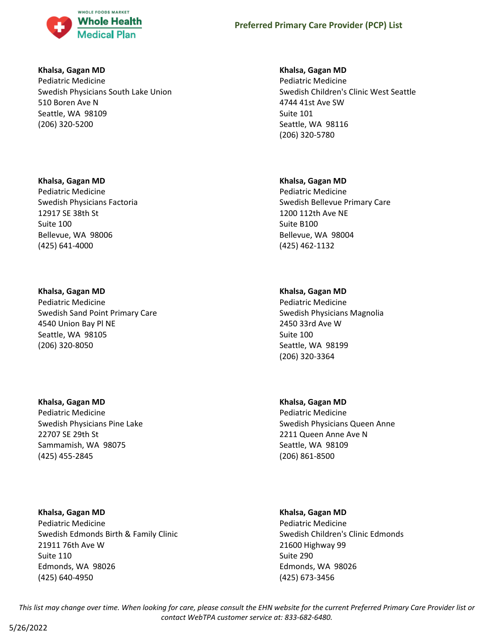

#### **Khalsa, Gagan MD**

Pediatric Medicine Swedish Physicians South Lake Union 510 Boren Ave N Seattle, WA 98109 (206) 320-5200

### **Khalsa, Gagan MD**

Pediatric Medicine Swedish Physicians Factoria 12917 SE 38th St Suite 100 Bellevue, WA 98006 (425) 641-4000

## **Khalsa, Gagan MD**

Pediatric Medicine Swedish Sand Point Primary Care 4540 Union Bay Pl NE Seattle, WA 98105 (206) 320-8050

## **Khalsa, Gagan MD**

Pediatric Medicine Swedish Physicians Pine Lake 22707 SE 29th St Sammamish, WA 98075 (425) 455-2845

**Khalsa, Gagan MD** Pediatric Medicine Swedish Edmonds Birth & Family Clinic 21911 76th Ave W Suite 110

Edmonds, WA 98026 (425) 640-4950

### **Khalsa, Gagan MD**

Pediatric Medicine Swedish Children's Clinic West Seattle 4744 41st Ave SW Suite 101 Seattle, WA 98116 (206) 320-5780

### **Khalsa, Gagan MD**

Pediatric Medicine Swedish Bellevue Primary Care 1200 112th Ave NE Suite B100 Bellevue, WA 98004 (425) 462-1132

## **Khalsa, Gagan MD**

Pediatric Medicine Swedish Physicians Magnolia 2450 33rd Ave W Suite 100 Seattle, WA 98199 (206) 320-3364

## **Khalsa, Gagan MD**

Pediatric Medicine Swedish Physicians Queen Anne 2211 Queen Anne Ave N Seattle, WA 98109 (206) 861-8500

### **Khalsa, Gagan MD**

Pediatric Medicine Swedish Children's Clinic Edmonds 21600 Highway 99 Suite 290 Edmonds, WA 98026 (425) 673-3456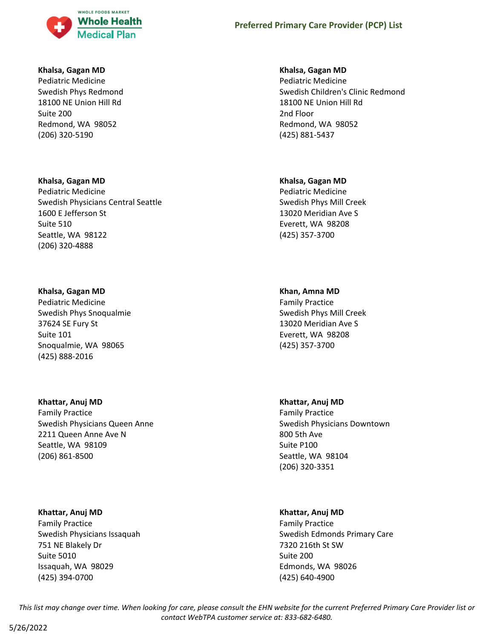

#### **Khalsa, Gagan MD**

Pediatric Medicine Swedish Phys Redmond 18100 NE Union Hill Rd Suite 200 Redmond, WA 98052 (206) 320-5190

#### **Khalsa, Gagan MD**

Pediatric Medicine Swedish Physicians Central Seattle 1600 E Jefferson St Suite 510 Seattle, WA 98122 (206) 320-4888

### **Khalsa, Gagan MD**

Pediatric Medicine Swedish Phys Snoqualmie 37624 SE Fury St Suite 101 Snoqualmie, WA 98065 (425) 888-2016

## **Khattar, Anuj MD**

Family Practice Swedish Physicians Queen Anne 2211 Queen Anne Ave N Seattle, WA 98109 (206) 861-8500

### **Khattar, Anuj MD**

Family Practice Swedish Physicians Issaquah 751 NE Blakely Dr Suite 5010 Issaquah, WA 98029 (425) 394-0700

### **Khalsa, Gagan MD**

Pediatric Medicine Swedish Children's Clinic Redmond 18100 NE Union Hill Rd 2nd Floor Redmond, WA 98052 (425) 881-5437

#### **Khalsa, Gagan MD**

Pediatric Medicine Swedish Phys Mill Creek 13020 Meridian Ave S Everett, WA 98208 (425) 357-3700

### **Khan, Amna MD**

Family Practice Swedish Phys Mill Creek 13020 Meridian Ave S Everett, WA 98208 (425) 357-3700

### **Khattar, Anuj MD**

Family Practice Swedish Physicians Downtown 800 5th Ave Suite P100 Seattle, WA 98104 (206) 320-3351

### **Khattar, Anuj MD**

Family Practice Swedish Edmonds Primary Care 7320 216th St SW Suite 200 Edmonds, WA 98026 (425) 640-4900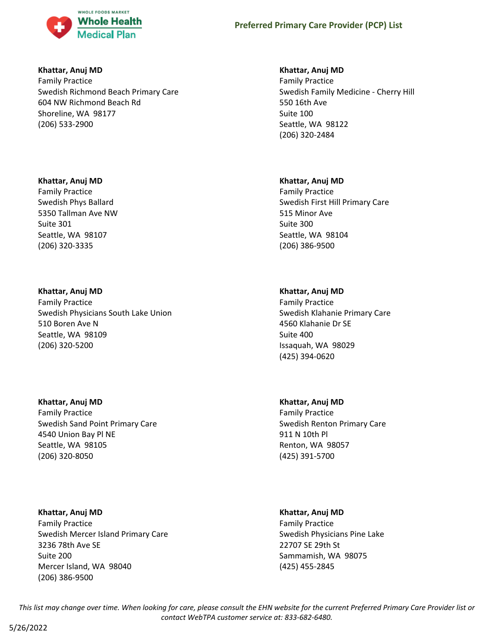

### **Khattar, Anuj MD**

Family Practice Swedish Richmond Beach Primary Care 604 NW Richmond Beach Rd Shoreline, WA 98177 (206) 533-2900

### **Khattar, Anuj MD**

Family Practice Swedish Phys Ballard 5350 Tallman Ave NW Suite 301 Seattle, WA 98107 (206) 320-3335

## **Khattar, Anuj MD**

Family Practice Swedish Physicians South Lake Union 510 Boren Ave N Seattle, WA 98109 (206) 320-5200

## **Khattar, Anuj MD**

Family Practice Swedish Sand Point Primary Care 4540 Union Bay Pl NE Seattle, WA 98105 (206) 320-8050

## **Khattar, Anuj MD**

Family Practice Swedish Mercer Island Primary Care 3236 78th Ave SE Suite 200 Mercer Island, WA 98040 (206) 386-9500

### **Khattar, Anuj MD**

Family Practice Swedish Family Medicine - Cherry Hill 550 16th Ave Suite 100 Seattle, WA 98122 (206) 320-2484

### **Khattar, Anuj MD**

Family Practice Swedish First Hill Primary Care 515 Minor Ave Suite 300 Seattle, WA 98104 (206) 386-9500

## **Khattar, Anuj MD**

Family Practice Swedish Klahanie Primary Care 4560 Klahanie Dr SE Suite 400 Issaquah, WA 98029 (425) 394-0620

## **Khattar, Anuj MD**

Family Practice Swedish Renton Primary Care 911 N 10th Pl Renton, WA 98057 (425) 391-5700

## **Khattar, Anuj MD**

Family Practice Swedish Physicians Pine Lake 22707 SE 29th St Sammamish, WA 98075 (425) 455-2845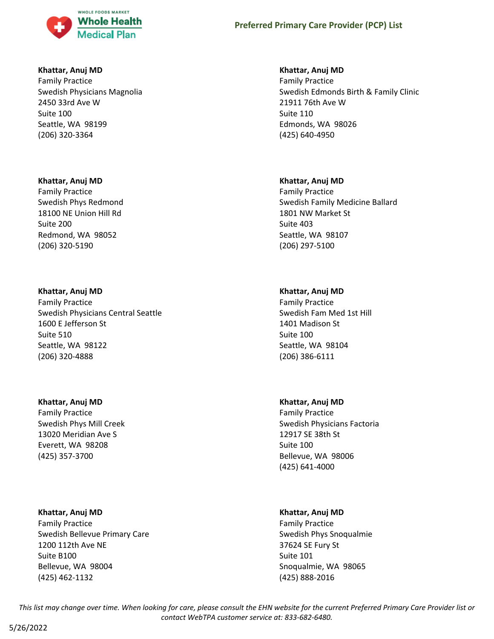

### **Khattar, Anuj MD**

Family Practice Swedish Physicians Magnolia 2450 33rd Ave W Suite 100 Seattle, WA 98199 (206) 320-3364

### **Khattar, Anuj MD**

Family Practice Swedish Phys Redmond 18100 NE Union Hill Rd Suite 200 Redmond, WA 98052 (206) 320-5190

### **Khattar, Anuj MD**

Family Practice Swedish Physicians Central Seattle 1600 E Jefferson St Suite 510 Seattle, WA 98122 (206) 320-4888

### **Khattar, Anuj MD**

Family Practice Swedish Phys Mill Creek 13020 Meridian Ave S Everett, WA 98208 (425) 357-3700

### **Khattar, Anuj MD**

Family Practice Swedish Bellevue Primary Care 1200 112th Ave NE Suite B100 Bellevue, WA 98004 (425) 462-1132

### **Khattar, Anuj MD**

Family Practice Swedish Edmonds Birth & Family Clinic 21911 76th Ave W Suite 110 Edmonds, WA 98026 (425) 640-4950

### **Khattar, Anuj MD**

Family Practice Swedish Family Medicine Ballard 1801 NW Market St Suite 403 Seattle, WA 98107 (206) 297-5100

### **Khattar, Anuj MD**

Family Practice Swedish Fam Med 1st Hill 1401 Madison St Suite 100 Seattle, WA 98104 (206) 386-6111

### **Khattar, Anuj MD**

Family Practice Swedish Physicians Factoria 12917 SE 38th St Suite 100 Bellevue, WA 98006 (425) 641-4000

### **Khattar, Anuj MD**

Family Practice Swedish Phys Snoqualmie 37624 SE Fury St Suite 101 Snoqualmie, WA 98065 (425) 888-2016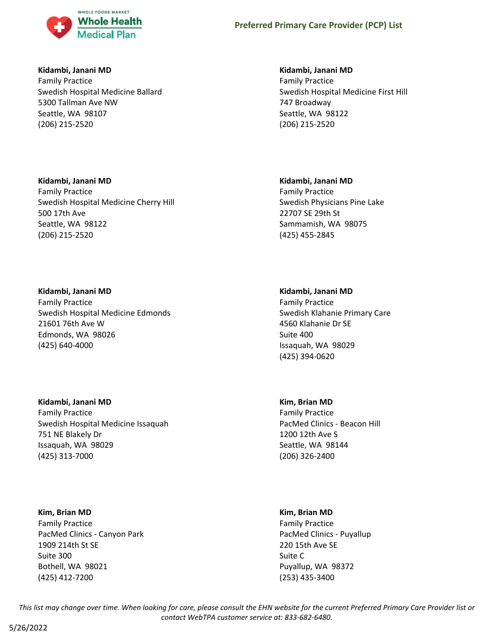

### **Kidambi, Janani MD**

Family Practice Swedish Hospital Medicine Ballard 5300 Tallman Ave NW Seattle, WA 98107 (206) 215-2520

### **Kidambi, Janani MD**

Family Practice Swedish Hospital Medicine Cherry Hill 500 17th Ave Seattle, WA 98122 (206) 215-2520

### **Kidambi, Janani MD**

Family Practice Swedish Hospital Medicine Edmonds 21601 76th Ave W Edmonds, WA 98026 (425) 640-4000

## **Kidambi, Janani MD**

Family Practice Swedish Hospital Medicine Issaquah 751 NE Blakely Dr Issaquah, WA 98029 (425) 313-7000

### **Kim, Brian MD**

Family Practice PacMed Clinics - Canyon Park 1909 214th St SE Suite 300 Bothell, WA 98021 (425) 412-7200

### **Kidambi, Janani MD**

Family Practice Swedish Hospital Medicine First Hill 747 Broadway Seattle, WA 98122 (206) 215-2520

#### **Kidambi, Janani MD**

Family Practice Swedish Physicians Pine Lake 22707 SE 29th St Sammamish, WA 98075 (425) 455-2845

### **Kidambi, Janani MD**

Family Practice Swedish Klahanie Primary Care 4560 Klahanie Dr SE Suite 400 Issaquah, WA 98029 (425) 394-0620

### **Kim, Brian MD**

Family Practice PacMed Clinics - Beacon Hill 1200 12th Ave S Seattle, WA 98144 (206) 326-2400

#### **Kim, Brian MD**

Family Practice PacMed Clinics - Puyallup 220 15th Ave SE Suite C Puyallup, WA 98372 (253) 435-3400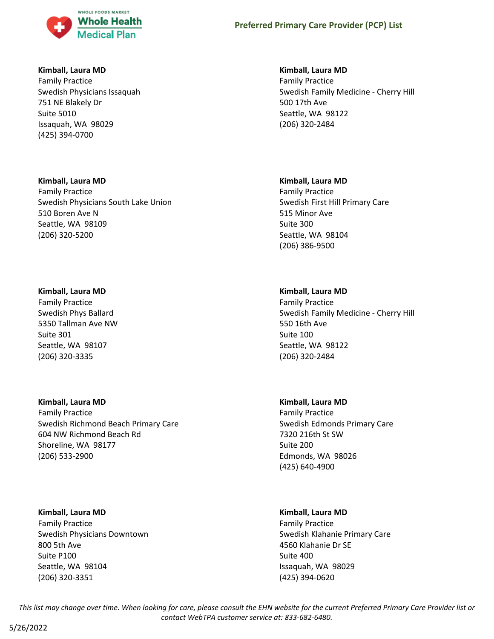

### **Kimball, Laura MD**

Family Practice Swedish Physicians Issaquah 751 NE Blakely Dr Suite 5010 Issaquah, WA 98029 (425) 394-0700

### **Kimball, Laura MD**

Family Practice Swedish Physicians South Lake Union 510 Boren Ave N Seattle, WA 98109 (206) 320-5200

### **Kimball, Laura MD**

Family Practice Swedish Phys Ballard 5350 Tallman Ave NW Suite 301 Seattle, WA 98107 (206) 320-3335

## **Kimball, Laura MD**

Family Practice Swedish Richmond Beach Primary Care 604 NW Richmond Beach Rd Shoreline, WA 98177 (206) 533-2900

## **Kimball, Laura MD**

Family Practice Swedish Physicians Downtown 800 5th Ave Suite P100 Seattle, WA 98104 (206) 320-3351

### **Kimball, Laura MD**

Family Practice Swedish Family Medicine - Cherry Hill 500 17th Ave Seattle, WA 98122 (206) 320-2484

### **Kimball, Laura MD**

Family Practice Swedish First Hill Primary Care 515 Minor Ave Suite 300 Seattle, WA 98104 (206) 386-9500

## **Kimball, Laura MD**

Family Practice Swedish Family Medicine - Cherry Hill 550 16th Ave Suite 100 Seattle, WA 98122 (206) 320-2484

### **Kimball, Laura MD**

Family Practice Swedish Edmonds Primary Care 7320 216th St SW Suite 200 Edmonds, WA 98026 (425) 640-4900

## **Kimball, Laura MD**

Family Practice Swedish Klahanie Primary Care 4560 Klahanie Dr SE Suite 400 Issaquah, WA 98029 (425) 394-0620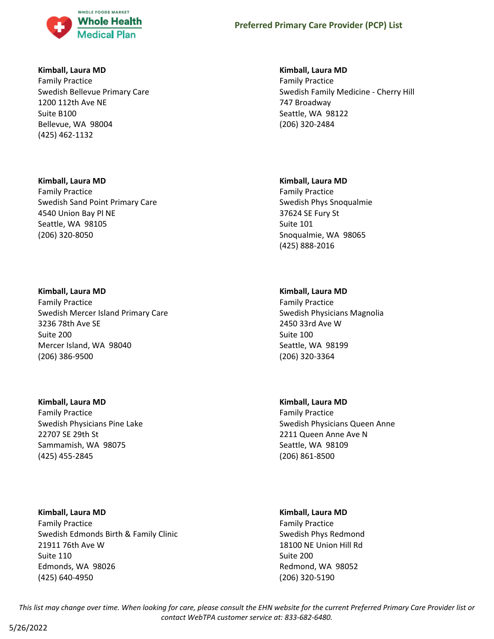

### **Kimball, Laura MD**

Family Practice Swedish Bellevue Primary Care 1200 112th Ave NE Suite B100 Bellevue, WA 98004 (425) 462-1132

### **Kimball, Laura MD**

Family Practice Swedish Sand Point Primary Care 4540 Union Bay Pl NE Seattle, WA 98105 (206) 320-8050

### **Kimball, Laura MD**

Family Practice Swedish Mercer Island Primary Care 3236 78th Ave SE Suite 200 Mercer Island, WA 98040 (206) 386-9500

## **Kimball, Laura MD**

Family Practice Swedish Physicians Pine Lake 22707 SE 29th St Sammamish, WA 98075 (425) 455-2845

## **Kimball, Laura MD**

Family Practice Swedish Edmonds Birth & Family Clinic 21911 76th Ave W Suite 110 Edmonds, WA 98026 (425) 640-4950

## **Kimball, Laura MD**

Family Practice Swedish Family Medicine - Cherry Hill 747 Broadway Seattle, WA 98122 (206) 320-2484

### **Kimball, Laura MD**

Family Practice Swedish Phys Snoqualmie 37624 SE Fury St Suite 101 Snoqualmie, WA 98065 (425) 888-2016

## **Kimball, Laura MD**

Family Practice Swedish Physicians Magnolia 2450 33rd Ave W Suite 100 Seattle, WA 98199 (206) 320-3364

## **Kimball, Laura MD**

Family Practice Swedish Physicians Queen Anne 2211 Queen Anne Ave N Seattle, WA 98109 (206) 861-8500

## **Kimball, Laura MD**

Family Practice Swedish Phys Redmond 18100 NE Union Hill Rd Suite 200 Redmond, WA 98052 (206) 320-5190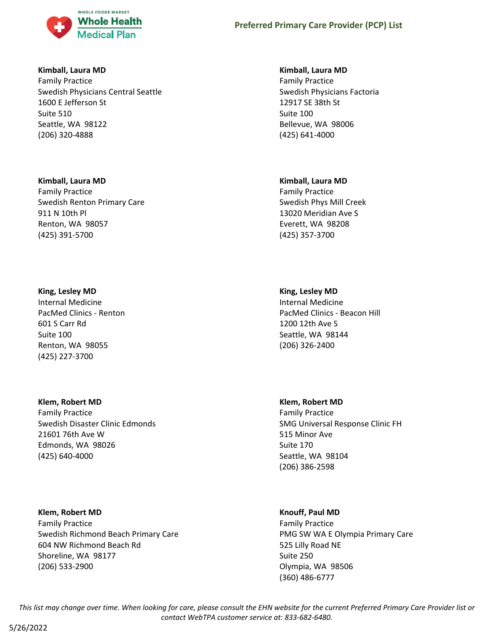

### **Kimball, Laura MD**

Family Practice Swedish Physicians Central Seattle 1600 E Jefferson St Suite 510 Seattle, WA 98122 (206) 320-4888

### **Kimball, Laura MD**

Family Practice Swedish Renton Primary Care 911 N 10th Pl Renton, WA 98057 (425) 391-5700

### **King, Lesley MD**

Internal Medicine PacMed Clinics - Renton 601 S Carr Rd Suite 100 Renton, WA 98055 (425) 227-3700

## **Klem, Robert MD**

Family Practice Swedish Disaster Clinic Edmonds 21601 76th Ave W Edmonds, WA 98026 (425) 640-4000

## **Klem, Robert MD**

Family Practice Swedish Richmond Beach Primary Care 604 NW Richmond Beach Rd Shoreline, WA 98177 (206) 533-2900

### **Kimball, Laura MD**

Family Practice Swedish Physicians Factoria 12917 SE 38th St Suite 100 Bellevue, WA 98006 (425) 641-4000

### **Kimball, Laura MD**

Family Practice Swedish Phys Mill Creek 13020 Meridian Ave S Everett, WA 98208 (425) 357-3700

## **King, Lesley MD**

Internal Medicine PacMed Clinics - Beacon Hill 1200 12th Ave S Seattle, WA 98144 (206) 326-2400

### **Klem, Robert MD**

Family Practice SMG Universal Response Clinic FH 515 Minor Ave Suite 170 Seattle, WA 98104 (206) 386-2598

## **Knouff, Paul MD**

Family Practice PMG SW WA E Olympia Primary Care 525 Lilly Road NE Suite 250 Olympia, WA 98506 (360) 486-6777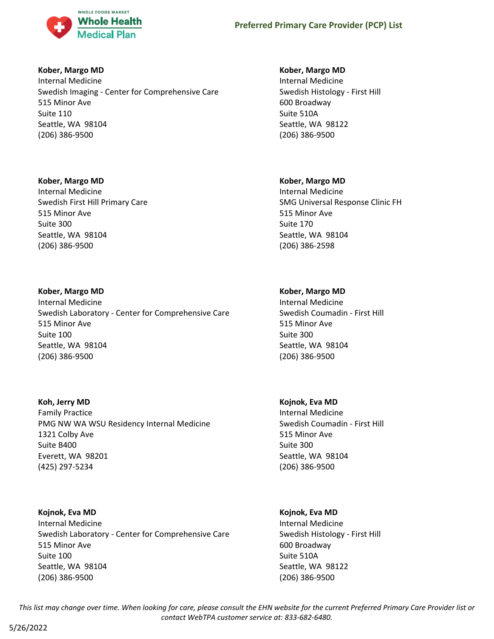

### **Kober, Margo MD**

Internal Medicine Swedish Imaging - Center for Comprehensive Care 515 Minor Ave Suite 110 Seattle, WA 98104 (206) 386-9500

### **Kober, Margo MD**

Internal Medicine Swedish First Hill Primary Care 515 Minor Ave Suite 300 Seattle, WA 98104 (206) 386-9500

### **Kober, Margo MD**

Internal Medicine Swedish Laboratory - Center for Comprehensive Care 515 Minor Ave Suite 100 Seattle, WA 98104 (206) 386-9500

### **Koh, Jerry MD**

Family Practice PMG NW WA WSU Residency Internal Medicine 1321 Colby Ave Suite B400 Everett, WA 98201 (425) 297-5234

### **Kojnok, Eva MD**

Internal Medicine Swedish Laboratory - Center for Comprehensive Care 515 Minor Ave Suite 100 Seattle, WA 98104 (206) 386-9500

### **Kober, Margo MD**

Internal Medicine Swedish Histology - First Hill 600 Broadway Suite 510A Seattle, WA 98122 (206) 386-9500

### **Kober, Margo MD**

Internal Medicine SMG Universal Response Clinic FH 515 Minor Ave Suite 170 Seattle, WA 98104 (206) 386-2598

## **Kober, Margo MD**

Internal Medicine Swedish Coumadin - First Hill 515 Minor Ave Suite 300 Seattle, WA 98104 (206) 386-9500

### **Kojnok, Eva MD**

Internal Medicine Swedish Coumadin - First Hill 515 Minor Ave Suite 300 Seattle, WA 98104 (206) 386-9500

### **Kojnok, Eva MD**

Internal Medicine Swedish Histology - First Hill 600 Broadway Suite 510A Seattle, WA 98122 (206) 386-9500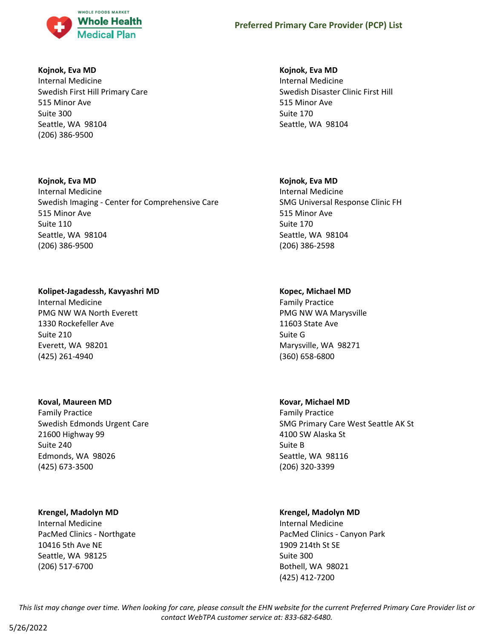

### **Kojnok, Eva MD**

Internal Medicine Swedish First Hill Primary Care 515 Minor Ave Suite 300 Seattle, WA 98104 (206) 386-9500

### **Kojnok, Eva MD**

Internal Medicine Swedish Imaging - Center for Comprehensive Care 515 Minor Ave Suite 110 Seattle, WA 98104 (206) 386-9500

## **Kolipet-Jagadessh, Kavyashri MD**

Internal Medicine PMG NW WA North Everett 1330 Rockefeller Ave Suite 210 Everett, WA 98201 (425) 261-4940

## **Koval, Maureen MD**

Family Practice Swedish Edmonds Urgent Care 21600 Highway 99 Suite 240 Edmonds, WA 98026 (425) 673-3500

## **Krengel, Madolyn MD**

Internal Medicine PacMed Clinics - Northgate 10416 5th Ave NE Seattle, WA 98125 (206) 517-6700

## **Kojnok, Eva MD**

Internal Medicine Swedish Disaster Clinic First Hill 515 Minor Ave Suite 170 Seattle, WA 98104

## **Kojnok, Eva MD**

Internal Medicine SMG Universal Response Clinic FH 515 Minor Ave Suite 170 Seattle, WA 98104 (206) 386-2598

## **Kopec, Michael MD**

Family Practice PMG NW WA Marysville 11603 State Ave Suite G Marysville, WA 98271 (360) 658-6800

## **Kovar, Michael MD**

Family Practice SMG Primary Care West Seattle AK St 4100 SW Alaska St Suite B Seattle, WA 98116 (206) 320-3399

## **Krengel, Madolyn MD**

Internal Medicine PacMed Clinics - Canyon Park 1909 214th St SE Suite 300 Bothell, WA 98021 (425) 412-7200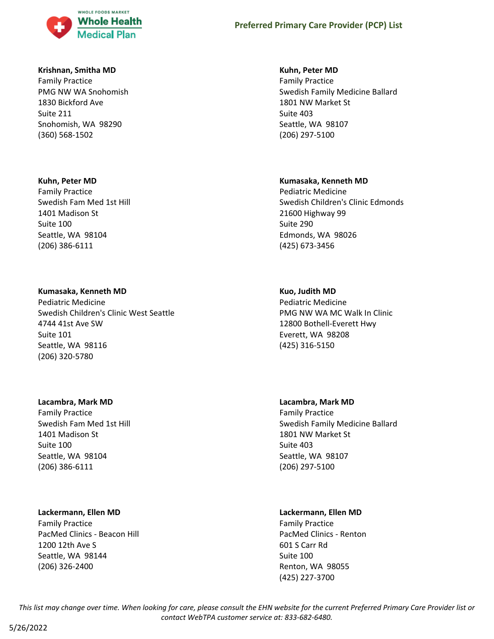

#### **Krishnan, Smitha MD**

Family Practice PMG NW WA Snohomish 1830 Bickford Ave Suite 211 Snohomish, WA 98290 (360) 568-1502

#### **Kuhn, Peter MD**

Family Practice Swedish Fam Med 1st Hill 1401 Madison St Suite 100 Seattle, WA 98104 (206) 386-6111

#### **Kumasaka, Kenneth MD**

Pediatric Medicine Swedish Children's Clinic West Seattle 4744 41st Ave SW Suite 101 Seattle, WA 98116 (206) 320-5780

#### **Lacambra, Mark MD**

Family Practice Swedish Fam Med 1st Hill 1401 Madison St Suite 100 Seattle, WA 98104 (206) 386-6111

#### **Lackermann, Ellen MD**

Family Practice PacMed Clinics - Beacon Hill 1200 12th Ave S Seattle, WA 98144 (206) 326-2400

### **Kuhn, Peter MD**

Family Practice Swedish Family Medicine Ballard 1801 NW Market St Suite 403 Seattle, WA 98107 (206) 297-5100

#### **Kumasaka, Kenneth MD**

Pediatric Medicine Swedish Children's Clinic Edmonds 21600 Highway 99 Suite 290 Edmonds, WA 98026 (425) 673-3456

### **Kuo, Judith MD**

Pediatric Medicine PMG NW WA MC Walk In Clinic 12800 Bothell-Everett Hwy Everett, WA 98208 (425) 316-5150

### **Lacambra, Mark MD**

Family Practice Swedish Family Medicine Ballard 1801 NW Market St Suite 403 Seattle, WA 98107 (206) 297-5100

#### **Lackermann, Ellen MD**

Family Practice PacMed Clinics - Renton 601 S Carr Rd Suite 100 Renton, WA 98055 (425) 227-3700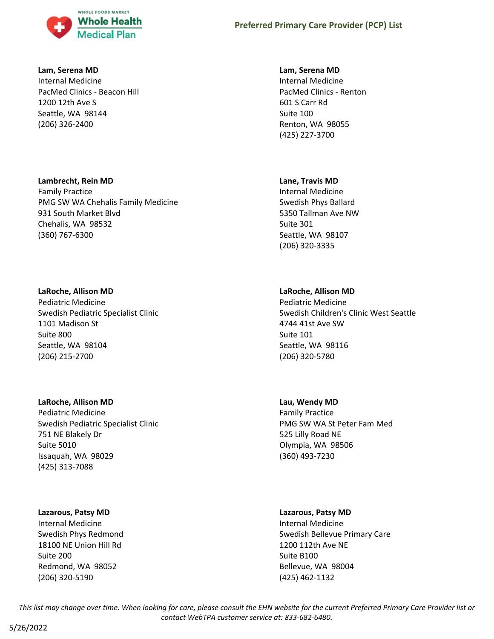

#### **Lam, Serena MD**

Internal Medicine PacMed Clinics - Beacon Hill 1200 12th Ave S Seattle, WA 98144 (206) 326-2400

### **Lambrecht, Rein MD**

Family Practice PMG SW WA Chehalis Family Medicine 931 South Market Blvd Chehalis, WA 98532 (360) 767-6300

### **LaRoche, Allison MD**

Pediatric Medicine Swedish Pediatric Specialist Clinic 1101 Madison St Suite 800 Seattle, WA 98104 (206) 215-2700

### **LaRoche, Allison MD**

Pediatric Medicine Swedish Pediatric Specialist Clinic 751 NE Blakely Dr Suite 5010 Issaquah, WA 98029 (425) 313-7088

## **Lazarous, Patsy MD**

Internal Medicine Swedish Phys Redmond 18100 NE Union Hill Rd Suite 200 Redmond, WA 98052 (206) 320-5190

### **Lam, Serena MD**

Internal Medicine PacMed Clinics - Renton 601 S Carr Rd Suite 100 Renton, WA 98055 (425) 227-3700

## **Lane, Travis MD**

Internal Medicine Swedish Phys Ballard 5350 Tallman Ave NW Suite 301 Seattle, WA 98107 (206) 320-3335

## **LaRoche, Allison MD**

Pediatric Medicine Swedish Children's Clinic West Seattle 4744 41st Ave SW Suite 101 Seattle, WA 98116 (206) 320-5780

## **Lau, Wendy MD**

Family Practice PMG SW WA St Peter Fam Med 525 Lilly Road NE Olympia, WA 98506 (360) 493-7230

## **Lazarous, Patsy MD**

Internal Medicine Swedish Bellevue Primary Care 1200 112th Ave NE Suite B100 Bellevue, WA 98004 (425) 462-1132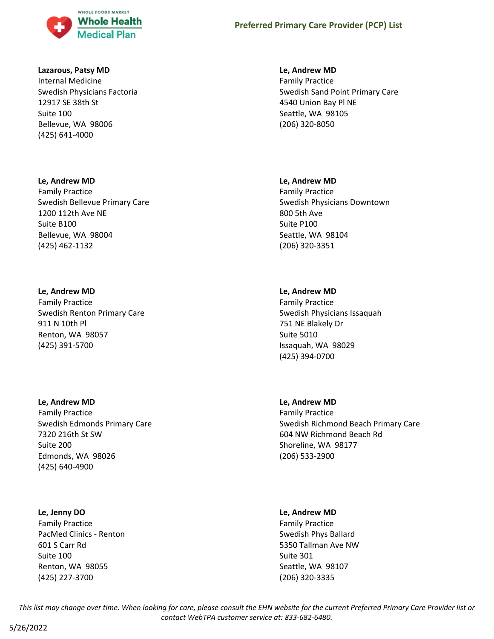

#### **Lazarous, Patsy MD**

Internal Medicine Swedish Physicians Factoria 12917 SE 38th St Suite 100 Bellevue, WA 98006 (425) 641-4000

#### **Le, Andrew MD**

Family Practice Swedish Bellevue Primary Care 1200 112th Ave NE Suite B100 Bellevue, WA 98004 (425) 462-1132

#### **Le, Andrew MD**

Family Practice Swedish Renton Primary Care 911 N 10th Pl Renton, WA 98057 (425) 391-5700

#### **Le, Andrew MD**

Family Practice Swedish Edmonds Primary Care 7320 216th St SW Suite 200 Edmonds, WA 98026 (425) 640-4900

### **Le, Jenny DO**

Family Practice PacMed Clinics - Renton 601 S Carr Rd Suite 100 Renton, WA 98055 (425) 227-3700

### **Le, Andrew MD**

Family Practice Swedish Sand Point Primary Care 4540 Union Bay Pl NE Seattle, WA 98105 (206) 320-8050

#### **Le, Andrew MD**

Family Practice Swedish Physicians Downtown 800 5th Ave Suite P100 Seattle, WA 98104 (206) 320-3351

### **Le, Andrew MD**

Family Practice Swedish Physicians Issaquah 751 NE Blakely Dr Suite 5010 Issaquah, WA 98029 (425) 394-0700

### **Le, Andrew MD**

Family Practice Swedish Richmond Beach Primary Care 604 NW Richmond Beach Rd Shoreline, WA 98177 (206) 533-2900

#### **Le, Andrew MD**

Family Practice Swedish Phys Ballard 5350 Tallman Ave NW Suite 301 Seattle, WA 98107 (206) 320-3335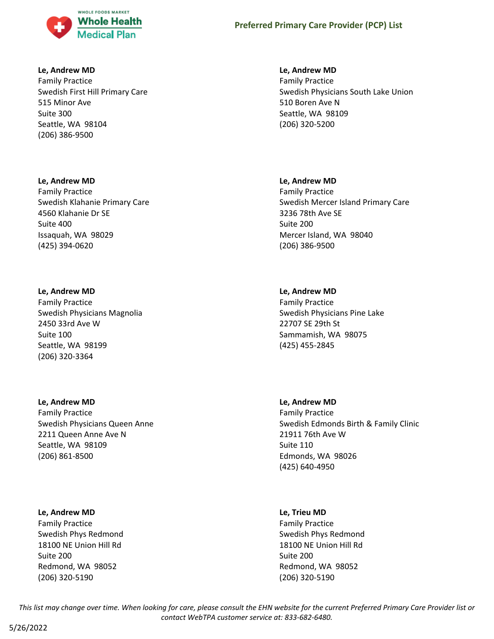

### **Le, Andrew MD**

Family Practice Swedish First Hill Primary Care 515 Minor Ave Suite 300 Seattle, WA 98104 (206) 386-9500

#### **Le, Andrew MD**

Family Practice Swedish Klahanie Primary Care 4560 Klahanie Dr SE Suite 400 Issaquah, WA 98029 (425) 394-0620

#### **Le, Andrew MD**

Family Practice Swedish Physicians Magnolia 2450 33rd Ave W Suite 100 Seattle, WA 98199 (206) 320-3364

#### **Le, Andrew MD**

Family Practice Swedish Physicians Queen Anne 2211 Queen Anne Ave N Seattle, WA 98109 (206) 861-8500

#### **Le, Andrew MD**

Family Practice Swedish Phys Redmond 18100 NE Union Hill Rd Suite 200 Redmond, WA 98052 (206) 320-5190

### **Le, Andrew MD**

Family Practice Swedish Physicians South Lake Union 510 Boren Ave N Seattle, WA 98109 (206) 320-5200

#### **Le, Andrew MD**

Family Practice Swedish Mercer Island Primary Care 3236 78th Ave SE Suite 200 Mercer Island, WA 98040 (206) 386-9500

### **Le, Andrew MD**

Family Practice Swedish Physicians Pine Lake 22707 SE 29th St Sammamish, WA 98075 (425) 455-2845

#### **Le, Andrew MD**

Family Practice Swedish Edmonds Birth & Family Clinic 21911 76th Ave W Suite 110 Edmonds, WA 98026 (425) 640-4950

#### **Le, Trieu MD**

Family Practice Swedish Phys Redmond 18100 NE Union Hill Rd Suite 200 Redmond, WA 98052 (206) 320-5190

*This list may change over time. When looking for care, please consult the EHN website for the current Preferred Primary Care Provider list or contact WebTPA customer service at: 833-682-6480.*

5/26/2022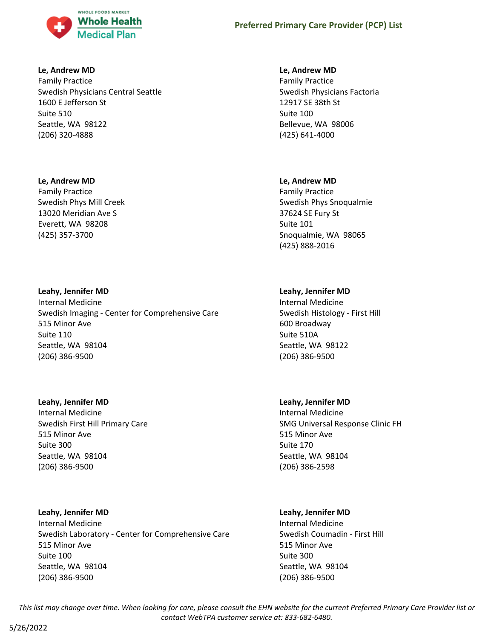

### **Le, Andrew MD**

Family Practice Swedish Physicians Central Seattle 1600 E Jefferson St Suite 510 Seattle, WA 98122 (206) 320-4888

## **Le, Andrew MD**

Family Practice Swedish Phys Mill Creek 13020 Meridian Ave S Everett, WA 98208 (425) 357-3700

## **Leahy, Jennifer MD**

Internal Medicine Swedish Imaging - Center for Comprehensive Care 515 Minor Ave Suite 110 Seattle, WA 98104 (206) 386-9500

### **Leahy, Jennifer MD**

Internal Medicine Swedish First Hill Primary Care 515 Minor Ave Suite 300 Seattle, WA 98104 (206) 386-9500

## **Leahy, Jennifer MD**

Internal Medicine Swedish Laboratory - Center for Comprehensive Care 515 Minor Ave Suite 100 Seattle, WA 98104 (206) 386-9500

## **Le, Andrew MD**

Family Practice Swedish Physicians Factoria 12917 SE 38th St Suite 100 Bellevue, WA 98006 (425) 641-4000

## **Le, Andrew MD**

Family Practice Swedish Phys Snoqualmie 37624 SE Fury St Suite 101 Snoqualmie, WA 98065 (425) 888-2016

## **Leahy, Jennifer MD**

Internal Medicine Swedish Histology - First Hill 600 Broadway Suite 510A Seattle, WA 98122 (206) 386-9500

## **Leahy, Jennifer MD**

Internal Medicine SMG Universal Response Clinic FH 515 Minor Ave Suite 170 Seattle, WA 98104 (206) 386-2598

## **Leahy, Jennifer MD**

Internal Medicine Swedish Coumadin - First Hill 515 Minor Ave Suite 300 Seattle, WA 98104 (206) 386-9500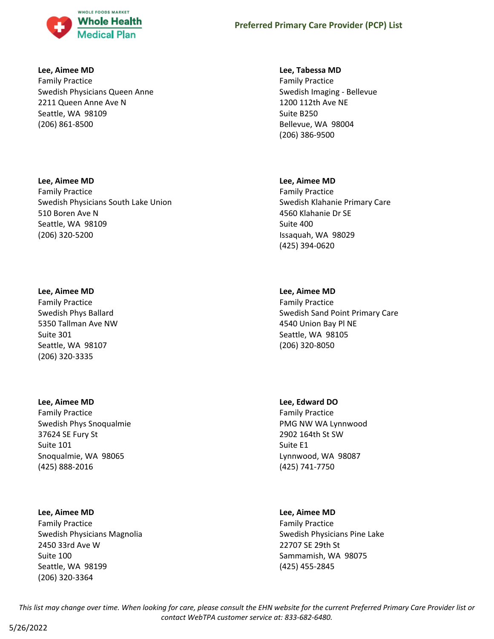

#### **Lee, Aimee MD**

Family Practice Swedish Physicians Queen Anne 2211 Queen Anne Ave N Seattle, WA 98109 (206) 861-8500

### **Lee, Aimee MD**

Family Practice Swedish Physicians South Lake Union 510 Boren Ave N Seattle, WA 98109 (206) 320-5200

### **Lee, Aimee MD**

Family Practice Swedish Phys Ballard 5350 Tallman Ave NW Suite 301 Seattle, WA 98107 (206) 320-3335

### **Lee, Aimee MD**

Family Practice Swedish Phys Snoqualmie 37624 SE Fury St Suite 101 Snoqualmie, WA 98065 (425) 888-2016

### **Lee, Aimee MD**

Family Practice Swedish Physicians Magnolia 2450 33rd Ave W Suite 100 Seattle, WA 98199 (206) 320-3364

### **Lee, Tabessa MD**

Family Practice Swedish Imaging - Bellevue 1200 112th Ave NE Suite B250 Bellevue, WA 98004 (206) 386-9500

## **Lee, Aimee MD**

Family Practice Swedish Klahanie Primary Care 4560 Klahanie Dr SE Suite 400 Issaquah, WA 98029 (425) 394-0620

## **Lee, Aimee MD**

Family Practice Swedish Sand Point Primary Care 4540 Union Bay Pl NE Seattle, WA 98105 (206) 320-8050

## **Lee, Edward DO**

Family Practice PMG NW WA Lynnwood 2902 164th St SW Suite E1 Lynnwood, WA 98087 (425) 741-7750

## **Lee, Aimee MD**

Family Practice Swedish Physicians Pine Lake 22707 SE 29th St Sammamish, WA 98075 (425) 455-2845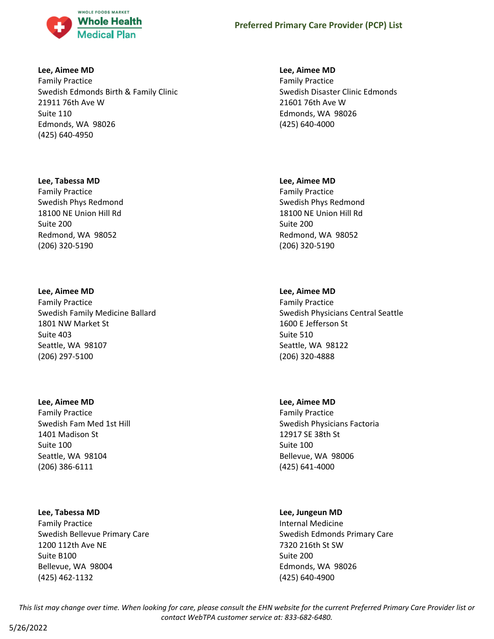

#### **Lee, Aimee MD**

Family Practice Swedish Edmonds Birth & Family Clinic 21911 76th Ave W Suite 110 Edmonds, WA 98026 (425) 640-4950

#### **Lee, Tabessa MD**

Family Practice Swedish Phys Redmond 18100 NE Union Hill Rd Suite 200 Redmond, WA 98052 (206) 320-5190

#### **Lee, Aimee MD**

Family Practice Swedish Family Medicine Ballard 1801 NW Market St Suite 403 Seattle, WA 98107 (206) 297-5100

#### **Lee, Aimee MD**

Family Practice Swedish Fam Med 1st Hill 1401 Madison St Suite 100 Seattle, WA 98104 (206) 386-6111

### **Lee, Tabessa MD**

Family Practice Swedish Bellevue Primary Care 1200 112th Ave NE Suite B100 Bellevue, WA 98004 (425) 462-1132

### **Lee, Aimee MD**

Family Practice Swedish Disaster Clinic Edmonds 21601 76th Ave W Edmonds, WA 98026 (425) 640-4000

#### **Lee, Aimee MD**

Family Practice Swedish Phys Redmond 18100 NE Union Hill Rd Suite 200 Redmond, WA 98052 (206) 320-5190

### **Lee, Aimee MD**

Family Practice Swedish Physicians Central Seattle 1600 E Jefferson St Suite 510 Seattle, WA 98122 (206) 320-4888

### **Lee, Aimee MD**

Family Practice Swedish Physicians Factoria 12917 SE 38th St Suite 100 Bellevue, WA 98006 (425) 641-4000

### **Lee, Jungeun MD**

Internal Medicine Swedish Edmonds Primary Care 7320 216th St SW Suite 200 Edmonds, WA 98026 (425) 640-4900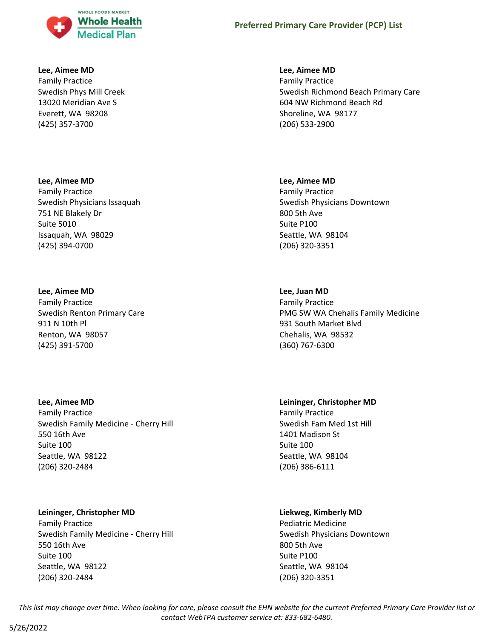

#### **Lee, Aimee MD**

Family Practice Swedish Phys Mill Creek 13020 Meridian Ave S Everett, WA 98208 (425) 357-3700

#### **Lee, Aimee MD**

Family Practice Swedish Physicians Issaquah 751 NE Blakely Dr Suite 5010 Issaquah, WA 98029 (425) 394-0700

#### **Lee, Aimee MD**

Family Practice Swedish Renton Primary Care 911 N 10th Pl Renton, WA 98057 (425) 391-5700

### **Lee, Aimee MD**

Family Practice Swedish Family Medicine - Cherry Hill 550 16th Ave Suite 100 Seattle, WA 98122 (206) 320-2484

## **Leininger, Christopher MD**

Family Practice Swedish Family Medicine - Cherry Hill 550 16th Ave Suite 100 Seattle, WA 98122 (206) 320-2484

### **Lee, Aimee MD**

Family Practice Swedish Richmond Beach Primary Care 604 NW Richmond Beach Rd Shoreline, WA 98177 (206) 533-2900

#### **Lee, Aimee MD**

Family Practice Swedish Physicians Downtown 800 5th Ave Suite P100 Seattle, WA 98104 (206) 320-3351

## **Lee, Juan MD**

Family Practice PMG SW WA Chehalis Family Medicine 931 South Market Blvd Chehalis, WA 98532 (360) 767-6300

## **Leininger, Christopher MD**

Family Practice Swedish Fam Med 1st Hill 1401 Madison St Suite 100 Seattle, WA 98104 (206) 386-6111

### **Liekweg, Kimberly MD**

Pediatric Medicine Swedish Physicians Downtown 800 5th Ave Suite P100 Seattle, WA 98104 (206) 320-3351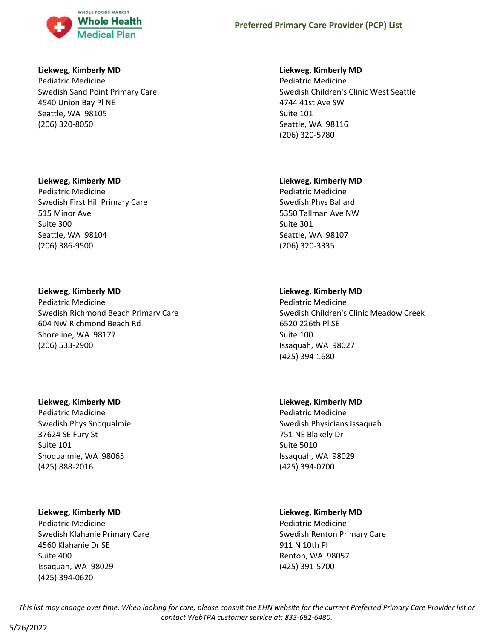

### **Liekweg, Kimberly MD**

Pediatric Medicine Swedish Sand Point Primary Care 4540 Union Bay Pl NE Seattle, WA 98105 (206) 320-8050

## **Liekweg, Kimberly MD**

Pediatric Medicine Swedish First Hill Primary Care 515 Minor Ave Suite 300 Seattle, WA 98104 (206) 386-9500

## **Liekweg, Kimberly MD**

Pediatric Medicine Swedish Richmond Beach Primary Care 604 NW Richmond Beach Rd Shoreline, WA 98177 (206) 533-2900

### **Liekweg, Kimberly MD**

Pediatric Medicine Swedish Phys Snoqualmie 37624 SE Fury St Suite 101 Snoqualmie, WA 98065 (425) 888-2016

### **Liekweg, Kimberly MD**

Pediatric Medicine Swedish Klahanie Primary Care 4560 Klahanie Dr SE Suite 400 Issaquah, WA 98029 (425) 394-0620

## **Liekweg, Kimberly MD**

Pediatric Medicine Swedish Children's Clinic West Seattle 4744 41st Ave SW Suite 101 Seattle, WA 98116 (206) 320-5780

## **Liekweg, Kimberly MD**

Pediatric Medicine Swedish Phys Ballard 5350 Tallman Ave NW Suite 301 Seattle, WA 98107 (206) 320-3335

## **Liekweg, Kimberly MD**

Pediatric Medicine Swedish Children's Clinic Meadow Creek 6520 226th Pl SE Suite 100 Issaquah, WA 98027 (425) 394-1680

### **Liekweg, Kimberly MD**

Pediatric Medicine Swedish Physicians Issaquah 751 NE Blakely Dr Suite 5010 Issaquah, WA 98029 (425) 394-0700

## **Liekweg, Kimberly MD**

Pediatric Medicine Swedish Renton Primary Care 911 N 10th Pl Renton, WA 98057 (425) 391-5700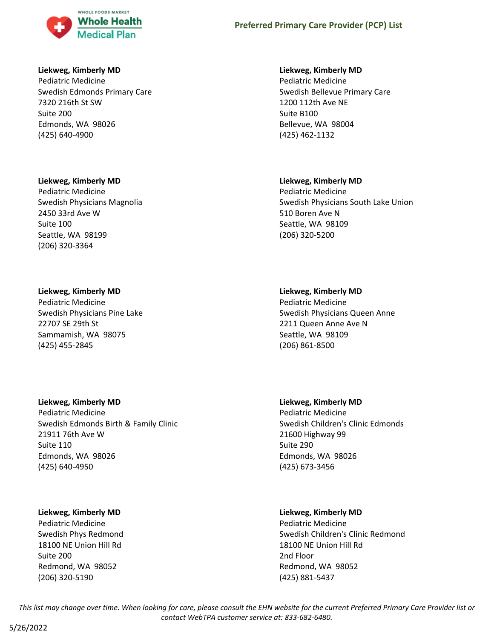

### **Liekweg, Kimberly MD**

Pediatric Medicine Swedish Edmonds Primary Care 7320 216th St SW Suite 200 Edmonds, WA 98026 (425) 640-4900

#### **Liekweg, Kimberly MD**

Pediatric Medicine Swedish Physicians Magnolia 2450 33rd Ave W Suite 100 Seattle, WA 98199 (206) 320-3364

#### **Liekweg, Kimberly MD**

Pediatric Medicine Swedish Physicians Pine Lake 22707 SE 29th St Sammamish, WA 98075 (425) 455-2845

### **Liekweg, Kimberly MD**

Pediatric Medicine Swedish Edmonds Birth & Family Clinic 21911 76th Ave W Suite 110 Edmonds, WA 98026 (425) 640-4950

### **Liekweg, Kimberly MD**

Pediatric Medicine Swedish Phys Redmond 18100 NE Union Hill Rd Suite 200 Redmond, WA 98052 (206) 320-5190

#### **Liekweg, Kimberly MD**

Pediatric Medicine Swedish Bellevue Primary Care 1200 112th Ave NE Suite B100 Bellevue, WA 98004 (425) 462-1132

### **Liekweg, Kimberly MD**

Pediatric Medicine Swedish Physicians South Lake Union 510 Boren Ave N Seattle, WA 98109 (206) 320-5200

#### **Liekweg, Kimberly MD**

Pediatric Medicine Swedish Physicians Queen Anne 2211 Queen Anne Ave N Seattle, WA 98109 (206) 861-8500

# **Liekweg, Kimberly MD**

Pediatric Medicine Swedish Children's Clinic Edmonds 21600 Highway 99 Suite 290 Edmonds, WA 98026 (425) 673-3456

### **Liekweg, Kimberly MD**

Pediatric Medicine Swedish Children's Clinic Redmond 18100 NE Union Hill Rd 2nd Floor Redmond, WA 98052 (425) 881-5437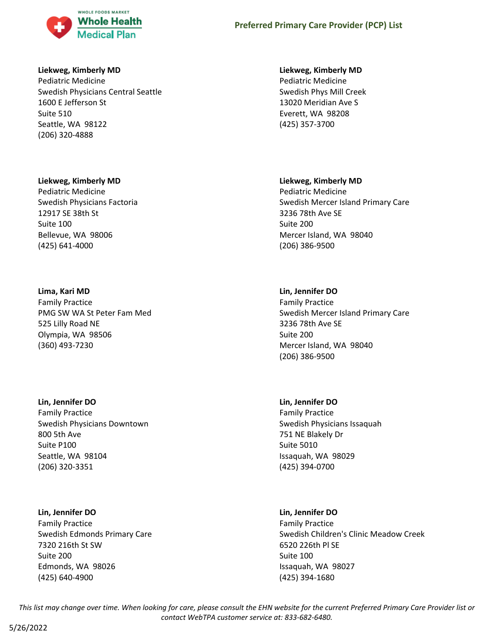

### **Liekweg, Kimberly MD**

Pediatric Medicine Swedish Physicians Central Seattle 1600 E Jefferson St Suite 510 Seattle, WA 98122 (206) 320-4888

#### **Liekweg, Kimberly MD**

Pediatric Medicine Swedish Physicians Factoria 12917 SE 38th St Suite 100 Bellevue, WA 98006 (425) 641-4000

#### **Lima, Kari MD**

Family Practice PMG SW WA St Peter Fam Med 525 Lilly Road NE Olympia, WA 98506 (360) 493-7230

### **Lin, Jennifer DO**

Family Practice Swedish Physicians Downtown 800 5th Ave Suite P100 Seattle, WA 98104 (206) 320-3351

### **Lin, Jennifer DO**

Family Practice Swedish Edmonds Primary Care 7320 216th St SW Suite 200 Edmonds, WA 98026 (425) 640-4900

#### **Liekweg, Kimberly MD**

Pediatric Medicine Swedish Phys Mill Creek 13020 Meridian Ave S Everett, WA 98208 (425) 357-3700

#### **Liekweg, Kimberly MD**

Pediatric Medicine Swedish Mercer Island Primary Care 3236 78th Ave SE Suite 200 Mercer Island, WA 98040 (206) 386-9500

### **Lin, Jennifer DO**

Family Practice Swedish Mercer Island Primary Care 3236 78th Ave SE Suite 200 Mercer Island, WA 98040 (206) 386-9500

### **Lin, Jennifer DO**

Family Practice Swedish Physicians Issaquah 751 NE Blakely Dr Suite 5010 Issaquah, WA 98029 (425) 394-0700

#### **Lin, Jennifer DO**

Family Practice Swedish Children's Clinic Meadow Creek 6520 226th Pl SE Suite 100 Issaquah, WA 98027 (425) 394-1680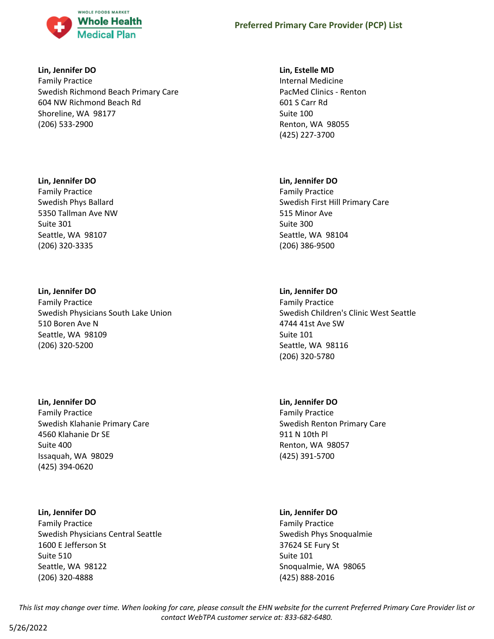

### **Lin, Jennifer DO**

Family Practice Swedish Richmond Beach Primary Care 604 NW Richmond Beach Rd Shoreline, WA 98177 (206) 533-2900

### **Lin, Jennifer DO**

Family Practice Swedish Phys Ballard 5350 Tallman Ave NW Suite 301 Seattle, WA 98107 (206) 320-3335

## **Lin, Jennifer DO**

Family Practice Swedish Physicians South Lake Union 510 Boren Ave N Seattle, WA 98109 (206) 320-5200

## **Lin, Jennifer DO**

Family Practice Swedish Klahanie Primary Care 4560 Klahanie Dr SE Suite 400 Issaquah, WA 98029 (425) 394-0620

## **Lin, Jennifer DO**

Family Practice Swedish Physicians Central Seattle 1600 E Jefferson St Suite 510 Seattle, WA 98122 (206) 320-4888

### **Lin, Estelle MD**

Internal Medicine PacMed Clinics - Renton 601 S Carr Rd Suite 100 Renton, WA 98055 (425) 227-3700

## **Lin, Jennifer DO**

Family Practice Swedish First Hill Primary Care 515 Minor Ave Suite 300 Seattle, WA 98104 (206) 386-9500

## **Lin, Jennifer DO**

Family Practice Swedish Children's Clinic West Seattle 4744 41st Ave SW Suite 101 Seattle, WA 98116 (206) 320-5780

## **Lin, Jennifer DO**

Family Practice Swedish Renton Primary Care 911 N 10th Pl Renton, WA 98057 (425) 391-5700

### **Lin, Jennifer DO**

Family Practice Swedish Phys Snoqualmie 37624 SE Fury St Suite 101 Snoqualmie, WA 98065 (425) 888-2016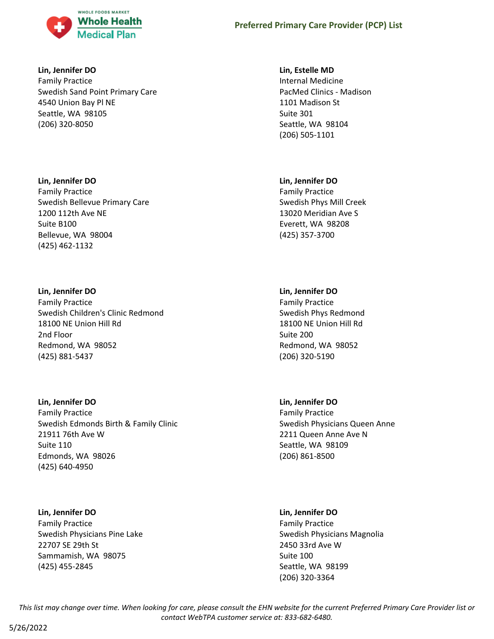

### **Lin, Jennifer DO**

Family Practice Swedish Sand Point Primary Care 4540 Union Bay Pl NE Seattle, WA 98105 (206) 320-8050

## **Lin, Jennifer DO**

Family Practice Swedish Bellevue Primary Care 1200 112th Ave NE Suite B100 Bellevue, WA 98004 (425) 462-1132

## **Lin, Jennifer DO**

Family Practice Swedish Children's Clinic Redmond 18100 NE Union Hill Rd 2nd Floor Redmond, WA 98052 (425) 881-5437

### **Lin, Jennifer DO**

Family Practice Swedish Edmonds Birth & Family Clinic 21911 76th Ave W Suite 110 Edmonds, WA 98026 (425) 640-4950

## **Lin, Jennifer DO**

Family Practice Swedish Physicians Pine Lake 22707 SE 29th St Sammamish, WA 98075 (425) 455-2845

### **Lin, Estelle MD**

Internal Medicine PacMed Clinics - Madison 1101 Madison St Suite 301 Seattle, WA 98104 (206) 505-1101

## **Lin, Jennifer DO**

Family Practice Swedish Phys Mill Creek 13020 Meridian Ave S Everett, WA 98208 (425) 357-3700

## **Lin, Jennifer DO**

Family Practice Swedish Phys Redmond 18100 NE Union Hill Rd Suite 200 Redmond, WA 98052 (206) 320-5190

## **Lin, Jennifer DO**

Family Practice Swedish Physicians Queen Anne 2211 Queen Anne Ave N Seattle, WA 98109 (206) 861-8500

### **Lin, Jennifer DO**

Family Practice Swedish Physicians Magnolia 2450 33rd Ave W Suite 100 Seattle, WA 98199 (206) 320-3364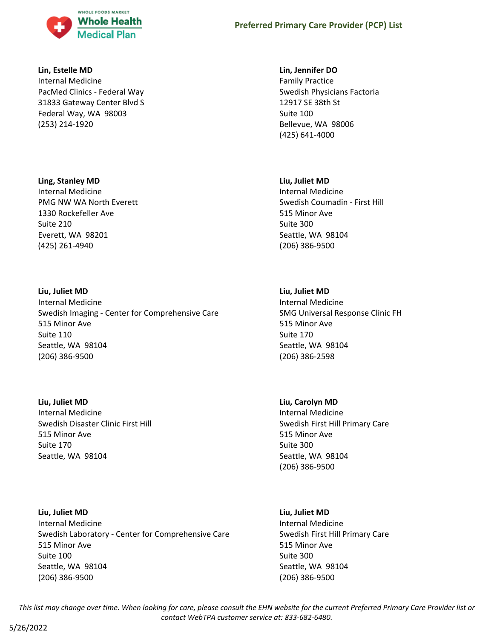

#### **Lin, Estelle MD**

Internal Medicine PacMed Clinics - Federal Way 31833 Gateway Center Blvd S Federal Way, WA 98003 (253) 214-1920

#### **Ling, Stanley MD**

Internal Medicine PMG NW WA North Everett 1330 Rockefeller Ave Suite 210 Everett, WA 98201 (425) 261-4940

### **Liu, Juliet MD**

Internal Medicine Swedish Imaging - Center for Comprehensive Care 515 Minor Ave Suite 110 Seattle, WA 98104 (206) 386-9500

**Liu, Juliet MD** Internal Medicine Swedish Disaster Clinic First Hill

515 Minor Ave Suite 170 Seattle, WA 98104

**Liu, Juliet MD** Internal Medicine Swedish Laboratory - Center for Comprehensive Care 515 Minor Ave Suite 100 Seattle, WA 98104 (206) 386-9500

#### **Lin, Jennifer DO**

Family Practice Swedish Physicians Factoria 12917 SE 38th St Suite 100 Bellevue, WA 98006 (425) 641-4000

### **Liu, Juliet MD**

Internal Medicine Swedish Coumadin - First Hill 515 Minor Ave Suite 300 Seattle, WA 98104 (206) 386-9500

## **Liu, Juliet MD**

Internal Medicine SMG Universal Response Clinic FH 515 Minor Ave Suite 170 Seattle, WA 98104 (206) 386-2598

### **Liu, Carolyn MD**

Internal Medicine Swedish First Hill Primary Care 515 Minor Ave Suite 300 Seattle, WA 98104 (206) 386-9500

#### **Liu, Juliet MD**

Internal Medicine Swedish First Hill Primary Care 515 Minor Ave Suite 300 Seattle, WA 98104 (206) 386-9500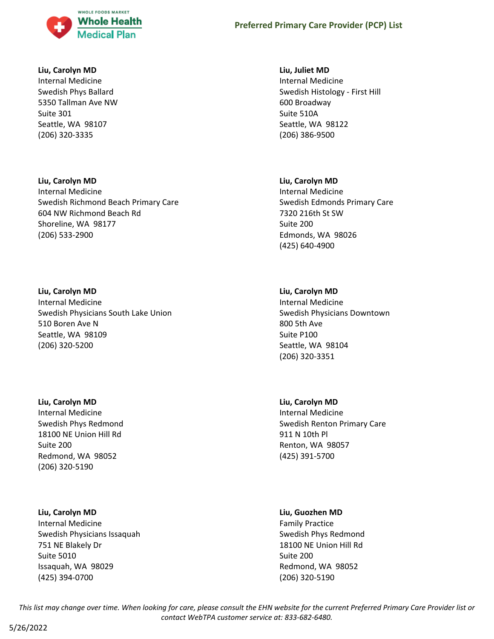

#### **Liu, Carolyn MD**

Internal Medicine Swedish Phys Ballard 5350 Tallman Ave NW Suite 301 Seattle, WA 98107 (206) 320-3335

## **Liu, Carolyn MD**

Internal Medicine Swedish Richmond Beach Primary Care 604 NW Richmond Beach Rd Shoreline, WA 98177 (206) 533-2900

## **Liu, Carolyn MD**

Internal Medicine Swedish Physicians South Lake Union 510 Boren Ave N Seattle, WA 98109 (206) 320-5200

### **Liu, Carolyn MD**

Internal Medicine Swedish Phys Redmond 18100 NE Union Hill Rd Suite 200 Redmond, WA 98052 (206) 320-5190

## **Liu, Carolyn MD**

Internal Medicine Swedish Physicians Issaquah 751 NE Blakely Dr Suite 5010 Issaquah, WA 98029 (425) 394-0700

### **Liu, Juliet MD**

Internal Medicine Swedish Histology - First Hill 600 Broadway Suite 510A Seattle, WA 98122 (206) 386-9500

## **Liu, Carolyn MD**

Internal Medicine Swedish Edmonds Primary Care 7320 216th St SW Suite 200 Edmonds, WA 98026 (425) 640-4900

## **Liu, Carolyn MD**

Internal Medicine Swedish Physicians Downtown 800 5th Ave Suite P100 Seattle, WA 98104 (206) 320-3351

### **Liu, Carolyn MD**

Internal Medicine Swedish Renton Primary Care 911 N 10th Pl Renton, WA 98057 (425) 391-5700

### **Liu, Guozhen MD**

Family Practice Swedish Phys Redmond 18100 NE Union Hill Rd Suite 200 Redmond, WA 98052 (206) 320-5190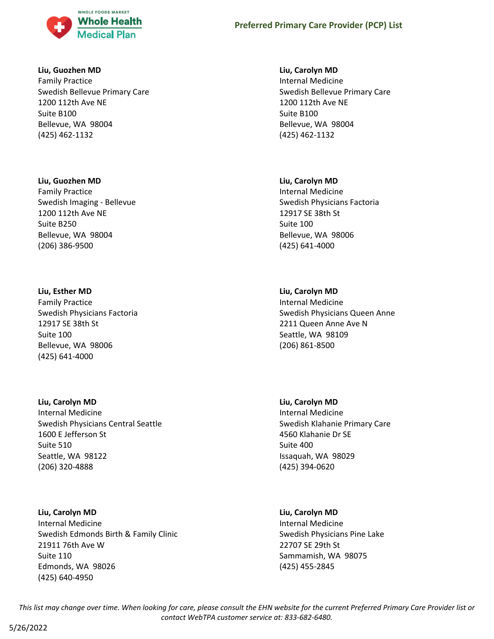

### **Liu, Guozhen MD**

Family Practice Swedish Bellevue Primary Care 1200 112th Ave NE Suite B100 Bellevue, WA 98004 (425) 462-1132

#### **Liu, Guozhen MD**

Family Practice Swedish Imaging - Bellevue 1200 112th Ave NE Suite B250 Bellevue, WA 98004 (206) 386-9500

#### **Liu, Esther MD**

Family Practice Swedish Physicians Factoria 12917 SE 38th St Suite 100 Bellevue, WA 98006 (425) 641-4000

### **Liu, Carolyn MD**

Internal Medicine Swedish Physicians Central Seattle 1600 E Jefferson St Suite 510 Seattle, WA 98122 (206) 320-4888

#### **Liu, Carolyn MD**

Internal Medicine Swedish Edmonds Birth & Family Clinic 21911 76th Ave W Suite 110 Edmonds, WA 98026 (425) 640-4950

### **Liu, Carolyn MD**

Internal Medicine Swedish Bellevue Primary Care 1200 112th Ave NE Suite B100 Bellevue, WA 98004 (425) 462-1132

#### **Liu, Carolyn MD**

Internal Medicine Swedish Physicians Factoria 12917 SE 38th St Suite 100 Bellevue, WA 98006 (425) 641-4000

### **Liu, Carolyn MD**

Internal Medicine Swedish Physicians Queen Anne 2211 Queen Anne Ave N Seattle, WA 98109 (206) 861-8500

#### **Liu, Carolyn MD**

Internal Medicine Swedish Klahanie Primary Care 4560 Klahanie Dr SE Suite 400 Issaquah, WA 98029 (425) 394-0620

#### **Liu, Carolyn MD**

Internal Medicine Swedish Physicians Pine Lake 22707 SE 29th St Sammamish, WA 98075 (425) 455-2845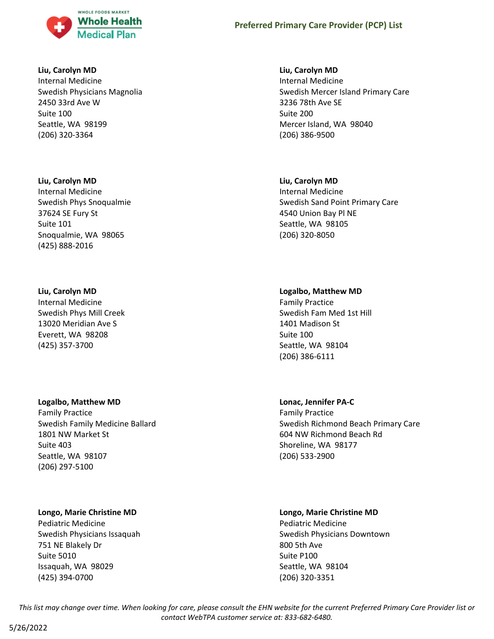

#### **Liu, Carolyn MD**

Internal Medicine Swedish Physicians Magnolia 2450 33rd Ave W Suite 100 Seattle, WA 98199 (206) 320-3364

#### **Liu, Carolyn MD**

Internal Medicine Swedish Phys Snoqualmie 37624 SE Fury St Suite 101 Snoqualmie, WA 98065 (425) 888-2016

#### **Liu, Carolyn MD**

Internal Medicine Swedish Phys Mill Creek 13020 Meridian Ave S Everett, WA 98208 (425) 357-3700

#### **Logalbo, Matthew MD**

Family Practice Swedish Family Medicine Ballard 1801 NW Market St Suite 403 Seattle, WA 98107 (206) 297-5100

### **Longo, Marie Christine MD**

Pediatric Medicine Swedish Physicians Issaquah 751 NE Blakely Dr Suite 5010 Issaquah, WA 98029 (425) 394-0700

## **Liu, Carolyn MD**

Internal Medicine Swedish Mercer Island Primary Care 3236 78th Ave SE Suite 200 Mercer Island, WA 98040 (206) 386-9500

### **Liu, Carolyn MD**

Internal Medicine Swedish Sand Point Primary Care 4540 Union Bay Pl NE Seattle, WA 98105 (206) 320-8050

#### **Logalbo, Matthew MD**

Family Practice Swedish Fam Med 1st Hill 1401 Madison St Suite 100 Seattle, WA 98104 (206) 386-6111

#### **Lonac, Jennifer PA-C**

Family Practice Swedish Richmond Beach Primary Care 604 NW Richmond Beach Rd Shoreline, WA 98177 (206) 533-2900

## **Longo, Marie Christine MD**

Pediatric Medicine Swedish Physicians Downtown 800 5th Ave Suite P100 Seattle, WA 98104 (206) 320-3351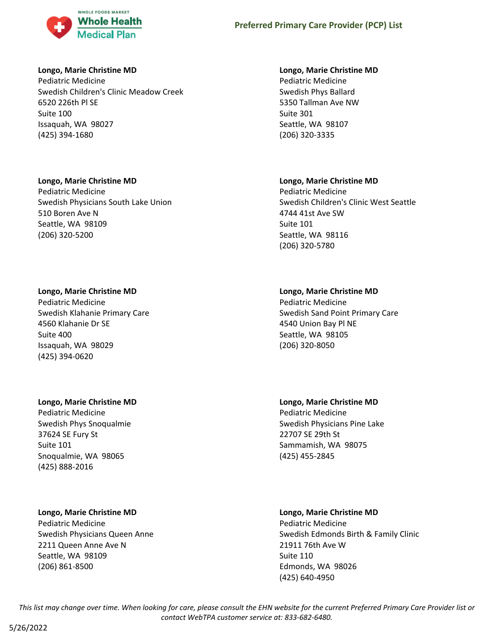

### **Longo, Marie Christine MD**

Pediatric Medicine Swedish Children's Clinic Meadow Creek 6520 226th Pl SE Suite 100 Issaquah, WA 98027 (425) 394-1680

## **Longo, Marie Christine MD**

Pediatric Medicine Swedish Physicians South Lake Union 510 Boren Ave N Seattle, WA 98109 (206) 320-5200

## **Longo, Marie Christine MD**

Pediatric Medicine Swedish Klahanie Primary Care 4560 Klahanie Dr SE Suite 400 Issaquah, WA 98029 (425) 394-0620

## **Longo, Marie Christine MD**

Pediatric Medicine Swedish Phys Snoqualmie 37624 SE Fury St Suite 101 Snoqualmie, WA 98065 (425) 888-2016

## **Longo, Marie Christine MD**

Pediatric Medicine Swedish Physicians Queen Anne 2211 Queen Anne Ave N Seattle, WA 98109 (206) 861-8500

## **Longo, Marie Christine MD**

Pediatric Medicine Swedish Phys Ballard 5350 Tallman Ave NW Suite 301 Seattle, WA 98107 (206) 320-3335

## **Longo, Marie Christine MD**

Pediatric Medicine Swedish Children's Clinic West Seattle 4744 41st Ave SW Suite 101 Seattle, WA 98116 (206) 320-5780

## **Longo, Marie Christine MD**

Pediatric Medicine Swedish Sand Point Primary Care 4540 Union Bay Pl NE Seattle, WA 98105 (206) 320-8050

**Longo, Marie Christine MD** Pediatric Medicine Swedish Physicians Pine Lake 22707 SE 29th St Sammamish, WA 98075 (425) 455-2845

## **Longo, Marie Christine MD**

Pediatric Medicine Swedish Edmonds Birth & Family Clinic 21911 76th Ave W Suite 110 Edmonds, WA 98026 (425) 640-4950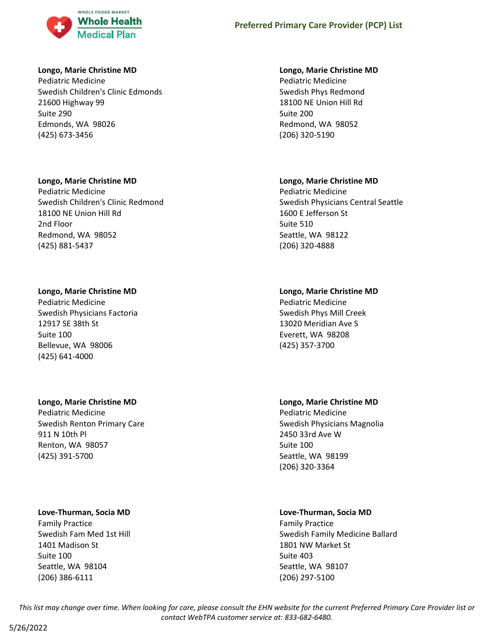

### **Longo, Marie Christine MD**

Pediatric Medicine Swedish Children's Clinic Edmonds 21600 Highway 99 Suite 290 Edmonds, WA 98026 (425) 673-3456

## **Longo, Marie Christine MD**

Pediatric Medicine Swedish Children's Clinic Redmond 18100 NE Union Hill Rd 2nd Floor Redmond, WA 98052 (425) 881-5437

## **Longo, Marie Christine MD**

Pediatric Medicine Swedish Physicians Factoria 12917 SE 38th St Suite 100 Bellevue, WA 98006 (425) 641-4000

### **Longo, Marie Christine MD**

Pediatric Medicine Swedish Renton Primary Care 911 N 10th Pl Renton, WA 98057 (425) 391-5700

### **Love-Thurman, Socia MD**

Family Practice Swedish Fam Med 1st Hill 1401 Madison St Suite 100 Seattle, WA 98104 (206) 386-6111

### **Longo, Marie Christine MD**

Pediatric Medicine Swedish Phys Redmond 18100 NE Union Hill Rd Suite 200 Redmond, WA 98052 (206) 320-5190

## **Longo, Marie Christine MD**

Pediatric Medicine Swedish Physicians Central Seattle 1600 E Jefferson St Suite 510 Seattle, WA 98122 (206) 320-4888

## **Longo, Marie Christine MD**

Pediatric Medicine Swedish Phys Mill Creek 13020 Meridian Ave S Everett, WA 98208 (425) 357-3700

## **Longo, Marie Christine MD**

Pediatric Medicine Swedish Physicians Magnolia 2450 33rd Ave W Suite 100 Seattle, WA 98199 (206) 320-3364

## **Love-Thurman, Socia MD**

Family Practice Swedish Family Medicine Ballard 1801 NW Market St Suite 403 Seattle, WA 98107 (206) 297-5100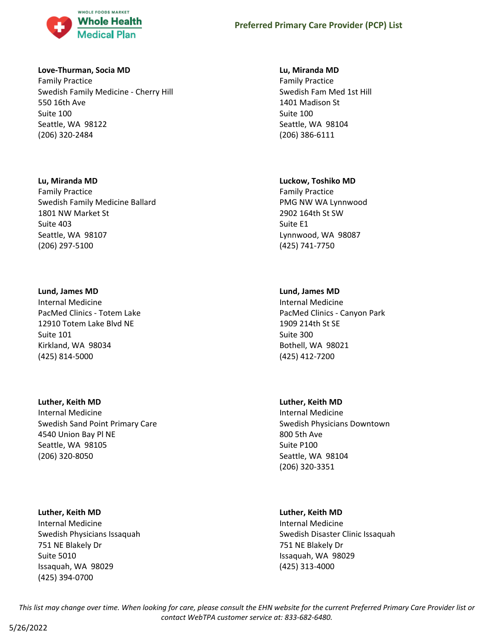

### **Love-Thurman, Socia MD**

Family Practice Swedish Family Medicine - Cherry Hill 550 16th Ave Suite 100 Seattle, WA 98122 (206) 320-2484

#### **Lu, Miranda MD**

Family Practice Swedish Family Medicine Ballard 1801 NW Market St Suite 403 Seattle, WA 98107 (206) 297-5100

#### **Lund, James MD**

Internal Medicine PacMed Clinics - Totem Lake 12910 Totem Lake Blvd NE Suite 101 Kirkland, WA 98034 (425) 814-5000

### **Luther, Keith MD**

Internal Medicine Swedish Sand Point Primary Care 4540 Union Bay Pl NE Seattle, WA 98105 (206) 320-8050

### **Luther, Keith MD**

Internal Medicine Swedish Physicians Issaquah 751 NE Blakely Dr Suite 5010 Issaquah, WA 98029 (425) 394-0700

#### **Lu, Miranda MD**

Family Practice Swedish Fam Med 1st Hill 1401 Madison St Suite 100 Seattle, WA 98104 (206) 386-6111

#### **Luckow, Toshiko MD**

Family Practice PMG NW WA Lynnwood 2902 164th St SW Suite E1 Lynnwood, WA 98087 (425) 741-7750

## **Lund, James MD**

Internal Medicine PacMed Clinics - Canyon Park 1909 214th St SE Suite 300 Bothell, WA 98021 (425) 412-7200

### **Luther, Keith MD**

Internal Medicine Swedish Physicians Downtown 800 5th Ave Suite P100 Seattle, WA 98104 (206) 320-3351

### **Luther, Keith MD**

Internal Medicine Swedish Disaster Clinic Issaquah 751 NE Blakely Dr Issaquah, WA 98029 (425) 313-4000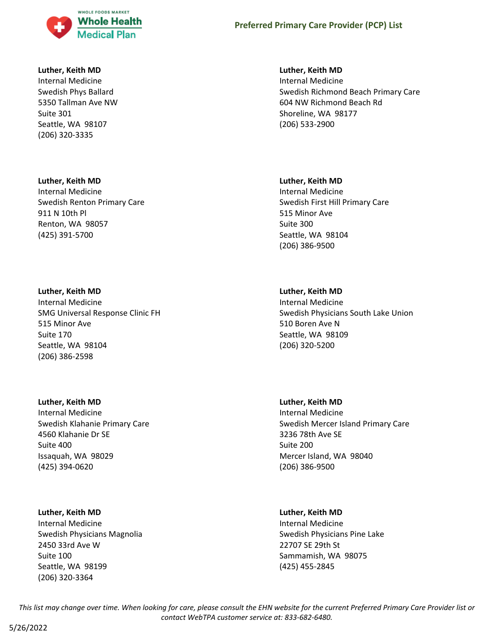

#### **Luther, Keith MD**

Internal Medicine Swedish Phys Ballard 5350 Tallman Ave NW Suite 301 Seattle, WA 98107 (206) 320-3335

#### **Luther, Keith MD**

Internal Medicine Swedish Renton Primary Care 911 N 10th Pl Renton, WA 98057 (425) 391-5700

#### **Luther, Keith MD**

Internal Medicine SMG Universal Response Clinic FH 515 Minor Ave Suite 170 Seattle, WA 98104 (206) 386-2598

#### **Luther, Keith MD**

Internal Medicine Swedish Klahanie Primary Care 4560 Klahanie Dr SE Suite 400 Issaquah, WA 98029 (425) 394-0620

#### **Luther, Keith MD**

Internal Medicine Swedish Physicians Magnolia 2450 33rd Ave W Suite 100 Seattle, WA 98199 (206) 320-3364

#### **Luther, Keith MD**

Internal Medicine Swedish Richmond Beach Primary Care 604 NW Richmond Beach Rd Shoreline, WA 98177 (206) 533-2900

#### **Luther, Keith MD**

Internal Medicine Swedish First Hill Primary Care 515 Minor Ave Suite 300 Seattle, WA 98104 (206) 386-9500

#### **Luther, Keith MD**

Internal Medicine Swedish Physicians South Lake Union 510 Boren Ave N Seattle, WA 98109 (206) 320-5200

#### **Luther, Keith MD**

Internal Medicine Swedish Mercer Island Primary Care 3236 78th Ave SE Suite 200 Mercer Island, WA 98040 (206) 386-9500

#### **Luther, Keith MD**

Internal Medicine Swedish Physicians Pine Lake 22707 SE 29th St Sammamish, WA 98075 (425) 455-2845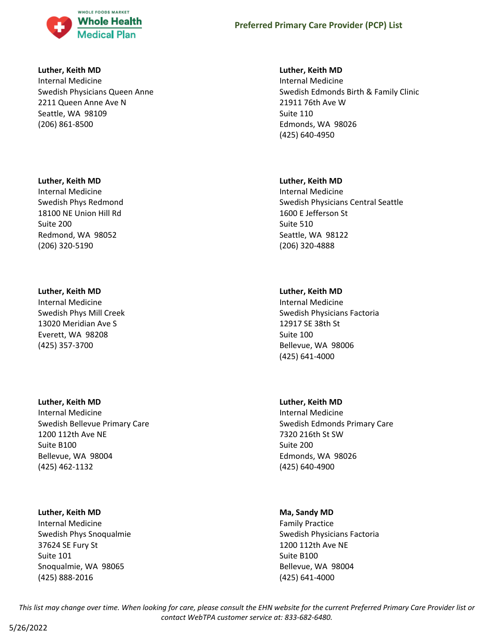

#### **Luther, Keith MD**

Internal Medicine Swedish Physicians Queen Anne 2211 Queen Anne Ave N Seattle, WA 98109 (206) 861-8500

### **Luther, Keith MD**

Internal Medicine Swedish Phys Redmond 18100 NE Union Hill Rd Suite 200 Redmond, WA 98052 (206) 320-5190

### **Luther, Keith MD**

Internal Medicine Swedish Phys Mill Creek 13020 Meridian Ave S Everett, WA 98208 (425) 357-3700

### **Luther, Keith MD**

Internal Medicine Swedish Bellevue Primary Care 1200 112th Ave NE Suite B100 Bellevue, WA 98004 (425) 462-1132

### **Luther, Keith MD**

Internal Medicine Swedish Phys Snoqualmie 37624 SE Fury St Suite 101 Snoqualmie, WA 98065 (425) 888-2016

### **Luther, Keith MD**

Internal Medicine Swedish Edmonds Birth & Family Clinic 21911 76th Ave W Suite 110 Edmonds, WA 98026 (425) 640-4950

### **Luther, Keith MD**

Internal Medicine Swedish Physicians Central Seattle 1600 E Jefferson St Suite 510 Seattle, WA 98122 (206) 320-4888

## **Luther, Keith MD**

Internal Medicine Swedish Physicians Factoria 12917 SE 38th St Suite 100 Bellevue, WA 98006 (425) 641-4000

## **Luther, Keith MD**

Internal Medicine Swedish Edmonds Primary Care 7320 216th St SW Suite 200 Edmonds, WA 98026 (425) 640-4900

### **Ma, Sandy MD**

Family Practice Swedish Physicians Factoria 1200 112th Ave NE Suite B100 Bellevue, WA 98004 (425) 641-4000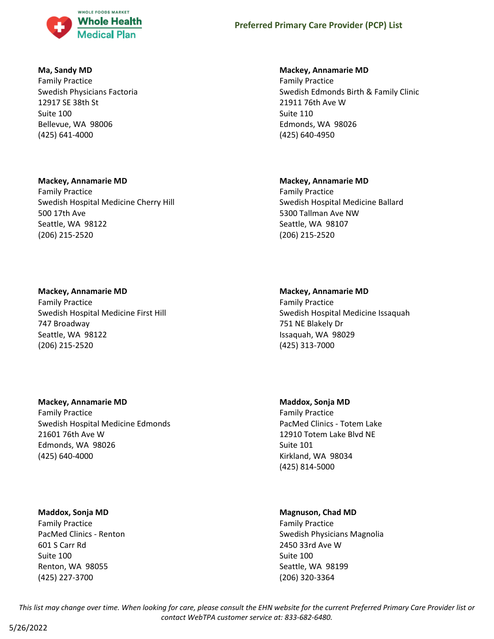

### **Ma, Sandy MD**

Family Practice Swedish Physicians Factoria 12917 SE 38th St Suite 100 Bellevue, WA 98006 (425) 641-4000

### **Mackey, Annamarie MD**

Family Practice Swedish Hospital Medicine Cherry Hill 500 17th Ave Seattle, WA 98122 (206) 215-2520

## **Mackey, Annamarie MD**

Family Practice Swedish Hospital Medicine First Hill 747 Broadway Seattle, WA 98122 (206) 215-2520

### **Mackey, Annamarie MD**

Family Practice Swedish Hospital Medicine Edmonds 21601 76th Ave W Edmonds, WA 98026 (425) 640-4000

### **Maddox, Sonja MD**

Family Practice PacMed Clinics - Renton 601 S Carr Rd Suite 100 Renton, WA 98055 (425) 227-3700

## **Mackey, Annamarie MD**

Family Practice Swedish Edmonds Birth & Family Clinic 21911 76th Ave W Suite 110 Edmonds, WA 98026 (425) 640-4950

## **Mackey, Annamarie MD**

Family Practice Swedish Hospital Medicine Ballard 5300 Tallman Ave NW Seattle, WA 98107 (206) 215-2520

## **Mackey, Annamarie MD**

Family Practice Swedish Hospital Medicine Issaquah 751 NE Blakely Dr Issaquah, WA 98029 (425) 313-7000

**Maddox, Sonja MD**

Family Practice PacMed Clinics - Totem Lake 12910 Totem Lake Blvd NE Suite 101 Kirkland, WA 98034 (425) 814-5000

## **Magnuson, Chad MD**

Family Practice Swedish Physicians Magnolia 2450 33rd Ave W Suite 100 Seattle, WA 98199 (206) 320-3364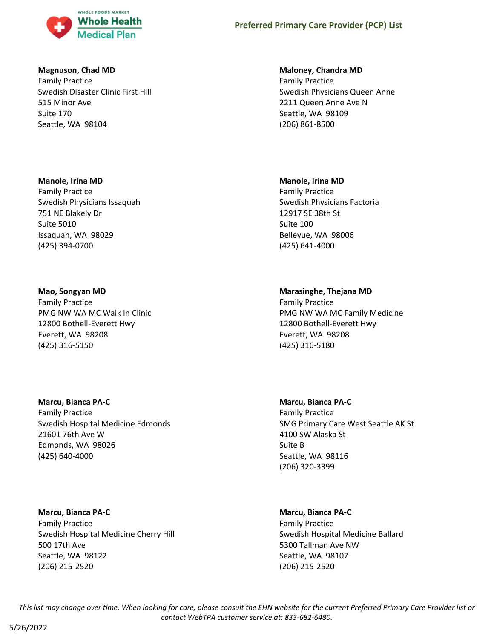

### **Magnuson, Chad MD**

Family Practice Swedish Disaster Clinic First Hill 515 Minor Ave Suite 170 Seattle, WA 98104

### **Manole, Irina MD**

Family Practice Swedish Physicians Issaquah 751 NE Blakely Dr Suite 5010 Issaquah, WA 98029 (425) 394-0700

## **Mao, Songyan MD**

Family Practice PMG NW WA MC Walk In Clinic 12800 Bothell-Everett Hwy Everett, WA 98208 (425) 316-5150

## **Marcu, Bianca PA-C**

Family Practice Swedish Hospital Medicine Edmonds 21601 76th Ave W Edmonds, WA 98026 (425) 640-4000

**Marcu, Bianca PA-C** Family Practice Swedish Hospital Medicine Cherry Hill 500 17th Ave Seattle, WA 98122 (206) 215-2520

## **Maloney, Chandra MD**

Family Practice Swedish Physicians Queen Anne 2211 Queen Anne Ave N Seattle, WA 98109 (206) 861-8500

## **Manole, Irina MD**

Family Practice Swedish Physicians Factoria 12917 SE 38th St Suite 100 Bellevue, WA 98006 (425) 641-4000

## **Marasinghe, Thejana MD**

Family Practice PMG NW WA MC Family Medicine 12800 Bothell-Everett Hwy Everett, WA 98208 (425) 316-5180

## **Marcu, Bianca PA-C**

Family Practice SMG Primary Care West Seattle AK St 4100 SW Alaska St Suite B Seattle, WA 98116 (206) 320-3399

## **Marcu, Bianca PA-C**

Family Practice Swedish Hospital Medicine Ballard 5300 Tallman Ave NW Seattle, WA 98107 (206) 215-2520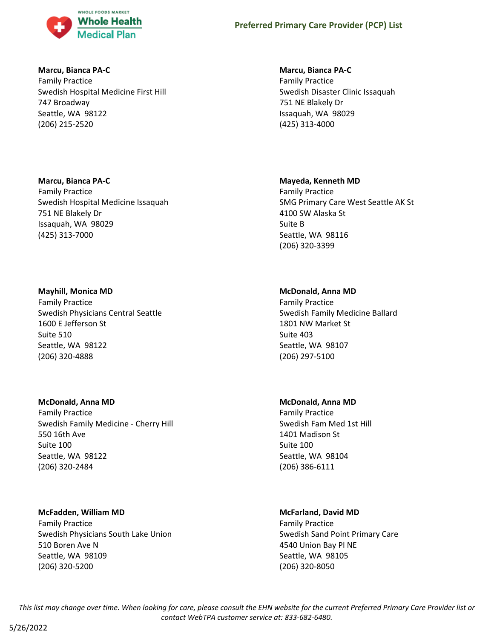

#### **Marcu, Bianca PA-C**

Family Practice Swedish Hospital Medicine First Hill 747 Broadway Seattle, WA 98122 (206) 215-2520

### **Marcu, Bianca PA-C**

Family Practice Swedish Hospital Medicine Issaquah 751 NE Blakely Dr Issaquah, WA 98029 (425) 313-7000

## **Mayhill, Monica MD**

Family Practice Swedish Physicians Central Seattle 1600 E Jefferson St Suite 510 Seattle, WA 98122 (206) 320-4888

### **McDonald, Anna MD**

Family Practice Swedish Family Medicine - Cherry Hill 550 16th Ave Suite 100 Seattle, WA 98122 (206) 320-2484

## **McFadden, William MD**

Family Practice Swedish Physicians South Lake Union 510 Boren Ave N Seattle, WA 98109 (206) 320-5200

## **Marcu, Bianca PA-C**

Family Practice Swedish Disaster Clinic Issaquah 751 NE Blakely Dr Issaquah, WA 98029 (425) 313-4000

## **Mayeda, Kenneth MD**

Family Practice SMG Primary Care West Seattle AK St 4100 SW Alaska St Suite B Seattle, WA 98116 (206) 320-3399

## **McDonald, Anna MD**

Family Practice Swedish Family Medicine Ballard 1801 NW Market St Suite 403 Seattle, WA 98107 (206) 297-5100

### **McDonald, Anna MD**

Family Practice Swedish Fam Med 1st Hill 1401 Madison St Suite 100 Seattle, WA 98104 (206) 386-6111

## **McFarland, David MD**

Family Practice Swedish Sand Point Primary Care 4540 Union Bay Pl NE Seattle, WA 98105 (206) 320-8050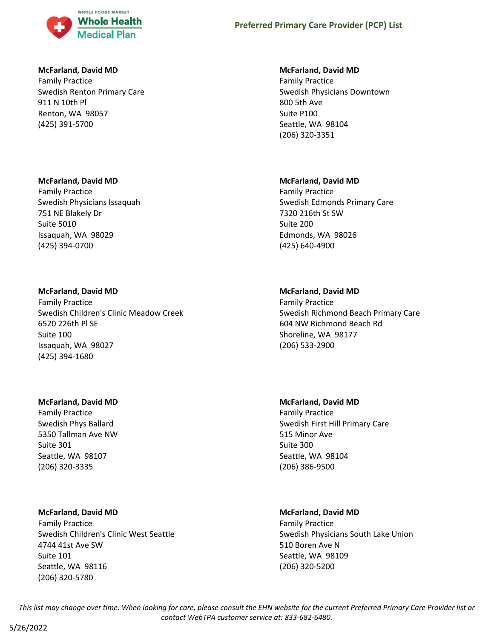

#### **McFarland, David MD**

Family Practice Swedish Renton Primary Care 911 N 10th Pl Renton, WA 98057 (425) 391-5700

#### **McFarland, David MD**

Family Practice Swedish Physicians Issaquah 751 NE Blakely Dr Suite 5010 Issaquah, WA 98029 (425) 394-0700

#### **McFarland, David MD**

Family Practice Swedish Children's Clinic Meadow Creek 6520 226th Pl SE Suite 100 Issaquah, WA 98027 (425) 394-1680

#### **McFarland, David MD**

Family Practice Swedish Phys Ballard 5350 Tallman Ave NW Suite 301 Seattle, WA 98107 (206) 320-3335

### **McFarland, David MD**

Family Practice Swedish Children's Clinic West Seattle 4744 41st Ave SW Suite 101 Seattle, WA 98116 (206) 320-5780

#### **McFarland, David MD**

Family Practice Swedish Physicians Downtown 800 5th Ave Suite P100 Seattle, WA 98104 (206) 320-3351

#### **McFarland, David MD**

Family Practice Swedish Edmonds Primary Care 7320 216th St SW Suite 200 Edmonds, WA 98026 (425) 640-4900

### **McFarland, David MD**

Family Practice Swedish Richmond Beach Primary Care 604 NW Richmond Beach Rd Shoreline, WA 98177 (206) 533-2900

#### **McFarland, David MD**

Family Practice Swedish First Hill Primary Care 515 Minor Ave Suite 300 Seattle, WA 98104 (206) 386-9500

### **McFarland, David MD**

Family Practice Swedish Physicians South Lake Union 510 Boren Ave N Seattle, WA 98109 (206) 320-5200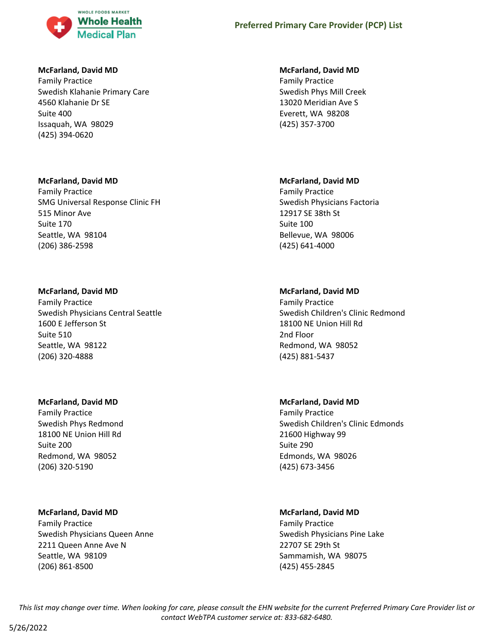

## **McFarland, David MD**

Family Practice Swedish Klahanie Primary Care 4560 Klahanie Dr SE Suite 400 Issaquah, WA 98029 (425) 394-0620

## **McFarland, David MD**

Family Practice SMG Universal Response Clinic FH 515 Minor Ave Suite 170 Seattle, WA 98104 (206) 386-2598

## **McFarland, David MD**

Family Practice Swedish Physicians Central Seattle 1600 E Jefferson St Suite 510 Seattle, WA 98122 (206) 320-4888

### **McFarland, David MD**

Family Practice Swedish Phys Redmond 18100 NE Union Hill Rd Suite 200 Redmond, WA 98052 (206) 320-5190

### **McFarland, David MD**

Family Practice Swedish Physicians Queen Anne 2211 Queen Anne Ave N Seattle, WA 98109 (206) 861-8500

### **McFarland, David MD**

Family Practice Swedish Phys Mill Creek 13020 Meridian Ave S Everett, WA 98208 (425) 357-3700

## **McFarland, David MD**

Family Practice Swedish Physicians Factoria 12917 SE 38th St Suite 100 Bellevue, WA 98006 (425) 641-4000

## **McFarland, David MD**

Family Practice Swedish Children's Clinic Redmond 18100 NE Union Hill Rd 2nd Floor Redmond, WA 98052 (425) 881-5437

## **McFarland, David MD**

Family Practice Swedish Children's Clinic Edmonds 21600 Highway 99 Suite 290 Edmonds, WA 98026 (425) 673-3456

## **McFarland, David MD**

Family Practice Swedish Physicians Pine Lake 22707 SE 29th St Sammamish, WA 98075 (425) 455-2845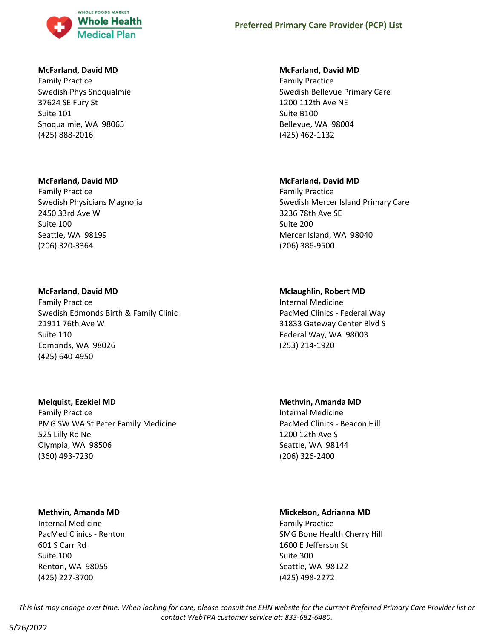

### **McFarland, David MD**

Family Practice Swedish Phys Snoqualmie 37624 SE Fury St Suite 101 Snoqualmie, WA 98065 (425) 888-2016

### **McFarland, David MD**

Family Practice Swedish Physicians Magnolia 2450 33rd Ave W Suite 100 Seattle, WA 98199 (206) 320-3364

## **McFarland, David MD**

Family Practice Swedish Edmonds Birth & Family Clinic 21911 76th Ave W Suite 110 Edmonds, WA 98026 (425) 640-4950

### **Melquist, Ezekiel MD**

Family Practice PMG SW WA St Peter Family Medicine 525 Lilly Rd Ne Olympia, WA 98506 (360) 493-7230

### **Methvin, Amanda MD**

Internal Medicine PacMed Clinics - Renton 601 S Carr Rd Suite 100 Renton, WA 98055 (425) 227-3700

## **McFarland, David MD**

Family Practice Swedish Bellevue Primary Care 1200 112th Ave NE Suite B100 Bellevue, WA 98004 (425) 462-1132

## **McFarland, David MD**

Family Practice Swedish Mercer Island Primary Care 3236 78th Ave SE Suite 200 Mercer Island, WA 98040 (206) 386-9500

## **Mclaughlin, Robert MD**

Internal Medicine PacMed Clinics - Federal Way 31833 Gateway Center Blvd S Federal Way, WA 98003 (253) 214-1920

**Methvin, Amanda MD** Internal Medicine PacMed Clinics - Beacon Hill 1200 12th Ave S Seattle, WA 98144

(206) 326-2400

## **Mickelson, Adrianna MD**

Family Practice SMG Bone Health Cherry Hill 1600 E Jefferson St Suite 300 Seattle, WA 98122 (425) 498-2272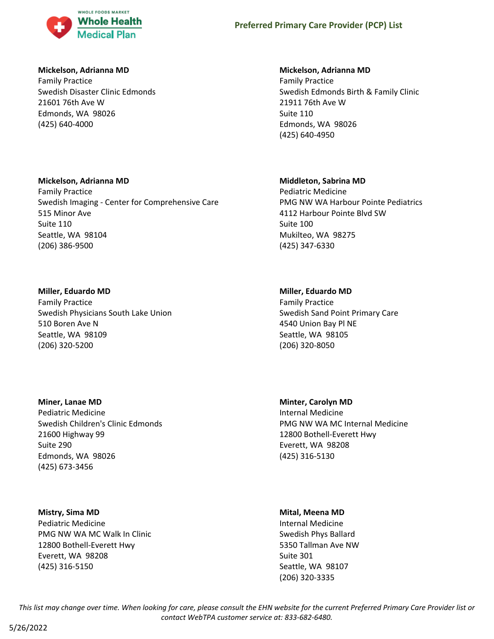

### **Mickelson, Adrianna MD**

Family Practice Swedish Disaster Clinic Edmonds 21601 76th Ave W Edmonds, WA 98026 (425) 640-4000

### **Mickelson, Adrianna MD**

Family Practice Swedish Imaging - Center for Comprehensive Care 515 Minor Ave Suite 110 Seattle, WA 98104 (206) 386-9500

#### **Miller, Eduardo MD**

Family Practice Swedish Physicians South Lake Union 510 Boren Ave N Seattle, WA 98109 (206) 320-5200

#### **Miner, Lanae MD**

Pediatric Medicine Swedish Children's Clinic Edmonds 21600 Highway 99 Suite 290 Edmonds, WA 98026 (425) 673-3456

#### **Mistry, Sima MD**

Pediatric Medicine PMG NW WA MC Walk In Clinic 12800 Bothell-Everett Hwy Everett, WA 98208 (425) 316-5150

#### **Mickelson, Adrianna MD**

Family Practice Swedish Edmonds Birth & Family Clinic 21911 76th Ave W Suite 110 Edmonds, WA 98026 (425) 640-4950

### **Middleton, Sabrina MD**

Pediatric Medicine PMG NW WA Harbour Pointe Pediatrics 4112 Harbour Pointe Blvd SW Suite 100 Mukilteo, WA 98275 (425) 347-6330

### **Miller, Eduardo MD**

Family Practice Swedish Sand Point Primary Care 4540 Union Bay Pl NE Seattle, WA 98105 (206) 320-8050

**Minter, Carolyn MD** Internal Medicine PMG NW WA MC Internal Medicine 12800 Bothell-Everett Hwy Everett, WA 98208 (425) 316-5130

#### **Mital, Meena MD**

Internal Medicine Swedish Phys Ballard 5350 Tallman Ave NW Suite 301 Seattle, WA 98107 (206) 320-3335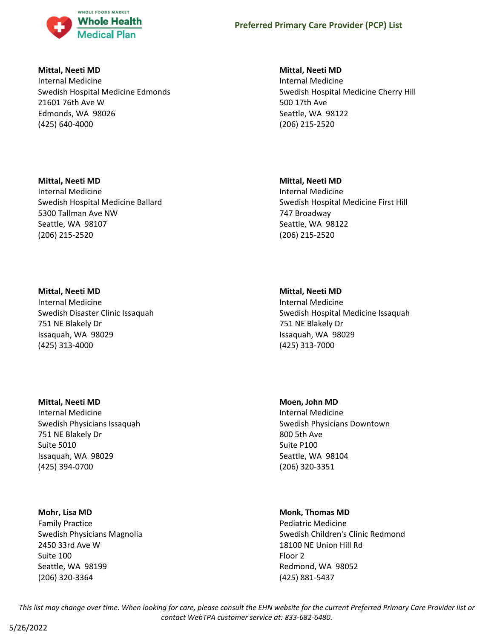

**Mittal, Neeti MD**

Internal Medicine Swedish Hospital Medicine Edmonds 21601 76th Ave W Edmonds, WA 98026 (425) 640-4000

**Mittal, Neeti MD** Internal Medicine Swedish Hospital Medicine Ballard 5300 Tallman Ave NW Seattle, WA 98107 (206) 215-2520

## **Mittal, Neeti MD**

Internal Medicine Swedish Disaster Clinic Issaquah 751 NE Blakely Dr Issaquah, WA 98029 (425) 313-4000

### **Mittal, Neeti MD**

Internal Medicine Swedish Physicians Issaquah 751 NE Blakely Dr Suite 5010 Issaquah, WA 98029 (425) 394-0700

## **Mohr, Lisa MD**

Family Practice Swedish Physicians Magnolia 2450 33rd Ave W Suite 100 Seattle, WA 98199 (206) 320-3364

## **Mittal, Neeti MD**

Internal Medicine Swedish Hospital Medicine Cherry Hill 500 17th Ave Seattle, WA 98122 (206) 215-2520

## **Mittal, Neeti MD**

Internal Medicine Swedish Hospital Medicine First Hill 747 Broadway Seattle, WA 98122 (206) 215-2520

## **Mittal, Neeti MD**

Internal Medicine Swedish Hospital Medicine Issaquah 751 NE Blakely Dr Issaquah, WA 98029 (425) 313-7000

**Moen, John MD**

Internal Medicine Swedish Physicians Downtown 800 5th Ave Suite P100 Seattle, WA 98104 (206) 320-3351

## **Monk, Thomas MD**

Pediatric Medicine Swedish Children's Clinic Redmond 18100 NE Union Hill Rd Floor 2 Redmond, WA 98052 (425) 881-5437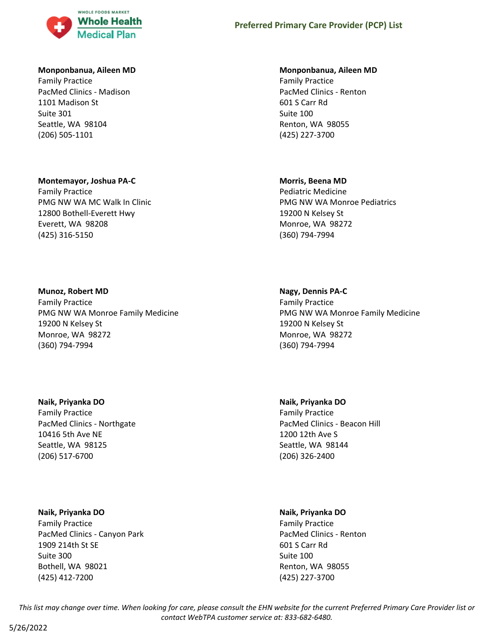

#### **Monponbanua, Aileen MD**

Family Practice PacMed Clinics - Madison 1101 Madison St Suite 301 Seattle, WA 98104 (206) 505-1101

#### **Montemayor, Joshua PA-C**

Family Practice PMG NW WA MC Walk In Clinic 12800 Bothell-Everett Hwy Everett, WA 98208 (425) 316-5150

#### **Munoz, Robert MD**

Family Practice PMG NW WA Monroe Family Medicine 19200 N Kelsey St Monroe, WA 98272 (360) 794-7994

## **Naik, Priyanka DO**

Family Practice PacMed Clinics - Northgate 10416 5th Ave NE Seattle, WA 98125 (206) 517-6700

#### **Naik, Priyanka DO**

Family Practice PacMed Clinics - Canyon Park 1909 214th St SE Suite 300 Bothell, WA 98021 (425) 412-7200

#### **Monponbanua, Aileen MD**

Family Practice PacMed Clinics - Renton 601 S Carr Rd Suite 100 Renton, WA 98055 (425) 227-3700

#### **Morris, Beena MD**

Pediatric Medicine PMG NW WA Monroe Pediatrics 19200 N Kelsey St Monroe, WA 98272 (360) 794-7994

#### **Nagy, Dennis PA-C**

Family Practice PMG NW WA Monroe Family Medicine 19200 N Kelsey St Monroe, WA 98272 (360) 794-7994

**Naik, Priyanka DO** Family Practice PacMed Clinics - Beacon Hill 1200 12th Ave S Seattle, WA 98144 (206) 326-2400

#### **Naik, Priyanka DO**

Family Practice PacMed Clinics - Renton 601 S Carr Rd Suite 100 Renton, WA 98055 (425) 227-3700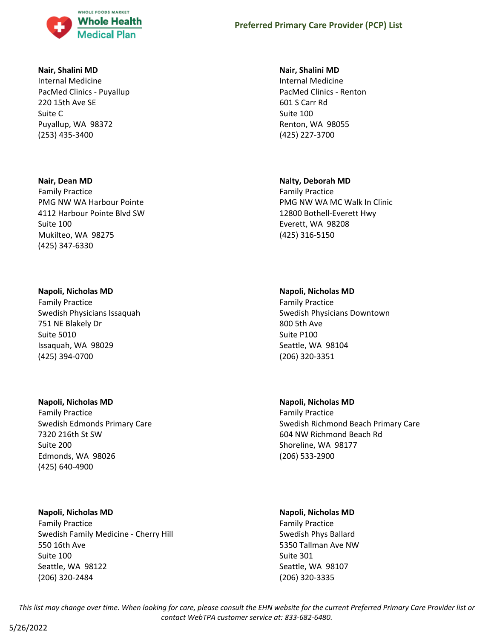

#### **Nair, Shalini MD**

Internal Medicine PacMed Clinics - Puyallup 220 15th Ave SE Suite C Puyallup, WA 98372 (253) 435-3400

#### **Nair, Dean MD**

Family Practice PMG NW WA Harbour Pointe 4112 Harbour Pointe Blvd SW Suite 100 Mukilteo, WA 98275 (425) 347-6330

### **Napoli, Nicholas MD**

Family Practice Swedish Physicians Issaquah 751 NE Blakely Dr Suite 5010 Issaquah, WA 98029 (425) 394-0700

### **Napoli, Nicholas MD**

Family Practice Swedish Edmonds Primary Care 7320 216th St SW Suite 200 Edmonds, WA 98026 (425) 640-4900

#### **Napoli, Nicholas MD**

Family Practice Swedish Family Medicine - Cherry Hill 550 16th Ave Suite 100 Seattle, WA 98122 (206) 320-2484

#### **Nair, Shalini MD**

Internal Medicine PacMed Clinics - Renton 601 S Carr Rd Suite 100 Renton, WA 98055 (425) 227-3700

#### **Nalty, Deborah MD**

Family Practice PMG NW WA MC Walk In Clinic 12800 Bothell-Everett Hwy Everett, WA 98208 (425) 316-5150

#### **Napoli, Nicholas MD**

Family Practice Swedish Physicians Downtown 800 5th Ave Suite P100 Seattle, WA 98104 (206) 320-3351

### **Napoli, Nicholas MD**

Family Practice Swedish Richmond Beach Primary Care 604 NW Richmond Beach Rd Shoreline, WA 98177 (206) 533-2900

### **Napoli, Nicholas MD**

Family Practice Swedish Phys Ballard 5350 Tallman Ave NW Suite 301 Seattle, WA 98107 (206) 320-3335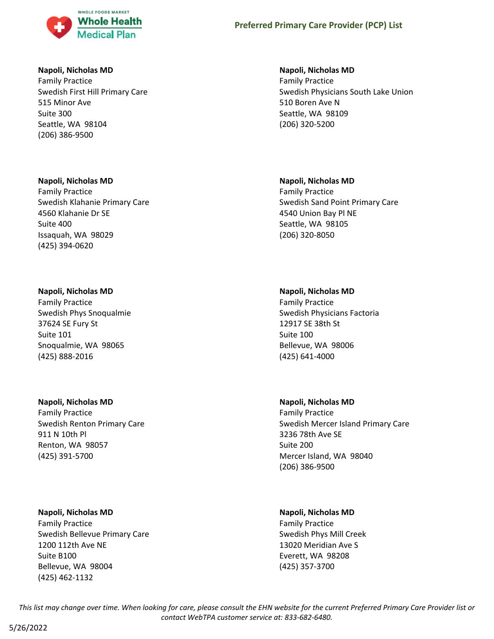

### **Napoli, Nicholas MD**

Family Practice Swedish First Hill Primary Care 515 Minor Ave Suite 300 Seattle, WA 98104 (206) 386-9500

### **Napoli, Nicholas MD**

Family Practice Swedish Klahanie Primary Care 4560 Klahanie Dr SE Suite 400 Issaquah, WA 98029 (425) 394-0620

#### **Napoli, Nicholas MD**

Family Practice Swedish Phys Snoqualmie 37624 SE Fury St Suite 101 Snoqualmie, WA 98065 (425) 888-2016

## **Napoli, Nicholas MD**

Family Practice Swedish Renton Primary Care 911 N 10th Pl Renton, WA 98057 (425) 391-5700

### **Napoli, Nicholas MD**

Family Practice Swedish Bellevue Primary Care 1200 112th Ave NE Suite B100 Bellevue, WA 98004 (425) 462-1132

#### **Napoli, Nicholas MD**

Family Practice Swedish Physicians South Lake Union 510 Boren Ave N Seattle, WA 98109 (206) 320-5200

#### **Napoli, Nicholas MD**

Family Practice Swedish Sand Point Primary Care 4540 Union Bay Pl NE Seattle, WA 98105 (206) 320-8050

#### **Napoli, Nicholas MD**

Family Practice Swedish Physicians Factoria 12917 SE 38th St Suite 100 Bellevue, WA 98006 (425) 641-4000

#### **Napoli, Nicholas MD**

Family Practice Swedish Mercer Island Primary Care 3236 78th Ave SE Suite 200 Mercer Island, WA 98040 (206) 386-9500

### **Napoli, Nicholas MD**

Family Practice Swedish Phys Mill Creek 13020 Meridian Ave S Everett, WA 98208 (425) 357-3700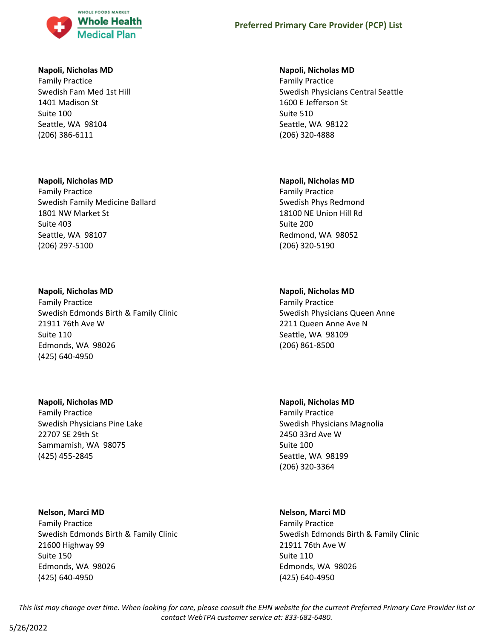

### **Napoli, Nicholas MD**

Family Practice Swedish Fam Med 1st Hill 1401 Madison St Suite 100 Seattle, WA 98104 (206) 386-6111

#### **Napoli, Nicholas MD**

Family Practice Swedish Family Medicine Ballard 1801 NW Market St Suite 403 Seattle, WA 98107 (206) 297-5100

#### **Napoli, Nicholas MD**

Family Practice Swedish Edmonds Birth & Family Clinic 21911 76th Ave W Suite 110 Edmonds, WA 98026 (425) 640-4950

### **Napoli, Nicholas MD**

Family Practice Swedish Physicians Pine Lake 22707 SE 29th St Sammamish, WA 98075 (425) 455-2845

#### **Nelson, Marci MD**

Family Practice Swedish Edmonds Birth & Family Clinic 21600 Highway 99 Suite 150 Edmonds, WA 98026 (425) 640-4950

#### **Napoli, Nicholas MD**

Family Practice Swedish Physicians Central Seattle 1600 E Jefferson St Suite 510 Seattle, WA 98122 (206) 320-4888

#### **Napoli, Nicholas MD**

Family Practice Swedish Phys Redmond 18100 NE Union Hill Rd Suite 200 Redmond, WA 98052 (206) 320-5190

#### **Napoli, Nicholas MD**

Family Practice Swedish Physicians Queen Anne 2211 Queen Anne Ave N Seattle, WA 98109 (206) 861-8500

#### **Napoli, Nicholas MD**

Family Practice Swedish Physicians Magnolia 2450 33rd Ave W Suite 100 Seattle, WA 98199 (206) 320-3364

### **Nelson, Marci MD**

Family Practice Swedish Edmonds Birth & Family Clinic 21911 76th Ave W Suite 110 Edmonds, WA 98026 (425) 640-4950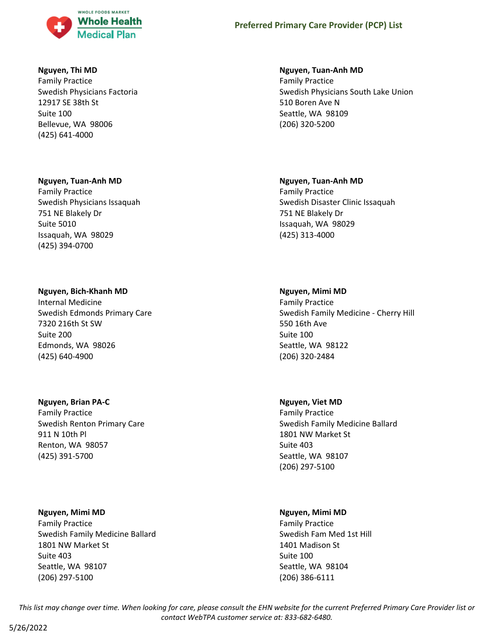

### **Nguyen, Thi MD**

Family Practice Swedish Physicians Factoria 12917 SE 38th St Suite 100 Bellevue, WA 98006 (425) 641-4000

### **Nguyen, Tuan-Anh MD**

Family Practice Swedish Physicians Issaquah 751 NE Blakely Dr Suite 5010 Issaquah, WA 98029 (425) 394-0700

## **Nguyen, Bich-Khanh MD**

Internal Medicine Swedish Edmonds Primary Care 7320 216th St SW Suite 200 Edmonds, WA 98026 (425) 640-4900

## **Nguyen, Brian PA-C**

Family Practice Swedish Renton Primary Care 911 N 10th Pl Renton, WA 98057 (425) 391-5700

### **Nguyen, Mimi MD**

Family Practice Swedish Family Medicine Ballard 1801 NW Market St Suite 403 Seattle, WA 98107 (206) 297-5100

### **Nguyen, Tuan-Anh MD**

Family Practice Swedish Physicians South Lake Union 510 Boren Ave N Seattle, WA 98109 (206) 320-5200

## **Nguyen, Tuan-Anh MD**

Family Practice Swedish Disaster Clinic Issaquah 751 NE Blakely Dr Issaquah, WA 98029 (425) 313-4000

## **Nguyen, Mimi MD**

Family Practice Swedish Family Medicine - Cherry Hill 550 16th Ave Suite 100 Seattle, WA 98122 (206) 320-2484

### **Nguyen, Viet MD**

Family Practice Swedish Family Medicine Ballard 1801 NW Market St Suite 403 Seattle, WA 98107 (206) 297-5100

## **Nguyen, Mimi MD**

Family Practice Swedish Fam Med 1st Hill 1401 Madison St Suite 100 Seattle, WA 98104 (206) 386-6111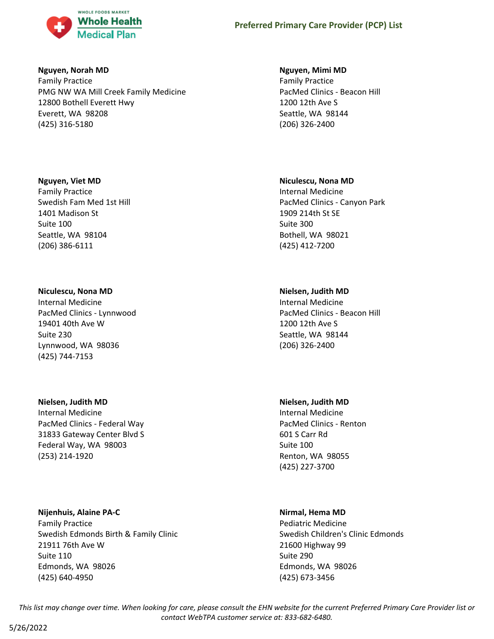

### **Nguyen, Norah MD**

Family Practice PMG NW WA Mill Creek Family Medicine 12800 Bothell Everett Hwy Everett, WA 98208 (425) 316-5180

## **Nguyen, Viet MD**

Family Practice Swedish Fam Med 1st Hill 1401 Madison St Suite 100 Seattle, WA 98104 (206) 386-6111

## **Niculescu, Nona MD**

Internal Medicine PacMed Clinics - Lynnwood 19401 40th Ave W Suite 230 Lynnwood, WA 98036 (425) 744-7153

### **Nielsen, Judith MD**

Internal Medicine PacMed Clinics - Federal Way 31833 Gateway Center Blvd S Federal Way, WA 98003 (253) 214-1920

**Nijenhuis, Alaine PA-C** Family Practice Swedish Edmonds Birth & Family Clinic 21911 76th Ave W Suite 110 Edmonds, WA 98026 (425) 640-4950

### **Nguyen, Mimi MD**

Family Practice PacMed Clinics - Beacon Hill 1200 12th Ave S Seattle, WA 98144 (206) 326-2400

## **Niculescu, Nona MD**

Internal Medicine PacMed Clinics - Canyon Park 1909 214th St SE Suite 300 Bothell, WA 98021 (425) 412-7200

## **Nielsen, Judith MD**

Internal Medicine PacMed Clinics - Beacon Hill 1200 12th Ave S Seattle, WA 98144 (206) 326-2400

### **Nielsen, Judith MD**

Internal Medicine PacMed Clinics - Renton 601 S Carr Rd Suite 100 Renton, WA 98055 (425) 227-3700

## **Nirmal, Hema MD**

Pediatric Medicine Swedish Children's Clinic Edmonds 21600 Highway 99 Suite 290 Edmonds, WA 98026 (425) 673-3456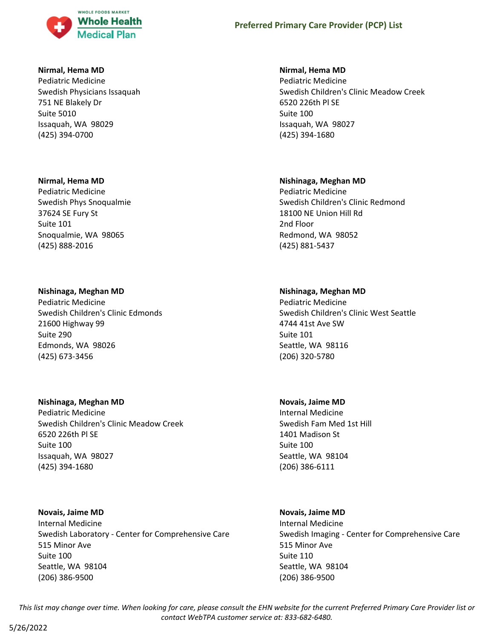

#### **Nirmal, Hema MD**

Pediatric Medicine Swedish Physicians Issaquah 751 NE Blakely Dr Suite 5010 Issaquah, WA 98029 (425) 394-0700

#### **Nirmal, Hema MD**

Pediatric Medicine Swedish Phys Snoqualmie 37624 SE Fury St Suite 101 Snoqualmie, WA 98065 (425) 888-2016

### **Nishinaga, Meghan MD**

Pediatric Medicine Swedish Children's Clinic Edmonds 21600 Highway 99 Suite 290 Edmonds, WA 98026 (425) 673-3456

### **Nishinaga, Meghan MD**

Pediatric Medicine Swedish Children's Clinic Meadow Creek 6520 226th Pl SE Suite 100 Issaquah, WA 98027 (425) 394-1680

### **Novais, Jaime MD**

Internal Medicine Swedish Laboratory - Center for Comprehensive Care 515 Minor Ave Suite 100 Seattle, WA 98104 (206) 386-9500

## **Nirmal, Hema MD**

Pediatric Medicine Swedish Children's Clinic Meadow Creek 6520 226th Pl SE Suite 100 Issaquah, WA 98027 (425) 394-1680

## **Nishinaga, Meghan MD**

Pediatric Medicine Swedish Children's Clinic Redmond 18100 NE Union Hill Rd 2nd Floor Redmond, WA 98052 (425) 881-5437

## **Nishinaga, Meghan MD**

Pediatric Medicine Swedish Children's Clinic West Seattle 4744 41st Ave SW Suite 101 Seattle, WA 98116 (206) 320-5780

### **Novais, Jaime MD**

Internal Medicine Swedish Fam Med 1st Hill 1401 Madison St Suite 100 Seattle, WA 98104 (206) 386-6111

### **Novais, Jaime MD**

Internal Medicine Swedish Imaging - Center for Comprehensive Care 515 Minor Ave Suite 110 Seattle, WA 98104 (206) 386-9500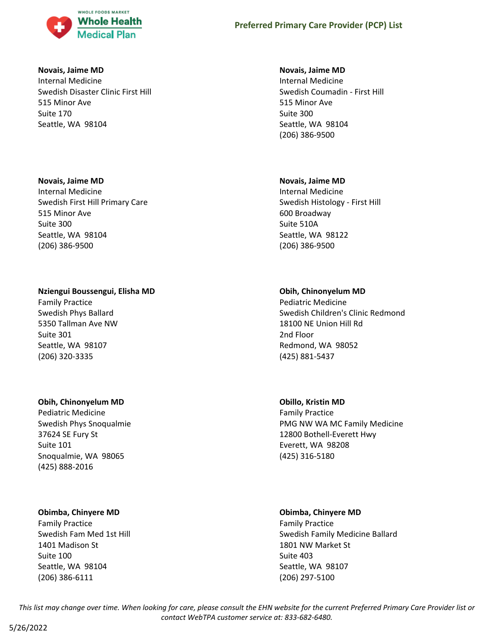

#### **Novais, Jaime MD**

Internal Medicine Swedish Disaster Clinic First Hill 515 Minor Ave Suite 170 Seattle, WA 98104

### **Novais, Jaime MD**

Internal Medicine Swedish First Hill Primary Care 515 Minor Ave Suite 300 Seattle, WA 98104 (206) 386-9500

## **Nziengui Boussengui, Elisha MD**

Family Practice Swedish Phys Ballard 5350 Tallman Ave NW Suite 301 Seattle, WA 98107 (206) 320-3335

## **Obih, Chinonyelum MD**

Pediatric Medicine Swedish Phys Snoqualmie 37624 SE Fury St Suite 101 Snoqualmie, WA 98065 (425) 888-2016

## **Obimba, Chinyere MD**

Family Practice Swedish Fam Med 1st Hill 1401 Madison St Suite 100 Seattle, WA 98104 (206) 386-6111

## **Novais, Jaime MD**

Internal Medicine Swedish Coumadin - First Hill 515 Minor Ave Suite 300 Seattle, WA 98104 (206) 386-9500

## **Novais, Jaime MD**

Internal Medicine Swedish Histology - First Hill 600 Broadway Suite 510A Seattle, WA 98122 (206) 386-9500

## **Obih, Chinonyelum MD**

Pediatric Medicine Swedish Children's Clinic Redmond 18100 NE Union Hill Rd 2nd Floor Redmond, WA 98052 (425) 881-5437

# **Obillo, Kristin MD**

Family Practice PMG NW WA MC Family Medicine 12800 Bothell-Everett Hwy Everett, WA 98208 (425) 316-5180

## **Obimba, Chinyere MD**

Family Practice Swedish Family Medicine Ballard 1801 NW Market St Suite 403 Seattle, WA 98107 (206) 297-5100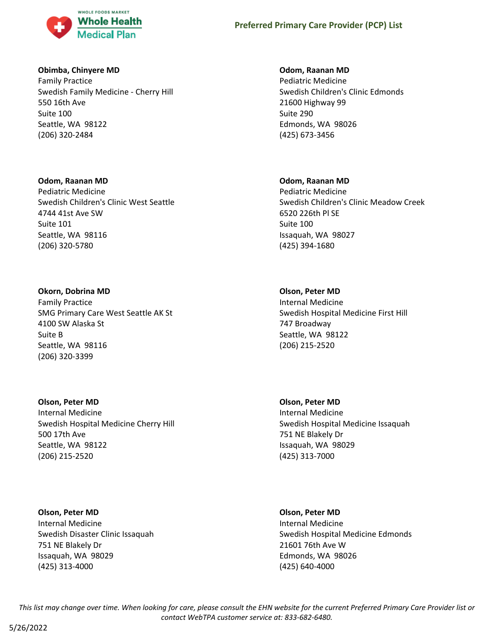

### **Obimba, Chinyere MD**

Family Practice Swedish Family Medicine - Cherry Hill 550 16th Ave Suite 100 Seattle, WA 98122 (206) 320-2484

**Odom, Raanan MD** Pediatric Medicine Swedish Children's Clinic West Seattle 4744 41st Ave SW Suite 101 Seattle, WA 98116 (206) 320-5780

**Okorn, Dobrina MD** Family Practice SMG Primary Care West Seattle AK St 4100 SW Alaska St Suite B Seattle, WA 98116 (206) 320-3399

**Olson, Peter MD** Internal Medicine Swedish Hospital Medicine Cherry Hill 500 17th Ave Seattle, WA 98122 (206) 215-2520

**Olson, Peter MD** Internal Medicine Swedish Disaster Clinic Issaquah 751 NE Blakely Dr Issaquah, WA 98029 (425) 313-4000

### **Odom, Raanan MD**

Pediatric Medicine Swedish Children's Clinic Edmonds 21600 Highway 99 Suite 290 Edmonds, WA 98026 (425) 673-3456

### **Odom, Raanan MD**

Pediatric Medicine Swedish Children's Clinic Meadow Creek 6520 226th Pl SE Suite 100 Issaquah, WA 98027 (425) 394-1680

### **Olson, Peter MD**

Internal Medicine Swedish Hospital Medicine First Hill 747 Broadway Seattle, WA 98122 (206) 215-2520

**Olson, Peter MD** Internal Medicine Swedish Hospital Medicine Issaquah 751 NE Blakely Dr Issaquah, WA 98029 (425) 313-7000

**Olson, Peter MD** Internal Medicine Swedish Hospital Medicine Edmonds 21601 76th Ave W Edmonds, WA 98026 (425) 640-4000

*This list may change over time. When looking for care, please consult the EHN website for the current Preferred Primary Care Provider list or contact WebTPA customer service at: 833-682-6480.*

5/26/2022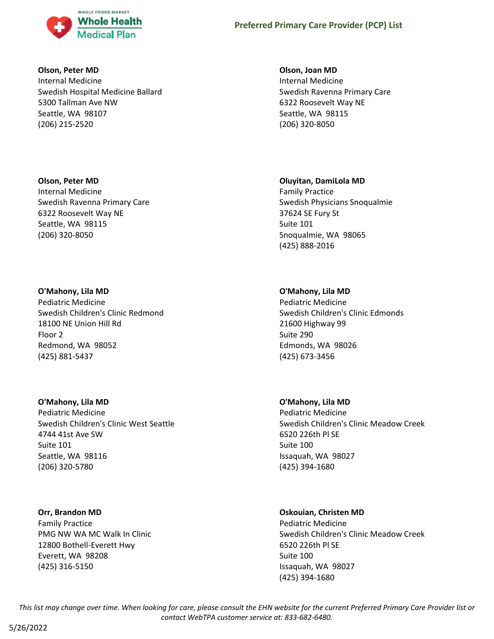

### **Olson, Peter MD**

Internal Medicine Swedish Hospital Medicine Ballard 5300 Tallman Ave NW Seattle, WA 98107 (206) 215-2520

### **Olson, Peter MD**

Internal Medicine Swedish Ravenna Primary Care 6322 Roosevelt Way NE Seattle, WA 98115 (206) 320-8050

### **O'Mahony, Lila MD**

Pediatric Medicine Swedish Children's Clinic Redmond 18100 NE Union Hill Rd Floor 2 Redmond, WA 98052 (425) 881-5437

### **O'Mahony, Lila MD**

Pediatric Medicine Swedish Children's Clinic West Seattle 4744 41st Ave SW Suite 101 Seattle, WA 98116 (206) 320-5780

### **Orr, Brandon MD**

Family Practice PMG NW WA MC Walk In Clinic 12800 Bothell-Everett Hwy Everett, WA 98208 (425) 316-5150

### **Olson, Joan MD**

Internal Medicine Swedish Ravenna Primary Care 6322 Roosevelt Way NE Seattle, WA 98115 (206) 320-8050

### **Oluyitan, DamiLola MD**

Family Practice Swedish Physicians Snoqualmie 37624 SE Fury St Suite 101 Snoqualmie, WA 98065 (425) 888-2016

# **O'Mahony, Lila MD**

Pediatric Medicine Swedish Children's Clinic Edmonds 21600 Highway 99 Suite 290 Edmonds, WA 98026 (425) 673-3456

### **O'Mahony, Lila MD**

Pediatric Medicine Swedish Children's Clinic Meadow Creek 6520 226th Pl SE Suite 100 Issaquah, WA 98027 (425) 394-1680

# **Oskouian, Christen MD**

Pediatric Medicine Swedish Children's Clinic Meadow Creek 6520 226th Pl SE Suite 100 Issaquah, WA 98027 (425) 394-1680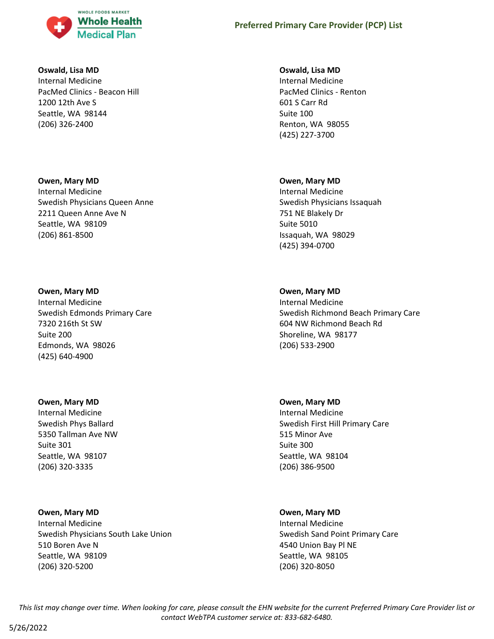

### **Oswald, Lisa MD**

Internal Medicine PacMed Clinics - Beacon Hill 1200 12th Ave S Seattle, WA 98144 (206) 326-2400

#### **Owen, Mary MD**

Internal Medicine Swedish Physicians Queen Anne 2211 Queen Anne Ave N Seattle, WA 98109 (206) 861-8500

### **Owen, Mary MD**

Internal Medicine Swedish Edmonds Primary Care 7320 216th St SW Suite 200 Edmonds, WA 98026 (425) 640-4900

### **Owen, Mary MD**

Internal Medicine Swedish Phys Ballard 5350 Tallman Ave NW Suite 301 Seattle, WA 98107 (206) 320-3335

### **Owen, Mary MD**

Internal Medicine Swedish Physicians South Lake Union 510 Boren Ave N Seattle, WA 98109 (206) 320-5200

#### **Oswald, Lisa MD**

Internal Medicine PacMed Clinics - Renton 601 S Carr Rd Suite 100 Renton, WA 98055 (425) 227-3700

#### **Owen, Mary MD**

Internal Medicine Swedish Physicians Issaquah 751 NE Blakely Dr Suite 5010 Issaquah, WA 98029 (425) 394-0700

### **Owen, Mary MD**

Internal Medicine Swedish Richmond Beach Primary Care 604 NW Richmond Beach Rd Shoreline, WA 98177 (206) 533-2900

### **Owen, Mary MD**

Internal Medicine Swedish First Hill Primary Care 515 Minor Ave Suite 300 Seattle, WA 98104 (206) 386-9500

### **Owen, Mary MD**

Internal Medicine Swedish Sand Point Primary Care 4540 Union Bay Pl NE Seattle, WA 98105 (206) 320-8050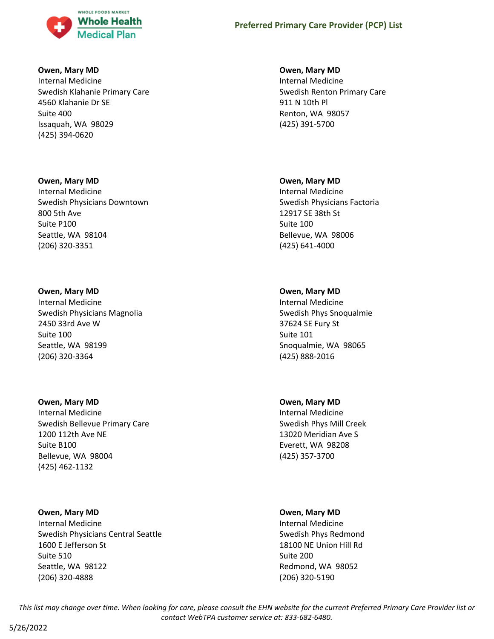

### **Owen, Mary MD**

Internal Medicine Swedish Klahanie Primary Care 4560 Klahanie Dr SE Suite 400 Issaquah, WA 98029 (425) 394-0620

#### **Owen, Mary MD**

Internal Medicine Swedish Physicians Downtown 800 5th Ave Suite P100 Seattle, WA 98104 (206) 320-3351

### **Owen, Mary MD**

Internal Medicine Swedish Physicians Magnolia 2450 33rd Ave W Suite 100 Seattle, WA 98199 (206) 320-3364

### **Owen, Mary MD**

Internal Medicine Swedish Bellevue Primary Care 1200 112th Ave NE Suite B100 Bellevue, WA 98004 (425) 462-1132

### **Owen, Mary MD**

Internal Medicine Swedish Physicians Central Seattle 1600 E Jefferson St Suite 510 Seattle, WA 98122 (206) 320-4888

### **Owen, Mary MD**

Internal Medicine Swedish Renton Primary Care 911 N 10th Pl Renton, WA 98057 (425) 391-5700

#### **Owen, Mary MD**

Internal Medicine Swedish Physicians Factoria 12917 SE 38th St Suite 100 Bellevue, WA 98006 (425) 641-4000

### **Owen, Mary MD**

Internal Medicine Swedish Phys Snoqualmie 37624 SE Fury St Suite 101 Snoqualmie, WA 98065 (425) 888-2016

### **Owen, Mary MD**

Internal Medicine Swedish Phys Mill Creek 13020 Meridian Ave S Everett, WA 98208 (425) 357-3700

### **Owen, Mary MD**

Internal Medicine Swedish Phys Redmond 18100 NE Union Hill Rd Suite 200 Redmond, WA 98052 (206) 320-5190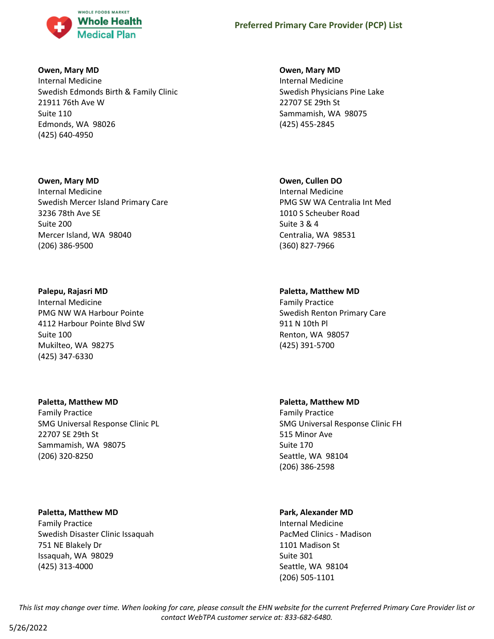

### **Owen, Mary MD**

Internal Medicine Swedish Edmonds Birth & Family Clinic 21911 76th Ave W Suite 110 Edmonds, WA 98026 (425) 640-4950

### **Owen, Mary MD**

Internal Medicine Swedish Mercer Island Primary Care 3236 78th Ave SE Suite 200 Mercer Island, WA 98040 (206) 386-9500

### **Palepu, Rajasri MD**

Internal Medicine PMG NW WA Harbour Pointe 4112 Harbour Pointe Blvd SW Suite 100 Mukilteo, WA 98275 (425) 347-6330

# **Paletta, Matthew MD**

Family Practice SMG Universal Response Clinic PL 22707 SE 29th St Sammamish, WA 98075 (206) 320-8250

### **Paletta, Matthew MD**

Family Practice Swedish Disaster Clinic Issaquah 751 NE Blakely Dr Issaquah, WA 98029 (425) 313-4000

### **Owen, Mary MD**

Internal Medicine Swedish Physicians Pine Lake 22707 SE 29th St Sammamish, WA 98075 (425) 455-2845

# **Owen, Cullen DO**

Internal Medicine PMG SW WA Centralia Int Med 1010 S Scheuber Road Suite 3 & 4 Centralia, WA 98531 (360) 827-7966

# **Paletta, Matthew MD**

Family Practice Swedish Renton Primary Care 911 N 10th Pl Renton, WA 98057 (425) 391-5700

# **Paletta, Matthew MD**

Family Practice SMG Universal Response Clinic FH 515 Minor Ave Suite 170 Seattle, WA 98104 (206) 386-2598

# **Park, Alexander MD**

Internal Medicine PacMed Clinics - Madison 1101 Madison St Suite 301 Seattle, WA 98104 (206) 505-1101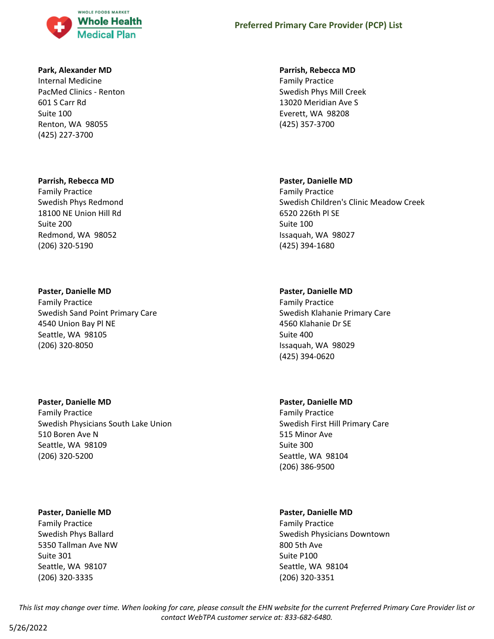

### **Park, Alexander MD**

Internal Medicine PacMed Clinics - Renton 601 S Carr Rd Suite 100 Renton, WA 98055 (425) 227-3700

### **Parrish, Rebecca MD**

Family Practice Swedish Phys Redmond 18100 NE Union Hill Rd Suite 200 Redmond, WA 98052 (206) 320-5190

# **Paster, Danielle MD**

Family Practice Swedish Sand Point Primary Care 4540 Union Bay Pl NE Seattle, WA 98105 (206) 320-8050

# **Paster, Danielle MD**

Family Practice Swedish Physicians South Lake Union 510 Boren Ave N Seattle, WA 98109 (206) 320-5200

### **Paster, Danielle MD**

Family Practice Swedish Phys Ballard 5350 Tallman Ave NW Suite 301 Seattle, WA 98107 (206) 320-3335

# **Preferred Primary Care Provider (PCP) List**

### **Parrish, Rebecca MD**

Family Practice Swedish Phys Mill Creek 13020 Meridian Ave S Everett, WA 98208 (425) 357-3700

# **Paster, Danielle MD**

Family Practice Swedish Children's Clinic Meadow Creek 6520 226th Pl SE Suite 100 Issaquah, WA 98027 (425) 394-1680

# **Paster, Danielle MD**

Family Practice Swedish Klahanie Primary Care 4560 Klahanie Dr SE Suite 400 Issaquah, WA 98029 (425) 394-0620

# **Paster, Danielle MD**

Family Practice Swedish First Hill Primary Care 515 Minor Ave Suite 300 Seattle, WA 98104 (206) 386-9500

# **Paster, Danielle MD**

Family Practice Swedish Physicians Downtown 800 5th Ave Suite P100 Seattle, WA 98104 (206) 320-3351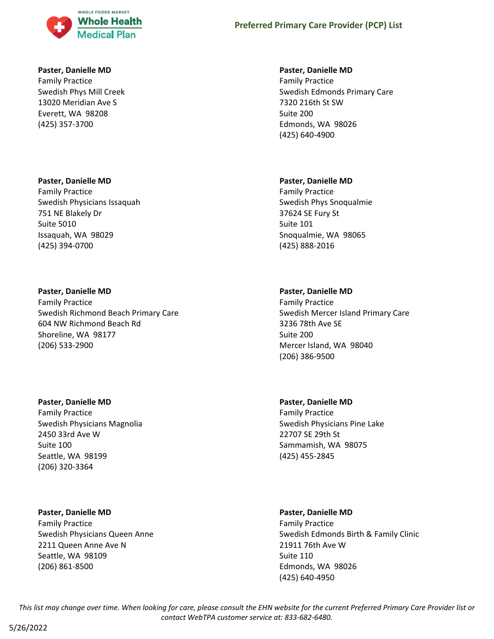

### **Paster, Danielle MD**

Family Practice Swedish Phys Mill Creek 13020 Meridian Ave S Everett, WA 98208 (425) 357-3700

#### **Paster, Danielle MD**

Family Practice Swedish Physicians Issaquah 751 NE Blakely Dr Suite 5010 Issaquah, WA 98029 (425) 394-0700

#### **Paster, Danielle MD**

Family Practice Swedish Richmond Beach Primary Care 604 NW Richmond Beach Rd Shoreline, WA 98177 (206) 533-2900

#### **Paster, Danielle MD**

Family Practice Swedish Physicians Magnolia 2450 33rd Ave W Suite 100 Seattle, WA 98199 (206) 320-3364

#### **Paster, Danielle MD**

Family Practice Swedish Physicians Queen Anne 2211 Queen Anne Ave N Seattle, WA 98109 (206) 861-8500

#### **Paster, Danielle MD**

Family Practice Swedish Edmonds Primary Care 7320 216th St SW Suite 200 Edmonds, WA 98026 (425) 640-4900

#### **Paster, Danielle MD**

Family Practice Swedish Phys Snoqualmie 37624 SE Fury St Suite 101 Snoqualmie, WA 98065 (425) 888-2016

#### **Paster, Danielle MD**

Family Practice Swedish Mercer Island Primary Care 3236 78th Ave SE Suite 200 Mercer Island, WA 98040 (206) 386-9500

### **Paster, Danielle MD**

Family Practice Swedish Physicians Pine Lake 22707 SE 29th St Sammamish, WA 98075 (425) 455-2845

#### **Paster, Danielle MD**

Family Practice Swedish Edmonds Birth & Family Clinic 21911 76th Ave W Suite 110 Edmonds, WA 98026 (425) 640-4950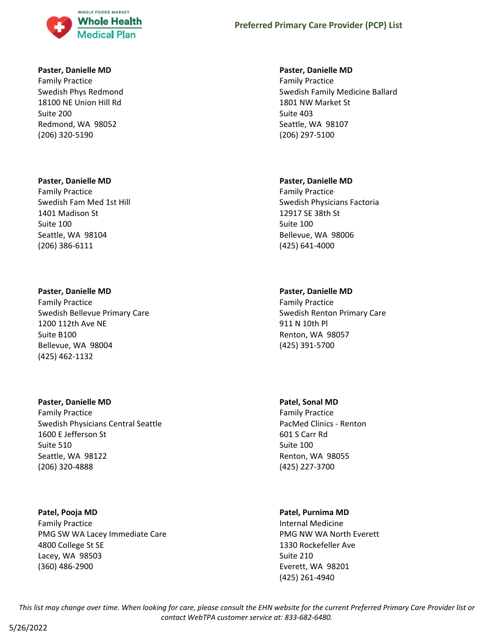

#### **Paster, Danielle MD**

Family Practice Swedish Phys Redmond 18100 NE Union Hill Rd Suite 200 Redmond, WA 98052 (206) 320-5190

#### **Paster, Danielle MD**

Family Practice Swedish Fam Med 1st Hill 1401 Madison St Suite 100 Seattle, WA 98104 (206) 386-6111

#### **Paster, Danielle MD**

Family Practice Swedish Bellevue Primary Care 1200 112th Ave NE Suite B100 Bellevue, WA 98004 (425) 462-1132

#### **Paster, Danielle MD**

Family Practice Swedish Physicians Central Seattle 1600 E Jefferson St Suite 510 Seattle, WA 98122 (206) 320-4888

#### **Patel, Pooja MD**

Family Practice PMG SW WA Lacey Immediate Care 4800 College St SE Lacey, WA 98503 (360) 486-2900

#### **Paster, Danielle MD**

Family Practice Swedish Family Medicine Ballard 1801 NW Market St Suite 403 Seattle, WA 98107 (206) 297-5100

#### **Paster, Danielle MD**

Family Practice Swedish Physicians Factoria 12917 SE 38th St Suite 100 Bellevue, WA 98006 (425) 641-4000

### **Paster, Danielle MD**

Family Practice Swedish Renton Primary Care 911 N 10th Pl Renton, WA 98057 (425) 391-5700

#### **Patel, Sonal MD**

Family Practice PacMed Clinics - Renton 601 S Carr Rd Suite 100 Renton, WA 98055 (425) 227-3700

### **Patel, Purnima MD**

Internal Medicine PMG NW WA North Everett 1330 Rockefeller Ave Suite 210 Everett, WA 98201 (425) 261-4940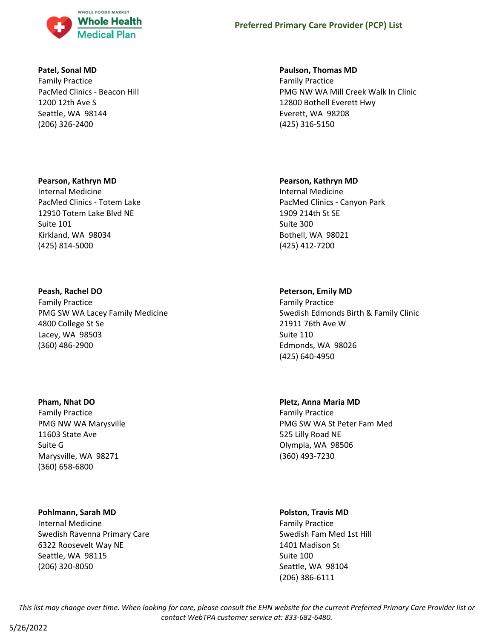

### **Patel, Sonal MD**

Family Practice PacMed Clinics - Beacon Hill 1200 12th Ave S Seattle, WA 98144 (206) 326-2400

### **Pearson, Kathryn MD**

Internal Medicine PacMed Clinics - Totem Lake 12910 Totem Lake Blvd NE Suite 101 Kirkland, WA 98034 (425) 814-5000

### **Peash, Rachel DO**

Family Practice PMG SW WA Lacey Family Medicine 4800 College St Se Lacey, WA 98503 (360) 486-2900

### **Pham, Nhat DO**

Family Practice PMG NW WA Marysville 11603 State Ave Suite G Marysville, WA 98271 (360) 658-6800

### **Pohlmann, Sarah MD**

Internal Medicine Swedish Ravenna Primary Care 6322 Roosevelt Way NE Seattle, WA 98115 (206) 320-8050

#### **Paulson, Thomas MD**

Family Practice PMG NW WA Mill Creek Walk In Clinic 12800 Bothell Everett Hwy Everett, WA 98208 (425) 316-5150

#### **Pearson, Kathryn MD**

Internal Medicine PacMed Clinics - Canyon Park 1909 214th St SE Suite 300 Bothell, WA 98021 (425) 412-7200

### **Peterson, Emily MD**

Family Practice Swedish Edmonds Birth & Family Clinic 21911 76th Ave W Suite 110 Edmonds, WA 98026 (425) 640-4950

### **Pletz, Anna Maria MD**

Family Practice PMG SW WA St Peter Fam Med 525 Lilly Road NE Olympia, WA 98506 (360) 493-7230

### **Polston, Travis MD**

Family Practice Swedish Fam Med 1st Hill 1401 Madison St Suite 100 Seattle, WA 98104 (206) 386-6111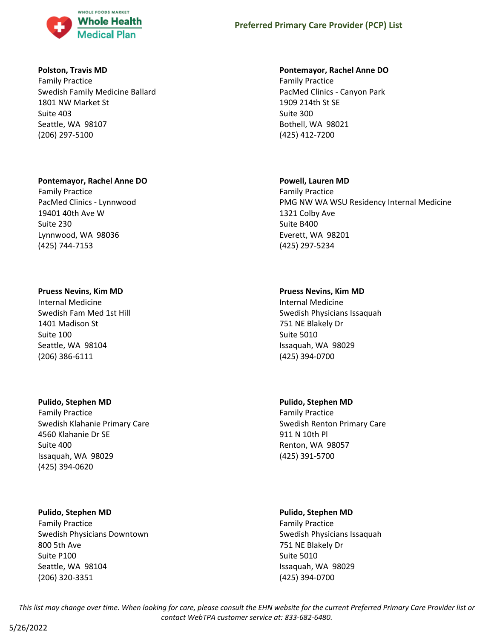

### **Polston, Travis MD**

Family Practice Swedish Family Medicine Ballard 1801 NW Market St Suite 403 Seattle, WA 98107 (206) 297-5100

#### **Pontemayor, Rachel Anne DO**

Family Practice PacMed Clinics - Lynnwood 19401 40th Ave W Suite 230 Lynnwood, WA 98036 (425) 744-7153

#### **Pruess Nevins, Kim MD**

Internal Medicine Swedish Fam Med 1st Hill 1401 Madison St Suite 100 Seattle, WA 98104 (206) 386-6111

#### **Pulido, Stephen MD**

Family Practice Swedish Klahanie Primary Care 4560 Klahanie Dr SE Suite 400 Issaquah, WA 98029 (425) 394-0620

#### **Pulido, Stephen MD**

Family Practice Swedish Physicians Downtown 800 5th Ave Suite P100 Seattle, WA 98104 (206) 320-3351

#### **Pontemayor, Rachel Anne DO**

Family Practice PacMed Clinics - Canyon Park 1909 214th St SE Suite 300 Bothell, WA 98021 (425) 412-7200

#### **Powell, Lauren MD**

Family Practice PMG NW WA WSU Residency Internal Medicine 1321 Colby Ave Suite B400 Everett, WA 98201 (425) 297-5234

### **Pruess Nevins, Kim MD**

Internal Medicine Swedish Physicians Issaquah 751 NE Blakely Dr Suite 5010 Issaquah, WA 98029 (425) 394-0700

### **Pulido, Stephen MD**

Family Practice Swedish Renton Primary Care 911 N 10th Pl Renton, WA 98057 (425) 391-5700

#### **Pulido, Stephen MD**

Family Practice Swedish Physicians Issaquah 751 NE Blakely Dr Suite 5010 Issaquah, WA 98029 (425) 394-0700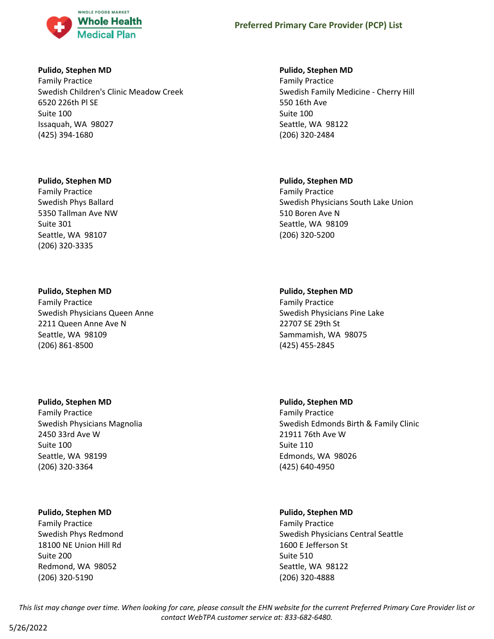

### **Pulido, Stephen MD**

Family Practice Swedish Children's Clinic Meadow Creek 6520 226th Pl SE Suite 100 Issaquah, WA 98027 (425) 394-1680

### **Pulido, Stephen MD**

Family Practice Swedish Phys Ballard 5350 Tallman Ave NW Suite 301 Seattle, WA 98107 (206) 320-3335

### **Pulido, Stephen MD**

Family Practice Swedish Physicians Queen Anne 2211 Queen Anne Ave N Seattle, WA 98109 (206) 861-8500

### **Pulido, Stephen MD**

Family Practice Swedish Physicians Magnolia 2450 33rd Ave W Suite 100 Seattle, WA 98199 (206) 320-3364

### **Pulido, Stephen MD**

Family Practice Swedish Phys Redmond 18100 NE Union Hill Rd Suite 200 Redmond, WA 98052 (206) 320-5190

# **Pulido, Stephen MD**

Family Practice Swedish Family Medicine - Cherry Hill 550 16th Ave Suite 100 Seattle, WA 98122 (206) 320-2484

### **Pulido, Stephen MD**

Family Practice Swedish Physicians South Lake Union 510 Boren Ave N Seattle, WA 98109 (206) 320-5200

### **Pulido, Stephen MD**

Family Practice Swedish Physicians Pine Lake 22707 SE 29th St Sammamish, WA 98075 (425) 455-2845

### **Pulido, Stephen MD**

Family Practice Swedish Edmonds Birth & Family Clinic 21911 76th Ave W Suite 110 Edmonds, WA 98026 (425) 640-4950

# **Pulido, Stephen MD**

Family Practice Swedish Physicians Central Seattle 1600 E Jefferson St Suite 510 Seattle, WA 98122 (206) 320-4888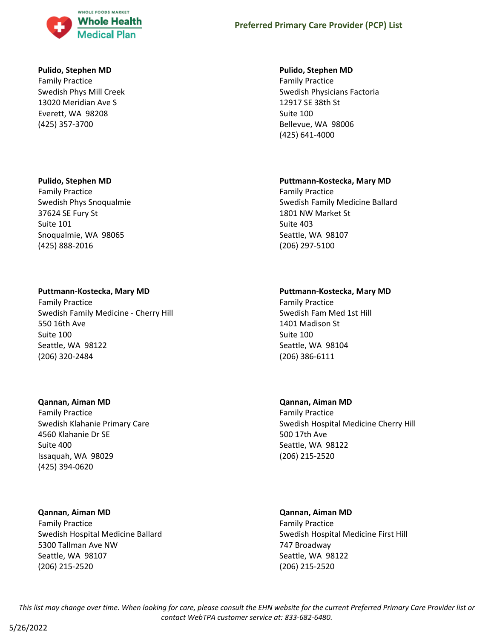

### **Pulido, Stephen MD**

Family Practice Swedish Phys Mill Creek 13020 Meridian Ave S Everett, WA 98208 (425) 357-3700

### **Pulido, Stephen MD**

Family Practice Swedish Phys Snoqualmie 37624 SE Fury St Suite 101 Snoqualmie, WA 98065 (425) 888-2016

### **Puttmann-Kostecka, Mary MD**

Family Practice Swedish Family Medicine - Cherry Hill 550 16th Ave Suite 100 Seattle, WA 98122 (206) 320-2484

#### **Qannan, Aiman MD**

Family Practice Swedish Klahanie Primary Care 4560 Klahanie Dr SE Suite 400 Issaquah, WA 98029 (425) 394-0620

#### **Qannan, Aiman MD**

Family Practice Swedish Hospital Medicine Ballard 5300 Tallman Ave NW Seattle, WA 98107 (206) 215-2520

#### **Pulido, Stephen MD**

Family Practice Swedish Physicians Factoria 12917 SE 38th St Suite 100 Bellevue, WA 98006 (425) 641-4000

### **Puttmann-Kostecka, Mary MD**

Family Practice Swedish Family Medicine Ballard 1801 NW Market St Suite 403 Seattle, WA 98107 (206) 297-5100

### **Puttmann-Kostecka, Mary MD**

Family Practice Swedish Fam Med 1st Hill 1401 Madison St Suite 100 Seattle, WA 98104 (206) 386-6111

### **Qannan, Aiman MD**

Family Practice Swedish Hospital Medicine Cherry Hill 500 17th Ave Seattle, WA 98122 (206) 215-2520

# **Qannan, Aiman MD**

Family Practice Swedish Hospital Medicine First Hill 747 Broadway Seattle, WA 98122 (206) 215-2520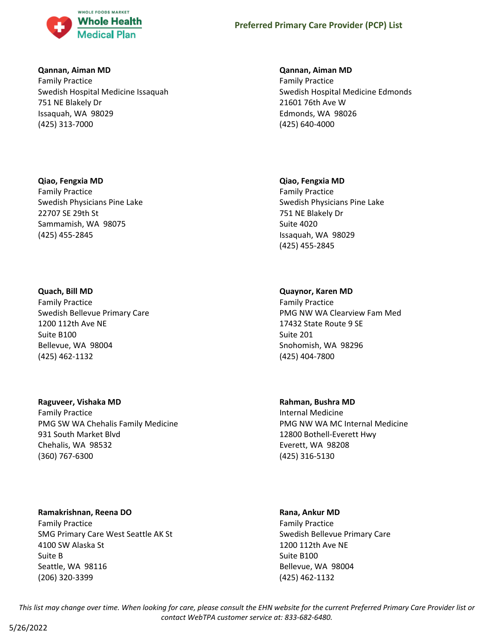

### **Qannan, Aiman MD**

Family Practice Swedish Hospital Medicine Issaquah 751 NE Blakely Dr Issaquah, WA 98029 (425) 313-7000

### **Qiao, Fengxia MD**

Family Practice Swedish Physicians Pine Lake 22707 SE 29th St Sammamish, WA 98075 (425) 455-2845

### **Quach, Bill MD**

Family Practice Swedish Bellevue Primary Care 1200 112th Ave NE Suite B100 Bellevue, WA 98004 (425) 462-1132

### **Raguveer, Vishaka MD**

Family Practice PMG SW WA Chehalis Family Medicine 931 South Market Blvd Chehalis, WA 98532 (360) 767-6300

# **Ramakrishnan, Reena DO**

Family Practice SMG Primary Care West Seattle AK St 4100 SW Alaska St Suite B Seattle, WA 98116 (206) 320-3399

### **Qannan, Aiman MD**

Family Practice Swedish Hospital Medicine Edmonds 21601 76th Ave W Edmonds, WA 98026 (425) 640-4000

### **Qiao, Fengxia MD**

Family Practice Swedish Physicians Pine Lake 751 NE Blakely Dr Suite 4020 Issaquah, WA 98029 (425) 455-2845

# **Quaynor, Karen MD**

Family Practice PMG NW WA Clearview Fam Med 17432 State Route 9 SE Suite 201 Snohomish, WA 98296 (425) 404-7800

# **Rahman, Bushra MD**

Internal Medicine PMG NW WA MC Internal Medicine 12800 Bothell-Everett Hwy Everett, WA 98208 (425) 316-5130

### **Rana, Ankur MD**

Family Practice Swedish Bellevue Primary Care 1200 112th Ave NE Suite B100 Bellevue, WA 98004 (425) 462-1132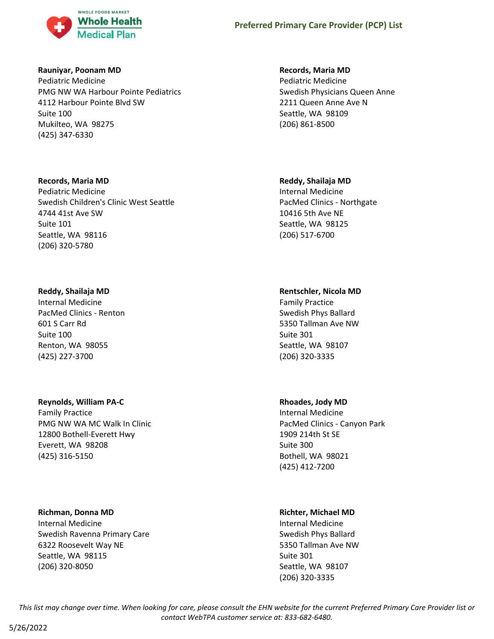

### **Rauniyar, Poonam MD**

Pediatric Medicine PMG NW WA Harbour Pointe Pediatrics 4112 Harbour Pointe Blvd SW Suite 100 Mukilteo, WA 98275 (425) 347-6330

### **Records, Maria MD**

Pediatric Medicine Swedish Children's Clinic West Seattle 4744 41st Ave SW Suite 101 Seattle, WA 98116 (206) 320-5780

# **Reddy, Shailaja MD**

Internal Medicine PacMed Clinics - Renton 601 S Carr Rd Suite 100 Renton, WA 98055 (425) 227-3700

# **Reynolds, William PA-C**

Family Practice PMG NW WA MC Walk In Clinic 12800 Bothell-Everett Hwy Everett, WA 98208 (425) 316-5150

# **Richman, Donna MD**

Internal Medicine Swedish Ravenna Primary Care 6322 Roosevelt Way NE Seattle, WA 98115 (206) 320-8050

# **Records, Maria MD**

Pediatric Medicine Swedish Physicians Queen Anne 2211 Queen Anne Ave N Seattle, WA 98109 (206) 861-8500

# **Reddy, Shailaja MD**

Internal Medicine PacMed Clinics - Northgate 10416 5th Ave NE Seattle, WA 98125 (206) 517-6700

# **Rentschler, Nicola MD**

Family Practice Swedish Phys Ballard 5350 Tallman Ave NW Suite 301 Seattle, WA 98107 (206) 320-3335

# **Rhoades, Jody MD**

Internal Medicine PacMed Clinics - Canyon Park 1909 214th St SE Suite 300 Bothell, WA 98021 (425) 412-7200

# **Richter, Michael MD**

Internal Medicine Swedish Phys Ballard 5350 Tallman Ave NW Suite 301 Seattle, WA 98107 (206) 320-3335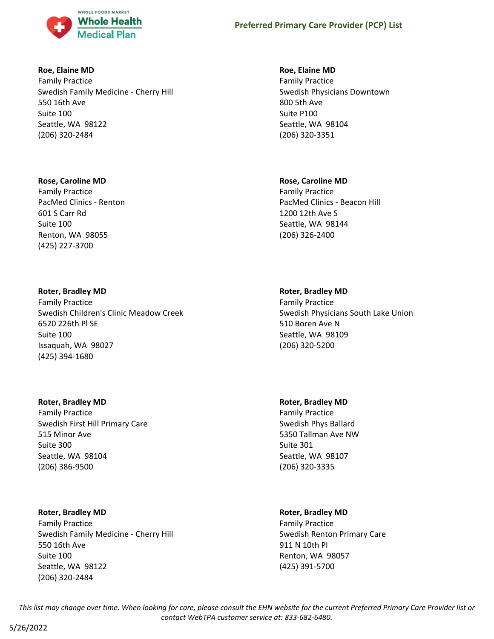

### **Roe, Elaine MD**

Family Practice Swedish Family Medicine - Cherry Hill 550 16th Ave Suite 100 Seattle, WA 98122 (206) 320-2484

### **Rose, Caroline MD**

Family Practice PacMed Clinics - Renton 601 S Carr Rd Suite 100 Renton, WA 98055 (425) 227-3700

### **Roter, Bradley MD**

Family Practice Swedish Children's Clinic Meadow Creek 6520 226th Pl SE Suite 100 Issaquah, WA 98027 (425) 394-1680

### **Roter, Bradley MD**

Family Practice Swedish First Hill Primary Care 515 Minor Ave Suite 300 Seattle, WA 98104 (206) 386-9500

### **Roter, Bradley MD**

Family Practice Swedish Family Medicine - Cherry Hill 550 16th Ave Suite 100 Seattle, WA 98122 (206) 320-2484

### **Roe, Elaine MD**

Family Practice Swedish Physicians Downtown 800 5th Ave Suite P100 Seattle, WA 98104 (206) 320-3351

#### **Rose, Caroline MD**

Family Practice PacMed Clinics - Beacon Hill 1200 12th Ave S Seattle, WA 98144 (206) 326-2400

### **Roter, Bradley MD**

Family Practice Swedish Physicians South Lake Union 510 Boren Ave N Seattle, WA 98109 (206) 320-5200

### **Roter, Bradley MD**

Family Practice Swedish Phys Ballard 5350 Tallman Ave NW Suite 301 Seattle, WA 98107 (206) 320-3335

### **Roter, Bradley MD**

Family Practice Swedish Renton Primary Care 911 N 10th Pl Renton, WA 98057 (425) 391-5700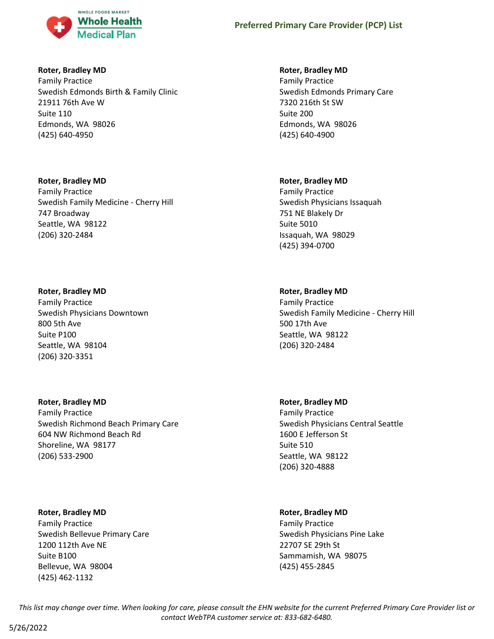

### **Roter, Bradley MD**

Family Practice Swedish Edmonds Birth & Family Clinic 21911 76th Ave W Suite 110 Edmonds, WA 98026 (425) 640-4950

# **Roter, Bradley MD**

Family Practice Swedish Family Medicine - Cherry Hill 747 Broadway Seattle, WA 98122 (206) 320-2484

# **Roter, Bradley MD**

Family Practice Swedish Physicians Downtown 800 5th Ave Suite P100 Seattle, WA 98104 (206) 320-3351

### **Roter, Bradley MD**

Family Practice Swedish Richmond Beach Primary Care 604 NW Richmond Beach Rd Shoreline, WA 98177 (206) 533-2900

# **Roter, Bradley MD**

Family Practice Swedish Bellevue Primary Care 1200 112th Ave NE Suite B100 Bellevue, WA 98004 (425) 462-1132

### **Roter, Bradley MD**

Family Practice Swedish Edmonds Primary Care 7320 216th St SW Suite 200 Edmonds, WA 98026 (425) 640-4900

### **Roter, Bradley MD**

Family Practice Swedish Physicians Issaquah 751 NE Blakely Dr Suite 5010 Issaquah, WA 98029 (425) 394-0700

# **Roter, Bradley MD**

Family Practice Swedish Family Medicine - Cherry Hill 500 17th Ave Seattle, WA 98122 (206) 320-2484

# **Roter, Bradley MD**

Family Practice Swedish Physicians Central Seattle 1600 E Jefferson St Suite 510 Seattle, WA 98122 (206) 320-4888

# **Roter, Bradley MD**

Family Practice Swedish Physicians Pine Lake 22707 SE 29th St Sammamish, WA 98075 (425) 455-2845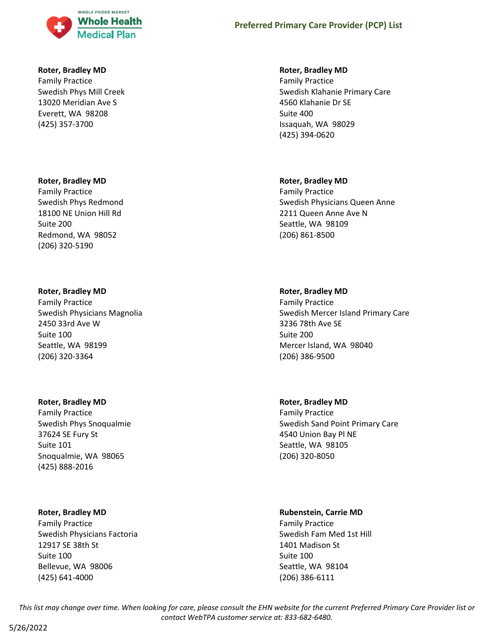

### **Roter, Bradley MD**

Family Practice Swedish Phys Mill Creek 13020 Meridian Ave S Everett, WA 98208 (425) 357-3700

#### **Roter, Bradley MD**

Family Practice Swedish Phys Redmond 18100 NE Union Hill Rd Suite 200 Redmond, WA 98052 (206) 320-5190

#### **Roter, Bradley MD**

Family Practice Swedish Physicians Magnolia 2450 33rd Ave W Suite 100 Seattle, WA 98199 (206) 320-3364

#### **Roter, Bradley MD**

Family Practice Swedish Phys Snoqualmie 37624 SE Fury St Suite 101 Snoqualmie, WA 98065 (425) 888-2016

### **Roter, Bradley MD**

Family Practice Swedish Physicians Factoria 12917 SE 38th St Suite 100 Bellevue, WA 98006 (425) 641-4000

#### **Roter, Bradley MD**

Family Practice Swedish Klahanie Primary Care 4560 Klahanie Dr SE Suite 400 Issaquah, WA 98029 (425) 394-0620

### **Roter, Bradley MD**

Family Practice Swedish Physicians Queen Anne 2211 Queen Anne Ave N Seattle, WA 98109 (206) 861-8500

#### **Roter, Bradley MD**

Family Practice Swedish Mercer Island Primary Care 3236 78th Ave SE Suite 200 Mercer Island, WA 98040 (206) 386-9500

### **Roter, Bradley MD**

Family Practice Swedish Sand Point Primary Care 4540 Union Bay Pl NE Seattle, WA 98105 (206) 320-8050

### **Rubenstein, Carrie MD**

Family Practice Swedish Fam Med 1st Hill 1401 Madison St Suite 100 Seattle, WA 98104 (206) 386-6111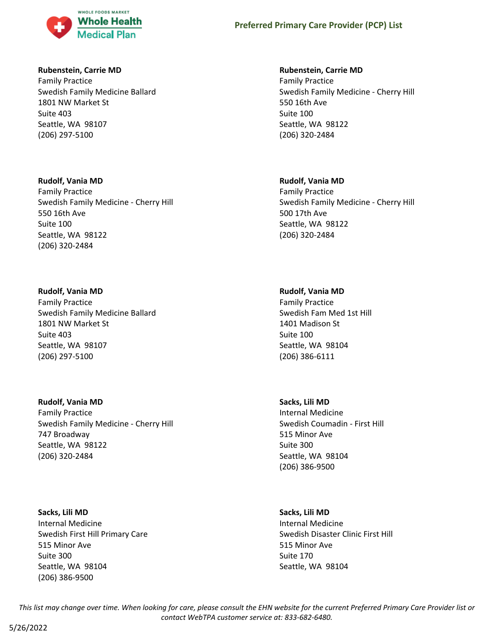

### **Rubenstein, Carrie MD**

Family Practice Swedish Family Medicine Ballard 1801 NW Market St Suite 403 Seattle, WA 98107 (206) 297-5100

### **Rudolf, Vania MD**

Family Practice Swedish Family Medicine - Cherry Hill 550 16th Ave Suite 100 Seattle, WA 98122 (206) 320-2484

### **Rudolf, Vania MD**

Family Practice Swedish Family Medicine Ballard 1801 NW Market St Suite 403 Seattle, WA 98107 (206) 297-5100

# **Rudolf, Vania MD**

Family Practice Swedish Family Medicine - Cherry Hill 747 Broadway Seattle, WA 98122 (206) 320-2484

# **Sacks, Lili MD**

Internal Medicine Swedish First Hill Primary Care 515 Minor Ave Suite 300 Seattle, WA 98104 (206) 386-9500

### **Rubenstein, Carrie MD**

Family Practice Swedish Family Medicine - Cherry Hill 550 16th Ave Suite 100 Seattle, WA 98122 (206) 320-2484

### **Rudolf, Vania MD**

Family Practice Swedish Family Medicine - Cherry Hill 500 17th Ave Seattle, WA 98122 (206) 320-2484

### **Rudolf, Vania MD**

Family Practice Swedish Fam Med 1st Hill 1401 Madison St Suite 100 Seattle, WA 98104 (206) 386-6111

### **Sacks, Lili MD**

Internal Medicine Swedish Coumadin - First Hill 515 Minor Ave Suite 300 Seattle, WA 98104 (206) 386-9500

### **Sacks, Lili MD**

Internal Medicine Swedish Disaster Clinic First Hill 515 Minor Ave Suite 170 Seattle, WA 98104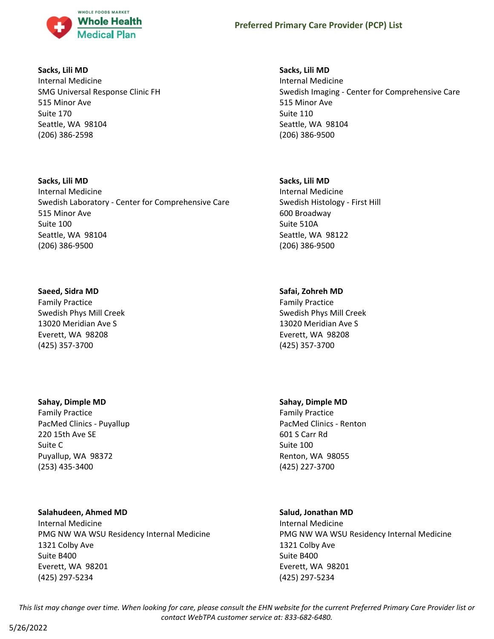

### **Sacks, Lili MD**

Internal Medicine SMG Universal Response Clinic FH 515 Minor Ave Suite 170 Seattle, WA 98104 (206) 386-2598

# **Sacks, Lili MD** Internal Medicine Swedish Laboratory - Center for Comprehensive Care 515 Minor Ave Suite 100 Seattle, WA 98104 (206) 386-9500

### **Saeed, Sidra MD**

Family Practice Swedish Phys Mill Creek 13020 Meridian Ave S Everett, WA 98208 (425) 357-3700

# **Sahay, Dimple MD**

Family Practice PacMed Clinics - Puyallup 220 15th Ave SE Suite C Puyallup, WA 98372 (253) 435-3400

# **Salahudeen, Ahmed MD**

Internal Medicine PMG NW WA WSU Residency Internal Medicine 1321 Colby Ave Suite B400 Everett, WA 98201 (425) 297-5234

### **Sacks, Lili MD**

Internal Medicine Swedish Imaging - Center for Comprehensive Care 515 Minor Ave Suite 110 Seattle, WA 98104 (206) 386-9500

### **Sacks, Lili MD**

Internal Medicine Swedish Histology - First Hill 600 Broadway Suite 510A Seattle, WA 98122 (206) 386-9500

# **Safai, Zohreh MD**

Family Practice Swedish Phys Mill Creek 13020 Meridian Ave S Everett, WA 98208 (425) 357-3700

# **Sahay, Dimple MD**

Family Practice PacMed Clinics - Renton 601 S Carr Rd Suite 100 Renton, WA 98055 (425) 227-3700

# **Salud, Jonathan MD**

Internal Medicine PMG NW WA WSU Residency Internal Medicine 1321 Colby Ave Suite B400 Everett, WA 98201 (425) 297-5234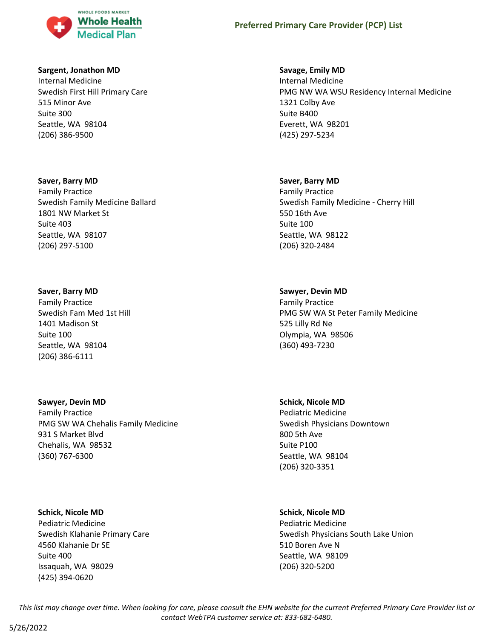

### **Sargent, Jonathon MD**

Internal Medicine Swedish First Hill Primary Care 515 Minor Ave Suite 300 Seattle, WA 98104 (206) 386-9500

#### **Saver, Barry MD**

Family Practice Swedish Family Medicine Ballard 1801 NW Market St Suite 403 Seattle, WA 98107 (206) 297-5100

#### **Saver, Barry MD**

Family Practice Swedish Fam Med 1st Hill 1401 Madison St Suite 100 Seattle, WA 98104 (206) 386-6111

**Sawyer, Devin MD** Family Practice PMG SW WA Chehalis Family Medicine 931 S Market Blvd Chehalis, WA 98532 (360) 767-6300

### **Schick, Nicole MD**

Pediatric Medicine Swedish Klahanie Primary Care 4560 Klahanie Dr SE Suite 400 Issaquah, WA 98029 (425) 394-0620

#### **Savage, Emily MD**

Internal Medicine PMG NW WA WSU Residency Internal Medicine 1321 Colby Ave Suite B400 Everett, WA 98201 (425) 297-5234

#### **Saver, Barry MD**

Family Practice Swedish Family Medicine - Cherry Hill 550 16th Ave Suite 100 Seattle, WA 98122 (206) 320-2484

#### **Sawyer, Devin MD**

Family Practice PMG SW WA St Peter Family Medicine 525 Lilly Rd Ne Olympia, WA 98506 (360) 493-7230

**Schick, Nicole MD**

Pediatric Medicine Swedish Physicians Downtown 800 5th Ave Suite P100 Seattle, WA 98104 (206) 320-3351

#### **Schick, Nicole MD**

Pediatric Medicine Swedish Physicians South Lake Union 510 Boren Ave N Seattle, WA 98109 (206) 320-5200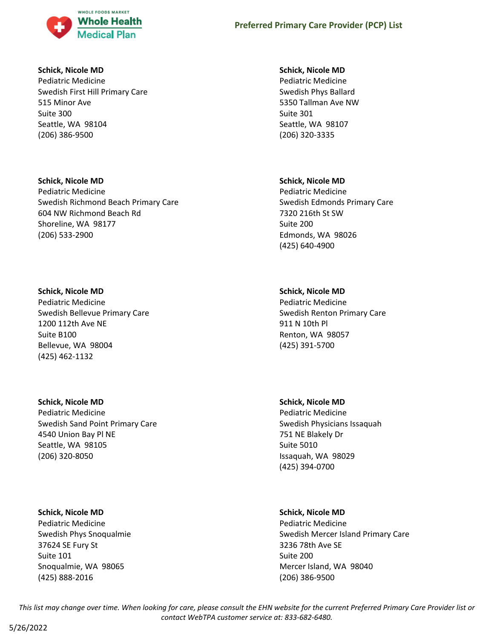

### **Schick, Nicole MD**

Pediatric Medicine Swedish First Hill Primary Care 515 Minor Ave Suite 300 Seattle, WA 98104 (206) 386-9500

# **Schick, Nicole MD**

Pediatric Medicine Swedish Richmond Beach Primary Care 604 NW Richmond Beach Rd Shoreline, WA 98177 (206) 533-2900

# **Schick, Nicole MD**

Pediatric Medicine Swedish Bellevue Primary Care 1200 112th Ave NE Suite B100 Bellevue, WA 98004 (425) 462-1132

# **Schick, Nicole MD**

Pediatric Medicine Swedish Sand Point Primary Care 4540 Union Bay Pl NE Seattle, WA 98105 (206) 320-8050

# **Schick, Nicole MD**

Pediatric Medicine Swedish Phys Snoqualmie 37624 SE Fury St Suite 101 Snoqualmie, WA 98065 (425) 888-2016

# **Schick, Nicole MD**

Pediatric Medicine Swedish Phys Ballard 5350 Tallman Ave NW Suite 301 Seattle, WA 98107 (206) 320-3335

# **Schick, Nicole MD**

Pediatric Medicine Swedish Edmonds Primary Care 7320 216th St SW Suite 200 Edmonds, WA 98026 (425) 640-4900

# **Schick, Nicole MD**

Pediatric Medicine Swedish Renton Primary Care 911 N 10th Pl Renton, WA 98057 (425) 391-5700

# **Schick, Nicole MD**

Pediatric Medicine Swedish Physicians Issaquah 751 NE Blakely Dr Suite 5010 Issaquah, WA 98029 (425) 394-0700

# **Schick, Nicole MD**

Pediatric Medicine Swedish Mercer Island Primary Care 3236 78th Ave SE Suite 200 Mercer Island, WA 98040 (206) 386-9500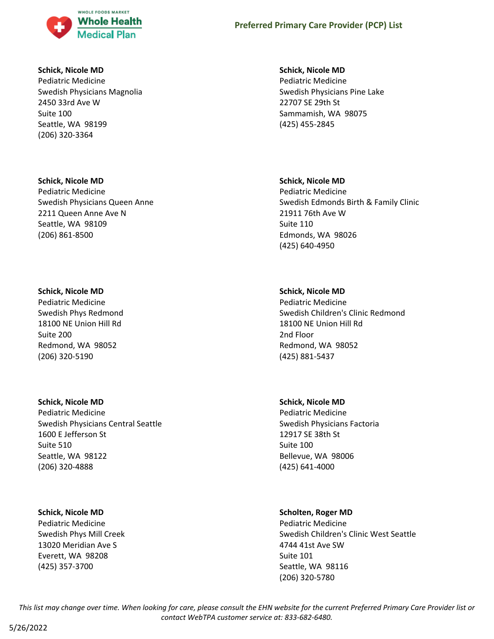

### **Schick, Nicole MD**

Pediatric Medicine Swedish Physicians Magnolia 2450 33rd Ave W Suite 100 Seattle, WA 98199 (206) 320-3364

#### **Schick, Nicole MD**

Pediatric Medicine Swedish Physicians Queen Anne 2211 Queen Anne Ave N Seattle, WA 98109 (206) 861-8500

### **Schick, Nicole MD**

Pediatric Medicine Swedish Phys Redmond 18100 NE Union Hill Rd Suite 200 Redmond, WA 98052 (206) 320-5190

### **Schick, Nicole MD**

Pediatric Medicine Swedish Physicians Central Seattle 1600 E Jefferson St Suite 510 Seattle, WA 98122 (206) 320-4888

### **Schick, Nicole MD**

Pediatric Medicine Swedish Phys Mill Creek 13020 Meridian Ave S Everett, WA 98208 (425) 357-3700

### **Schick, Nicole MD**

Pediatric Medicine Swedish Physicians Pine Lake 22707 SE 29th St Sammamish, WA 98075 (425) 455-2845

### **Schick, Nicole MD**

Pediatric Medicine Swedish Edmonds Birth & Family Clinic 21911 76th Ave W Suite 110 Edmonds, WA 98026 (425) 640-4950

### **Schick, Nicole MD**

Pediatric Medicine Swedish Children's Clinic Redmond 18100 NE Union Hill Rd 2nd Floor Redmond, WA 98052 (425) 881-5437

### **Schick, Nicole MD**

Pediatric Medicine Swedish Physicians Factoria 12917 SE 38th St Suite 100 Bellevue, WA 98006 (425) 641-4000

### **Scholten, Roger MD**

Pediatric Medicine Swedish Children's Clinic West Seattle 4744 41st Ave SW Suite 101 Seattle, WA 98116 (206) 320-5780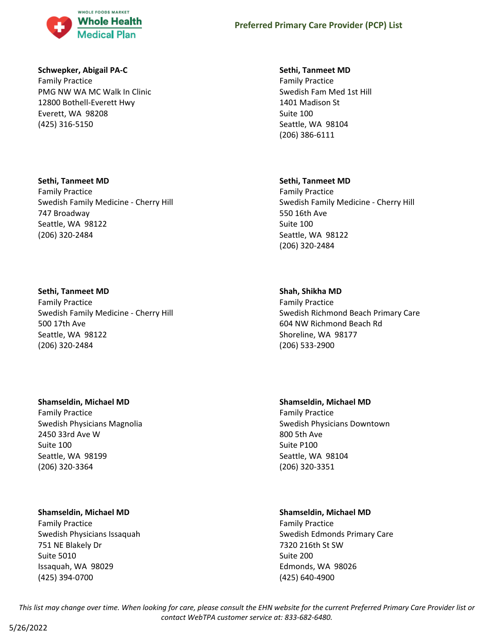

### **Schwepker, Abigail PA-C**

Family Practice PMG NW WA MC Walk In Clinic 12800 Bothell-Everett Hwy Everett, WA 98208 (425) 316-5150

### **Sethi, Tanmeet MD**

Family Practice Swedish Family Medicine - Cherry Hill 747 Broadway Seattle, WA 98122 (206) 320-2484

#### **Sethi, Tanmeet MD**

Family Practice Swedish Family Medicine - Cherry Hill 500 17th Ave Seattle, WA 98122 (206) 320-2484

### **Shamseldin, Michael MD**

Family Practice Swedish Physicians Magnolia 2450 33rd Ave W Suite 100 Seattle, WA 98199 (206) 320-3364

### **Shamseldin, Michael MD**

Family Practice Swedish Physicians Issaquah 751 NE Blakely Dr Suite 5010 Issaquah, WA 98029 (425) 394-0700

### **Sethi, Tanmeet MD**

Family Practice Swedish Fam Med 1st Hill 1401 Madison St Suite 100 Seattle, WA 98104 (206) 386-6111

#### **Sethi, Tanmeet MD**

Family Practice Swedish Family Medicine - Cherry Hill 550 16th Ave Suite 100 Seattle, WA 98122 (206) 320-2484

### **Shah, Shikha MD**

Family Practice Swedish Richmond Beach Primary Care 604 NW Richmond Beach Rd Shoreline, WA 98177 (206) 533-2900

# **Shamseldin, Michael MD**

Family Practice Swedish Physicians Downtown 800 5th Ave Suite P100 Seattle, WA 98104 (206) 320-3351

# **Shamseldin, Michael MD**

Family Practice Swedish Edmonds Primary Care 7320 216th St SW Suite 200 Edmonds, WA 98026 (425) 640-4900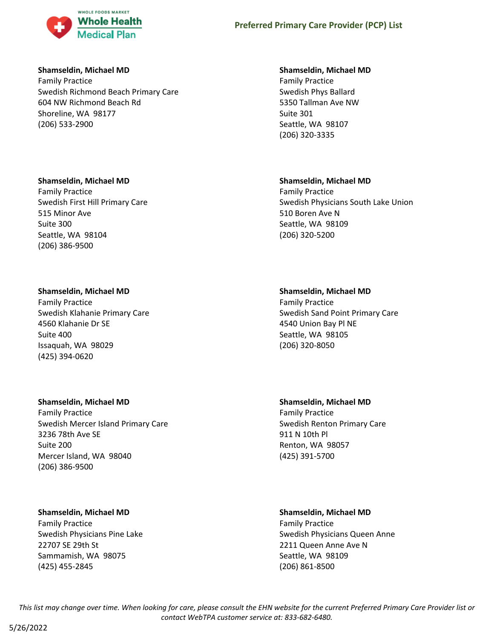

### **Shamseldin, Michael MD**

Family Practice Swedish Richmond Beach Primary Care 604 NW Richmond Beach Rd Shoreline, WA 98177 (206) 533-2900

### **Shamseldin, Michael MD**

Family Practice Swedish First Hill Primary Care 515 Minor Ave Suite 300 Seattle, WA 98104 (206) 386-9500

### **Shamseldin, Michael MD**

Family Practice Swedish Klahanie Primary Care 4560 Klahanie Dr SE Suite 400 Issaquah, WA 98029 (425) 394-0620

# **Shamseldin, Michael MD**

Family Practice Swedish Mercer Island Primary Care 3236 78th Ave SE Suite 200 Mercer Island, WA 98040 (206) 386-9500

# **Shamseldin, Michael MD**

Family Practice Swedish Physicians Pine Lake 22707 SE 29th St Sammamish, WA 98075 (425) 455-2845

### **Shamseldin, Michael MD**

Family Practice Swedish Phys Ballard 5350 Tallman Ave NW Suite 301 Seattle, WA 98107 (206) 320-3335

### **Shamseldin, Michael MD**

Family Practice Swedish Physicians South Lake Union 510 Boren Ave N Seattle, WA 98109 (206) 320-5200

# **Shamseldin, Michael MD**

Family Practice Swedish Sand Point Primary Care 4540 Union Bay Pl NE Seattle, WA 98105 (206) 320-8050

**Shamseldin, Michael MD** Family Practice Swedish Renton Primary Care 911 N 10th Pl Renton, WA 98057 (425) 391-5700

# **Shamseldin, Michael MD**

Family Practice Swedish Physicians Queen Anne 2211 Queen Anne Ave N Seattle, WA 98109 (206) 861-8500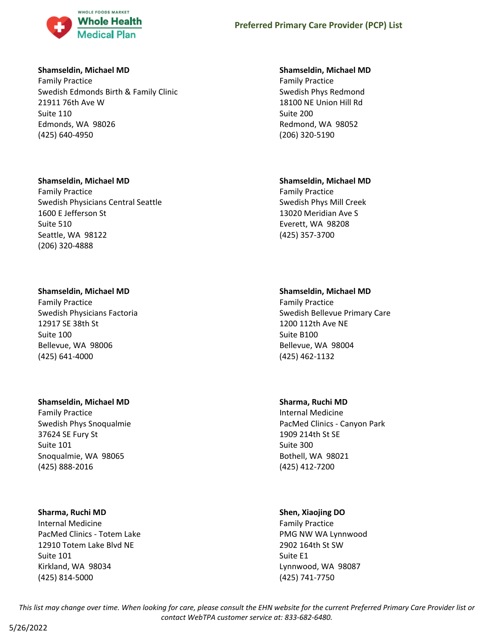

### **Shamseldin, Michael MD**

Family Practice Swedish Edmonds Birth & Family Clinic 21911 76th Ave W Suite 110 Edmonds, WA 98026 (425) 640-4950

### **Shamseldin, Michael MD**

Family Practice Swedish Physicians Central Seattle 1600 E Jefferson St Suite 510 Seattle, WA 98122 (206) 320-4888

### **Shamseldin, Michael MD**

Family Practice Swedish Physicians Factoria 12917 SE 38th St Suite 100 Bellevue, WA 98006 (425) 641-4000

### **Shamseldin, Michael MD**

Family Practice Swedish Phys Snoqualmie 37624 SE Fury St Suite 101 Snoqualmie, WA 98065 (425) 888-2016

# **Sharma, Ruchi MD**

Internal Medicine PacMed Clinics - Totem Lake 12910 Totem Lake Blvd NE Suite 101 Kirkland, WA 98034 (425) 814-5000

### **Shamseldin, Michael MD**

Family Practice Swedish Phys Redmond 18100 NE Union Hill Rd Suite 200 Redmond, WA 98052 (206) 320-5190

### **Shamseldin, Michael MD**

Family Practice Swedish Phys Mill Creek 13020 Meridian Ave S Everett, WA 98208 (425) 357-3700

# **Shamseldin, Michael MD**

Family Practice Swedish Bellevue Primary Care 1200 112th Ave NE Suite B100 Bellevue, WA 98004 (425) 462-1132

# **Sharma, Ruchi MD**

Internal Medicine PacMed Clinics - Canyon Park 1909 214th St SE Suite 300 Bothell, WA 98021 (425) 412-7200

# **Shen, Xiaojing DO**

Family Practice PMG NW WA Lynnwood 2902 164th St SW Suite E1 Lynnwood, WA 98087 (425) 741-7750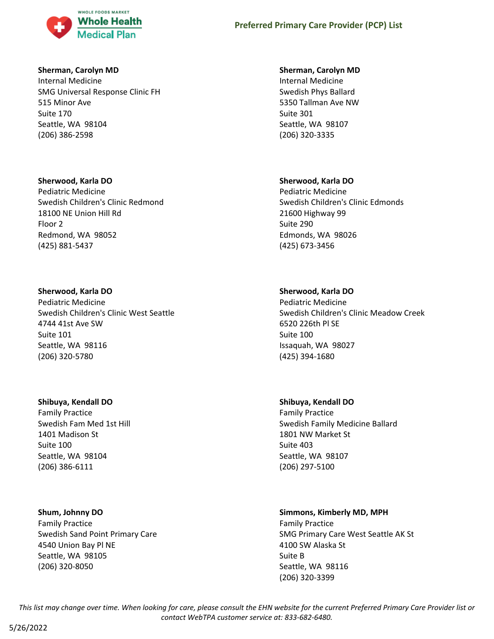

### **Sherman, Carolyn MD**

Internal Medicine SMG Universal Response Clinic FH 515 Minor Ave Suite 170 Seattle, WA 98104 (206) 386-2598

### **Sherwood, Karla DO**

Pediatric Medicine Swedish Children's Clinic Redmond 18100 NE Union Hill Rd Floor 2 Redmond, WA 98052 (425) 881-5437

# **Sherwood, Karla DO**

Pediatric Medicine Swedish Children's Clinic West Seattle 4744 41st Ave SW Suite 101 Seattle, WA 98116 (206) 320-5780

# **Shibuya, Kendall DO**

Family Practice Swedish Fam Med 1st Hill 1401 Madison St Suite 100 Seattle, WA 98104 (206) 386-6111

# **Shum, Johnny DO**

Family Practice Swedish Sand Point Primary Care 4540 Union Bay Pl NE Seattle, WA 98105 (206) 320-8050

### **Sherman, Carolyn MD**

Internal Medicine Swedish Phys Ballard 5350 Tallman Ave NW Suite 301 Seattle, WA 98107 (206) 320-3335

# **Sherwood, Karla DO**

Pediatric Medicine Swedish Children's Clinic Edmonds 21600 Highway 99 Suite 290 Edmonds, WA 98026 (425) 673-3456

# **Sherwood, Karla DO**

Pediatric Medicine Swedish Children's Clinic Meadow Creek 6520 226th Pl SE Suite 100 Issaquah, WA 98027 (425) 394-1680

# **Shibuya, Kendall DO**

Family Practice Swedish Family Medicine Ballard 1801 NW Market St Suite 403 Seattle, WA 98107 (206) 297-5100

# **Simmons, Kimberly MD, MPH**

Family Practice SMG Primary Care West Seattle AK St 4100 SW Alaska St Suite B Seattle, WA 98116 (206) 320-3399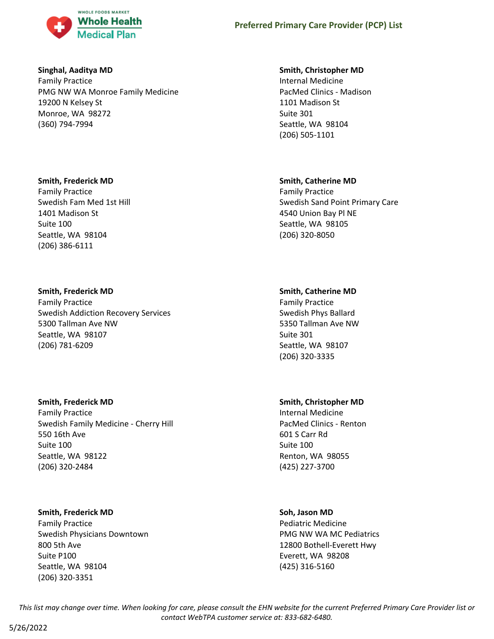

### **Singhal, Aaditya MD**

Family Practice PMG NW WA Monroe Family Medicine 19200 N Kelsey St Monroe, WA 98272 (360) 794-7994

### **Smith, Frederick MD**

Family Practice Swedish Fam Med 1st Hill 1401 Madison St Suite 100 Seattle, WA 98104 (206) 386-6111

# **Smith, Frederick MD**

Family Practice Swedish Addiction Recovery Services 5300 Tallman Ave NW Seattle, WA 98107 (206) 781-6209

### **Smith, Frederick MD**

Family Practice Swedish Family Medicine - Cherry Hill 550 16th Ave Suite 100 Seattle, WA 98122 (206) 320-2484

### **Smith, Frederick MD**

Family Practice Swedish Physicians Downtown 800 5th Ave Suite P100 Seattle, WA 98104 (206) 320-3351

### **Smith, Christopher MD**

Internal Medicine PacMed Clinics - Madison 1101 Madison St Suite 301 Seattle, WA 98104 (206) 505-1101

### **Smith, Catherine MD**

Family Practice Swedish Sand Point Primary Care 4540 Union Bay Pl NE Seattle, WA 98105 (206) 320-8050

# **Smith, Catherine MD**

Family Practice Swedish Phys Ballard 5350 Tallman Ave NW Suite 301 Seattle, WA 98107 (206) 320-3335

# **Smith, Christopher MD**

Internal Medicine PacMed Clinics - Renton 601 S Carr Rd Suite 100 Renton, WA 98055 (425) 227-3700

# **Soh, Jason MD**

Pediatric Medicine PMG NW WA MC Pediatrics 12800 Bothell-Everett Hwy Everett, WA 98208 (425) 316-5160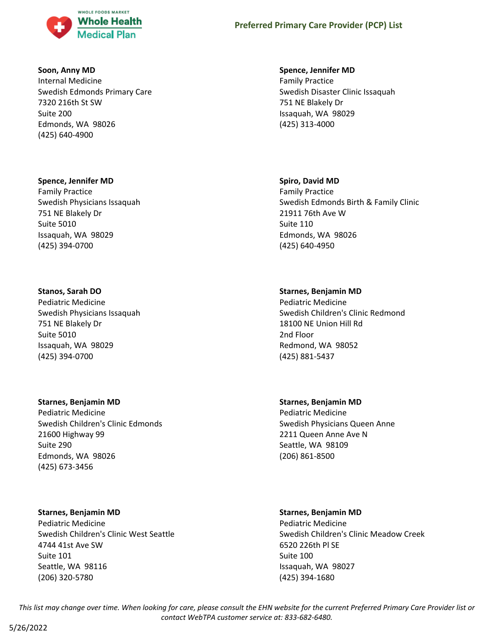

### **Soon, Anny MD**

Internal Medicine Swedish Edmonds Primary Care 7320 216th St SW Suite 200 Edmonds, WA 98026 (425) 640-4900

#### **Spence, Jennifer MD**

Family Practice Swedish Physicians Issaquah 751 NE Blakely Dr Suite 5010 Issaquah, WA 98029 (425) 394-0700

### **Stanos, Sarah DO**

Pediatric Medicine Swedish Physicians Issaquah 751 NE Blakely Dr Suite 5010 Issaquah, WA 98029 (425) 394-0700

#### **Starnes, Benjamin MD**

Pediatric Medicine Swedish Children's Clinic Edmonds 21600 Highway 99 Suite 290 Edmonds, WA 98026 (425) 673-3456

### **Starnes, Benjamin MD**

Pediatric Medicine Swedish Children's Clinic West Seattle 4744 41st Ave SW Suite 101 Seattle, WA 98116 (206) 320-5780

#### **Spence, Jennifer MD**

Family Practice Swedish Disaster Clinic Issaquah 751 NE Blakely Dr Issaquah, WA 98029 (425) 313-4000

#### **Spiro, David MD**

Family Practice Swedish Edmonds Birth & Family Clinic 21911 76th Ave W Suite 110 Edmonds, WA 98026 (425) 640-4950

#### **Starnes, Benjamin MD**

Pediatric Medicine Swedish Children's Clinic Redmond 18100 NE Union Hill Rd 2nd Floor Redmond, WA 98052 (425) 881-5437

#### **Starnes, Benjamin MD**

Pediatric Medicine Swedish Physicians Queen Anne 2211 Queen Anne Ave N Seattle, WA 98109 (206) 861-8500

#### **Starnes, Benjamin MD**

Pediatric Medicine Swedish Children's Clinic Meadow Creek 6520 226th Pl SE Suite 100 Issaquah, WA 98027 (425) 394-1680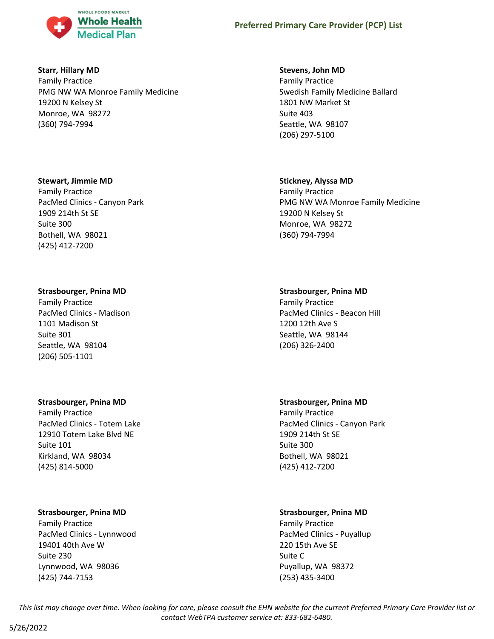

### **Starr, Hillary MD**

Family Practice PMG NW WA Monroe Family Medicine 19200 N Kelsey St Monroe, WA 98272 (360) 794-7994

### **Stewart, Jimmie MD**

Family Practice PacMed Clinics - Canyon Park 1909 214th St SE Suite 300 Bothell, WA 98021 (425) 412-7200

### **Strasbourger, Pnina MD**

Family Practice PacMed Clinics - Madison 1101 Madison St Suite 301 Seattle, WA 98104 (206) 505-1101

### **Strasbourger, Pnina MD**

Family Practice PacMed Clinics - Totem Lake 12910 Totem Lake Blvd NE Suite 101 Kirkland, WA 98034 (425) 814-5000

# **Strasbourger, Pnina MD**

Family Practice PacMed Clinics - Lynnwood 19401 40th Ave W Suite 230 Lynnwood, WA 98036 (425) 744-7153

# **Stevens, John MD**

Family Practice Swedish Family Medicine Ballard 1801 NW Market St Suite 403 Seattle, WA 98107 (206) 297-5100

### **Stickney, Alyssa MD**

Family Practice PMG NW WA Monroe Family Medicine 19200 N Kelsey St Monroe, WA 98272 (360) 794-7994

# **Strasbourger, Pnina MD**

Family Practice PacMed Clinics - Beacon Hill 1200 12th Ave S Seattle, WA 98144 (206) 326-2400

# **Strasbourger, Pnina MD**

Family Practice PacMed Clinics - Canyon Park 1909 214th St SE Suite 300 Bothell, WA 98021 (425) 412-7200

# **Strasbourger, Pnina MD**

Family Practice PacMed Clinics - Puyallup 220 15th Ave SE Suite C Puyallup, WA 98372 (253) 435-3400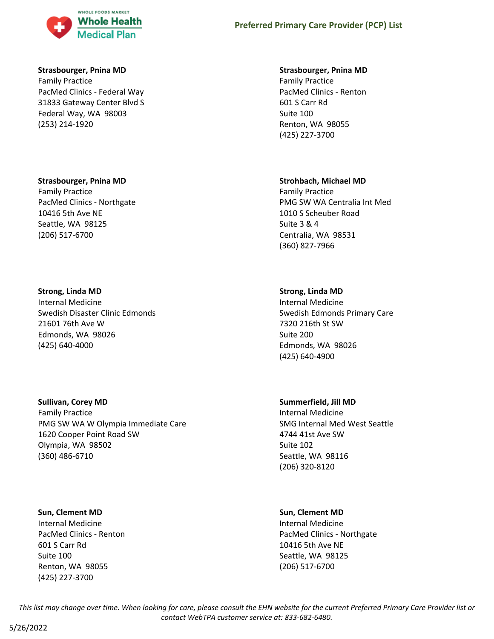

# **Strasbourger, Pnina MD**

Family Practice PacMed Clinics - Federal Way 31833 Gateway Center Blvd S Federal Way, WA 98003 (253) 214-1920

### **Strasbourger, Pnina MD**

Family Practice PacMed Clinics - Northgate 10416 5th Ave NE Seattle, WA 98125 (206) 517-6700

# **Strong, Linda MD**

Internal Medicine Swedish Disaster Clinic Edmonds 21601 76th Ave W Edmonds, WA 98026 (425) 640-4000

# **Sullivan, Corey MD**

Family Practice PMG SW WA W Olympia Immediate Care 1620 Cooper Point Road SW Olympia, WA 98502 (360) 486-6710

# **Sun, Clement MD**

Internal Medicine PacMed Clinics - Renton 601 S Carr Rd Suite 100 Renton, WA 98055 (425) 227-3700

# **Preferred Primary Care Provider (PCP) List**

# **Strasbourger, Pnina MD**

Family Practice PacMed Clinics - Renton 601 S Carr Rd Suite 100 Renton, WA 98055 (425) 227-3700

# **Strohbach, Michael MD**

Family Practice PMG SW WA Centralia Int Med 1010 S Scheuber Road Suite 3 & 4 Centralia, WA 98531 (360) 827-7966

# **Strong, Linda MD**

Internal Medicine Swedish Edmonds Primary Care 7320 216th St SW Suite 200 Edmonds, WA 98026 (425) 640-4900

# **Summerfield, Jill MD**

Internal Medicine SMG Internal Med West Seattle 4744 41st Ave SW Suite 102 Seattle, WA 98116 (206) 320-8120

# **Sun, Clement MD**

Internal Medicine PacMed Clinics - Northgate 10416 5th Ave NE Seattle, WA 98125 (206) 517-6700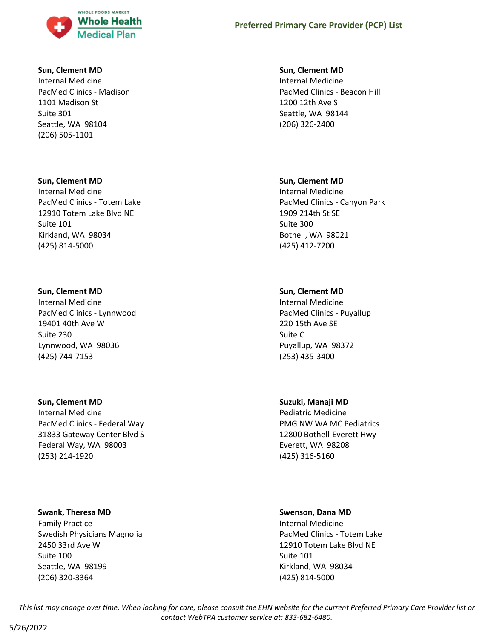

#### **Sun, Clement MD**

Internal Medicine PacMed Clinics - Madison 1101 Madison St Suite 301 Seattle, WA 98104 (206) 505-1101

#### **Sun, Clement MD**

Internal Medicine PacMed Clinics - Totem Lake 12910 Totem Lake Blvd NE Suite 101 Kirkland, WA 98034 (425) 814-5000

#### **Sun, Clement MD**

Internal Medicine PacMed Clinics - Lynnwood 19401 40th Ave W Suite 230 Lynnwood, WA 98036 (425) 744-7153

#### **Sun, Clement MD**

Internal Medicine PacMed Clinics - Federal Way 31833 Gateway Center Blvd S Federal Way, WA 98003 (253) 214-1920

#### **Swank, Theresa MD**

Family Practice Swedish Physicians Magnolia 2450 33rd Ave W Suite 100 Seattle, WA 98199 (206) 320-3364

### **Sun, Clement MD**

Internal Medicine PacMed Clinics - Beacon Hill 1200 12th Ave S Seattle, WA 98144 (206) 326-2400

#### **Sun, Clement MD**

Internal Medicine PacMed Clinics - Canyon Park 1909 214th St SE Suite 300 Bothell, WA 98021 (425) 412-7200

#### **Sun, Clement MD**

Internal Medicine PacMed Clinics - Puyallup 220 15th Ave SE Suite C Puyallup, WA 98372 (253) 435-3400

#### **Suzuki, Manaji MD**

Pediatric Medicine PMG NW WA MC Pediatrics 12800 Bothell-Everett Hwy Everett, WA 98208 (425) 316-5160

#### **Swenson, Dana MD**

Internal Medicine PacMed Clinics - Totem Lake 12910 Totem Lake Blvd NE Suite 101 Kirkland, WA 98034 (425) 814-5000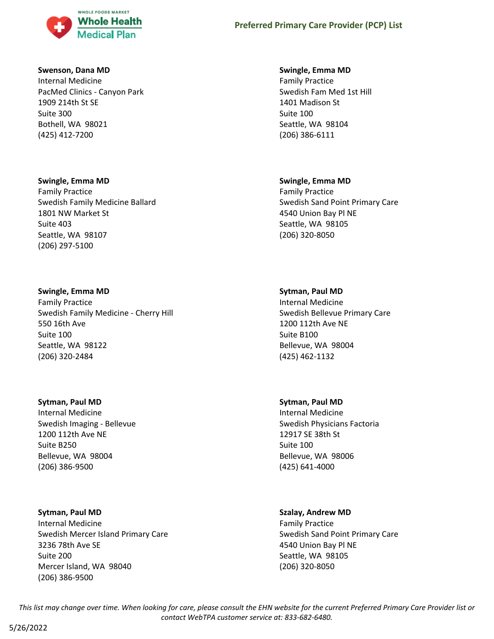

#### **Swenson, Dana MD**

Internal Medicine PacMed Clinics - Canyon Park 1909 214th St SE Suite 300 Bothell, WA 98021 (425) 412-7200

#### **Swingle, Emma MD**

Family Practice Swedish Family Medicine Ballard 1801 NW Market St Suite 403 Seattle, WA 98107 (206) 297-5100

#### **Swingle, Emma MD**

Family Practice Swedish Family Medicine - Cherry Hill 550 16th Ave Suite 100 Seattle, WA 98122 (206) 320-2484

#### **Sytman, Paul MD**

Internal Medicine Swedish Imaging - Bellevue 1200 112th Ave NE Suite B250 Bellevue, WA 98004 (206) 386-9500

### **Sytman, Paul MD**

Internal Medicine Swedish Mercer Island Primary Care 3236 78th Ave SE Suite 200 Mercer Island, WA 98040 (206) 386-9500

#### **Swingle, Emma MD**

Family Practice Swedish Fam Med 1st Hill 1401 Madison St Suite 100 Seattle, WA 98104 (206) 386-6111

### **Swingle, Emma MD**

Family Practice Swedish Sand Point Primary Care 4540 Union Bay Pl NE Seattle, WA 98105 (206) 320-8050

#### **Sytman, Paul MD**

Internal Medicine Swedish Bellevue Primary Care 1200 112th Ave NE Suite B100 Bellevue, WA 98004 (425) 462-1132

#### **Sytman, Paul MD**

Internal Medicine Swedish Physicians Factoria 12917 SE 38th St Suite 100 Bellevue, WA 98006 (425) 641-4000

### **Szalay, Andrew MD**

Family Practice Swedish Sand Point Primary Care 4540 Union Bay Pl NE Seattle, WA 98105 (206) 320-8050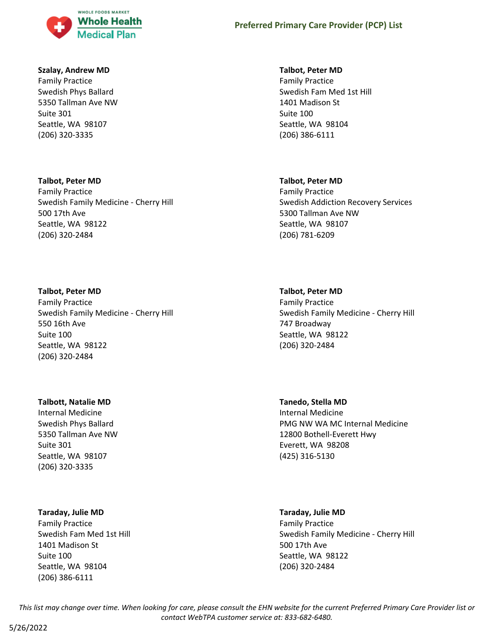

### **Szalay, Andrew MD**

Family Practice Swedish Phys Ballard 5350 Tallman Ave NW Suite 301 Seattle, WA 98107 (206) 320-3335

# **Talbot, Peter MD** Family Practice Swedish Family Medicine - Cherry Hill 500 17th Ave Seattle, WA 98122 (206) 320-2484

### **Talbot, Peter MD**

Family Practice Swedish Family Medicine - Cherry Hill 550 16th Ave Suite 100 Seattle, WA 98122 (206) 320-2484

### **Talbott, Natalie MD**

Internal Medicine Swedish Phys Ballard 5350 Tallman Ave NW Suite 301 Seattle, WA 98107 (206) 320-3335

### **Taraday, Julie MD**

Family Practice Swedish Fam Med 1st Hill 1401 Madison St Suite 100 Seattle, WA 98104 (206) 386-6111

### **Talbot, Peter MD**

Family Practice Swedish Fam Med 1st Hill 1401 Madison St Suite 100 Seattle, WA 98104 (206) 386-6111

### **Talbot, Peter MD**

Family Practice Swedish Addiction Recovery Services 5300 Tallman Ave NW Seattle, WA 98107 (206) 781-6209

### **Talbot, Peter MD**

Family Practice Swedish Family Medicine - Cherry Hill 747 Broadway Seattle, WA 98122 (206) 320-2484

**Tanedo, Stella MD** Internal Medicine PMG NW WA MC Internal Medicine 12800 Bothell-Everett Hwy Everett, WA 98208 (425) 316-5130

### **Taraday, Julie MD**

Family Practice Swedish Family Medicine - Cherry Hill 500 17th Ave Seattle, WA 98122 (206) 320-2484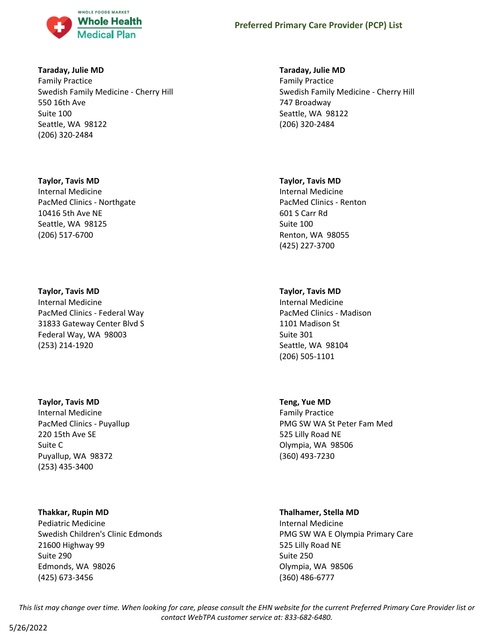

### **Taraday, Julie MD**

Family Practice Swedish Family Medicine - Cherry Hill 550 16th Ave Suite 100 Seattle, WA 98122 (206) 320-2484

### **Taylor, Tavis MD**

Internal Medicine PacMed Clinics - Northgate 10416 5th Ave NE Seattle, WA 98125 (206) 517-6700

### **Taylor, Tavis MD**

Internal Medicine PacMed Clinics - Federal Way 31833 Gateway Center Blvd S Federal Way, WA 98003 (253) 214-1920

### **Taylor, Tavis MD**

Internal Medicine PacMed Clinics - Puyallup 220 15th Ave SE Suite C Puyallup, WA 98372 (253) 435-3400

# **Thakkar, Rupin MD**

Pediatric Medicine Swedish Children's Clinic Edmonds 21600 Highway 99 Suite 290 Edmonds, WA 98026 (425) 673-3456

# **Taraday, Julie MD**

Family Practice Swedish Family Medicine - Cherry Hill 747 Broadway Seattle, WA 98122 (206) 320-2484

### **Taylor, Tavis MD**

Internal Medicine PacMed Clinics - Renton 601 S Carr Rd Suite 100 Renton, WA 98055 (425) 227-3700

# **Taylor, Tavis MD**

Internal Medicine PacMed Clinics - Madison 1101 Madison St Suite 301 Seattle, WA 98104 (206) 505-1101

# **Teng, Yue MD**

Family Practice PMG SW WA St Peter Fam Med 525 Lilly Road NE Olympia, WA 98506 (360) 493-7230

### **Thalhamer, Stella MD**

Internal Medicine PMG SW WA E Olympia Primary Care 525 Lilly Road NE Suite 250 Olympia, WA 98506 (360) 486-6777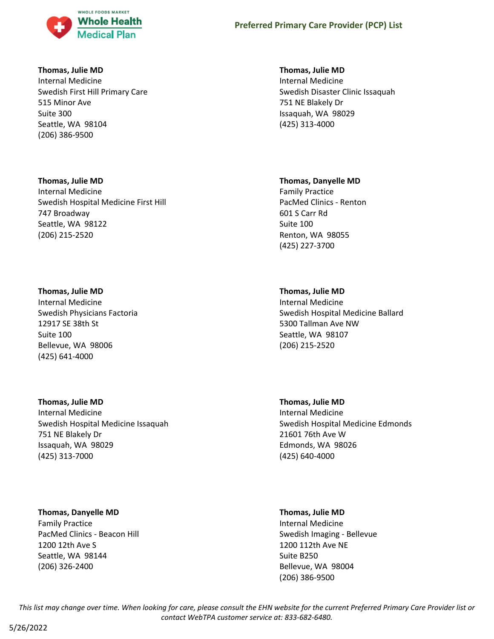

### **Thomas, Julie MD**

Internal Medicine Swedish First Hill Primary Care 515 Minor Ave Suite 300 Seattle, WA 98104 (206) 386-9500

### **Thomas, Julie MD**

Internal Medicine Swedish Hospital Medicine First Hill 747 Broadway Seattle, WA 98122 (206) 215-2520

### **Thomas, Julie MD**

Internal Medicine Swedish Physicians Factoria 12917 SE 38th St Suite 100 Bellevue, WA 98006 (425) 641-4000

# **Thomas, Julie MD**

Internal Medicine Swedish Hospital Medicine Issaquah 751 NE Blakely Dr Issaquah, WA 98029 (425) 313-7000

# **Thomas, Danyelle MD**

Family Practice PacMed Clinics - Beacon Hill 1200 12th Ave S Seattle, WA 98144 (206) 326-2400

# **Thomas, Julie MD**

Internal Medicine Swedish Disaster Clinic Issaquah 751 NE Blakely Dr Issaquah, WA 98029 (425) 313-4000

### **Thomas, Danyelle MD**

Family Practice PacMed Clinics - Renton 601 S Carr Rd Suite 100 Renton, WA 98055 (425) 227-3700

# **Thomas, Julie MD**

Internal Medicine Swedish Hospital Medicine Ballard 5300 Tallman Ave NW Seattle, WA 98107 (206) 215-2520

# **Thomas, Julie MD** Internal Medicine Swedish Hospital Medicine Edmonds 21601 76th Ave W Edmonds, WA 98026 (425) 640-4000

### **Thomas, Julie MD**

Internal Medicine Swedish Imaging - Bellevue 1200 112th Ave NE Suite B250 Bellevue, WA 98004 (206) 386-9500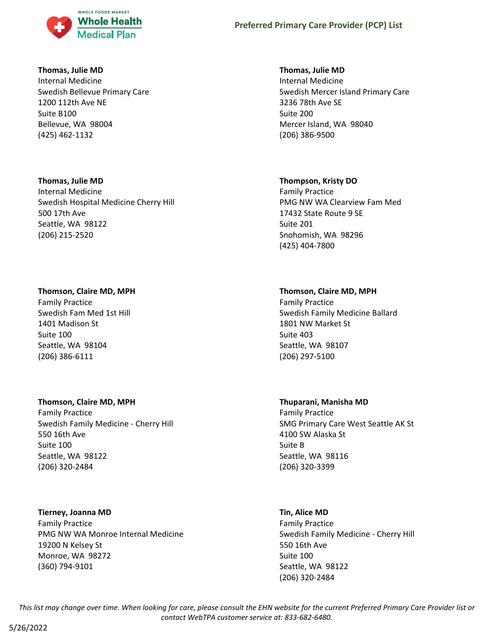

### **Thomas, Julie MD**

Internal Medicine Swedish Bellevue Primary Care 1200 112th Ave NE Suite B100 Bellevue, WA 98004 (425) 462-1132

### **Thomas, Julie MD**

Internal Medicine Swedish Hospital Medicine Cherry Hill 500 17th Ave Seattle, WA 98122 (206) 215-2520

# **Thomson, Claire MD, MPH**

Family Practice Swedish Fam Med 1st Hill 1401 Madison St Suite 100 Seattle, WA 98104 (206) 386-6111

# **Thomson, Claire MD, MPH**

Family Practice Swedish Family Medicine - Cherry Hill 550 16th Ave Suite 100 Seattle, WA 98122 (206) 320-2484

# **Tierney, Joanna MD**

Family Practice PMG NW WA Monroe Internal Medicine 19200 N Kelsey St Monroe, WA 98272 (360) 794-9101

# **Thomas, Julie MD**

Internal Medicine Swedish Mercer Island Primary Care 3236 78th Ave SE Suite 200 Mercer Island, WA 98040 (206) 386-9500

# **Thompson, Kristy DO**

Family Practice PMG NW WA Clearview Fam Med 17432 State Route 9 SE Suite 201 Snohomish, WA 98296 (425) 404-7800

# **Thomson, Claire MD, MPH**

Family Practice Swedish Family Medicine Ballard 1801 NW Market St Suite 403 Seattle, WA 98107 (206) 297-5100

# **Thuparani, Manisha MD**

Family Practice SMG Primary Care West Seattle AK St 4100 SW Alaska St Suite B Seattle, WA 98116 (206) 320-3399

# **Tin, Alice MD**

Family Practice Swedish Family Medicine - Cherry Hill 550 16th Ave Suite 100 Seattle, WA 98122 (206) 320-2484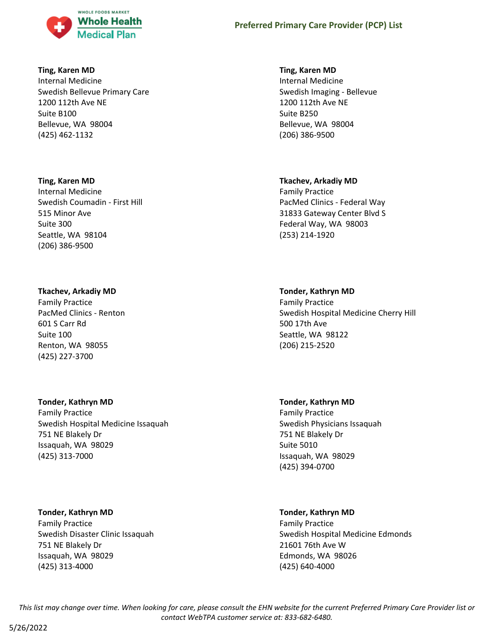

## **Ting, Karen MD**

Internal Medicine Swedish Bellevue Primary Care 1200 112th Ave NE Suite B100 Bellevue, WA 98004 (425) 462-1132

## **Ting, Karen MD**

Internal Medicine Swedish Coumadin - First Hill 515 Minor Ave Suite 300 Seattle, WA 98104 (206) 386-9500

## **Tkachev, Arkadiy MD**

Family Practice PacMed Clinics - Renton 601 S Carr Rd Suite 100 Renton, WA 98055 (425) 227-3700

## **Tonder, Kathryn MD**

Family Practice Swedish Hospital Medicine Issaquah 751 NE Blakely Dr Issaquah, WA 98029 (425) 313-7000

## **Tonder, Kathryn MD**

Family Practice Swedish Disaster Clinic Issaquah 751 NE Blakely Dr Issaquah, WA 98029 (425) 313-4000

## **Ting, Karen MD**

Internal Medicine Swedish Imaging - Bellevue 1200 112th Ave NE Suite B250 Bellevue, WA 98004 (206) 386-9500

## **Tkachev, Arkadiy MD**

Family Practice PacMed Clinics - Federal Way 31833 Gateway Center Blvd S Federal Way, WA 98003 (253) 214-1920

## **Tonder, Kathryn MD**

Family Practice Swedish Hospital Medicine Cherry Hill 500 17th Ave Seattle, WA 98122 (206) 215-2520

## **Tonder, Kathryn MD**

Family Practice Swedish Physicians Issaquah 751 NE Blakely Dr Suite 5010 Issaquah, WA 98029 (425) 394-0700

## **Tonder, Kathryn MD**

Family Practice Swedish Hospital Medicine Edmonds 21601 76th Ave W Edmonds, WA 98026 (425) 640-4000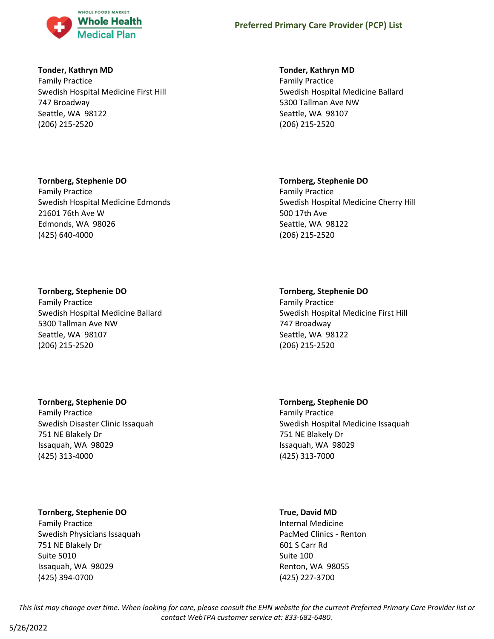

## **Tonder, Kathryn MD**

Family Practice Swedish Hospital Medicine First Hill 747 Broadway Seattle, WA 98122 (206) 215-2520

## **Tornberg, Stephenie DO**

Family Practice Swedish Hospital Medicine Edmonds 21601 76th Ave W Edmonds, WA 98026 (425) 640-4000

## **Tornberg, Stephenie DO**

Family Practice Swedish Hospital Medicine Ballard 5300 Tallman Ave NW Seattle, WA 98107 (206) 215-2520

## **Tornberg, Stephenie DO**

Family Practice Swedish Disaster Clinic Issaquah 751 NE Blakely Dr Issaquah, WA 98029 (425) 313-4000

## **Tornberg, Stephenie DO**

Family Practice Swedish Physicians Issaquah 751 NE Blakely Dr Suite 5010 Issaquah, WA 98029 (425) 394-0700

## **Tonder, Kathryn MD**

Family Practice Swedish Hospital Medicine Ballard 5300 Tallman Ave NW Seattle, WA 98107 (206) 215-2520

## **Tornberg, Stephenie DO**

Family Practice Swedish Hospital Medicine Cherry Hill 500 17th Ave Seattle, WA 98122 (206) 215-2520

## **Tornberg, Stephenie DO**

Family Practice Swedish Hospital Medicine First Hill 747 Broadway Seattle, WA 98122 (206) 215-2520

# **Tornberg, Stephenie DO**

Family Practice Swedish Hospital Medicine Issaquah 751 NE Blakely Dr Issaquah, WA 98029 (425) 313-7000

## **True, David MD**

Internal Medicine PacMed Clinics - Renton 601 S Carr Rd Suite 100 Renton, WA 98055 (425) 227-3700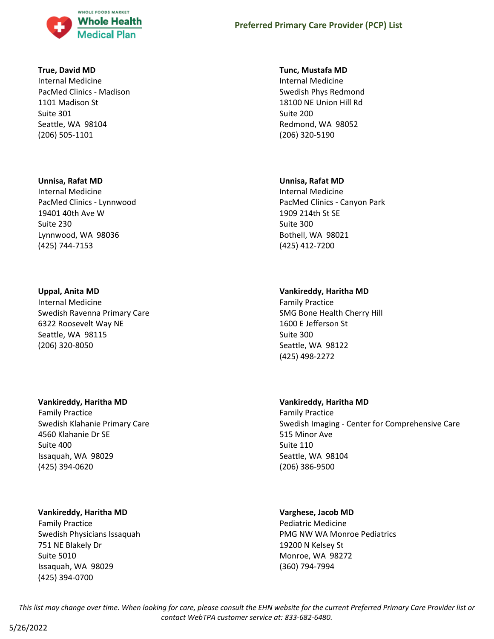

### **True, David MD**

Internal Medicine PacMed Clinics - Madison 1101 Madison St Suite 301 Seattle, WA 98104 (206) 505-1101

#### **Unnisa, Rafat MD**

Internal Medicine PacMed Clinics - Lynnwood 19401 40th Ave W Suite 230 Lynnwood, WA 98036 (425) 744-7153

#### **Uppal, Anita MD**

Internal Medicine Swedish Ravenna Primary Care 6322 Roosevelt Way NE Seattle, WA 98115 (206) 320-8050

#### **Vankireddy, Haritha MD**

Family Practice Swedish Klahanie Primary Care 4560 Klahanie Dr SE Suite 400 Issaquah, WA 98029 (425) 394-0620

## **Vankireddy, Haritha MD**

Family Practice Swedish Physicians Issaquah 751 NE Blakely Dr Suite 5010 Issaquah, WA 98029 (425) 394-0700

#### **Tunc, Mustafa MD**

Internal Medicine Swedish Phys Redmond 18100 NE Union Hill Rd Suite 200 Redmond, WA 98052 (206) 320-5190

#### **Unnisa, Rafat MD**

Internal Medicine PacMed Clinics - Canyon Park 1909 214th St SE Suite 300 Bothell, WA 98021 (425) 412-7200

## **Vankireddy, Haritha MD**

Family Practice SMG Bone Health Cherry Hill 1600 E Jefferson St Suite 300 Seattle, WA 98122 (425) 498-2272

## **Vankireddy, Haritha MD**

Family Practice Swedish Imaging - Center for Comprehensive Care 515 Minor Ave Suite 110 Seattle, WA 98104 (206) 386-9500

## **Varghese, Jacob MD**

Pediatric Medicine PMG NW WA Monroe Pediatrics 19200 N Kelsey St Monroe, WA 98272 (360) 794-7994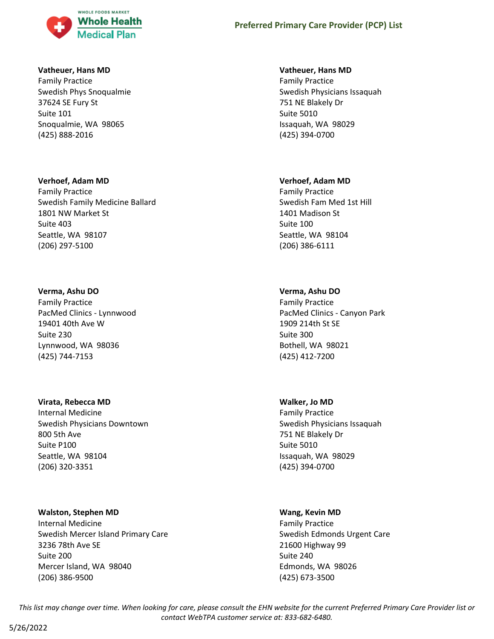

## **Vatheuer, Hans MD**

Family Practice Swedish Phys Snoqualmie 37624 SE Fury St Suite 101 Snoqualmie, WA 98065 (425) 888-2016

#### **Verhoef, Adam MD**

Family Practice Swedish Family Medicine Ballard 1801 NW Market St Suite 403 Seattle, WA 98107 (206) 297-5100

#### **Verma, Ashu DO**

Family Practice PacMed Clinics - Lynnwood 19401 40th Ave W Suite 230 Lynnwood, WA 98036 (425) 744-7153

#### **Virata, Rebecca MD**

Internal Medicine Swedish Physicians Downtown 800 5th Ave Suite P100 Seattle, WA 98104 (206) 320-3351

#### **Walston, Stephen MD**

Internal Medicine Swedish Mercer Island Primary Care 3236 78th Ave SE Suite 200 Mercer Island, WA 98040 (206) 386-9500

#### **Vatheuer, Hans MD**

Family Practice Swedish Physicians Issaquah 751 NE Blakely Dr Suite 5010 Issaquah, WA 98029 (425) 394-0700

#### **Verhoef, Adam MD**

Family Practice Swedish Fam Med 1st Hill 1401 Madison St Suite 100 Seattle, WA 98104 (206) 386-6111

## **Verma, Ashu DO**

Family Practice PacMed Clinics - Canyon Park 1909 214th St SE Suite 300 Bothell, WA 98021 (425) 412-7200

## **Walker, Jo MD**

Family Practice Swedish Physicians Issaquah 751 NE Blakely Dr Suite 5010 Issaquah, WA 98029 (425) 394-0700

#### **Wang, Kevin MD**

Family Practice Swedish Edmonds Urgent Care 21600 Highway 99 Suite 240 Edmonds, WA 98026 (425) 673-3500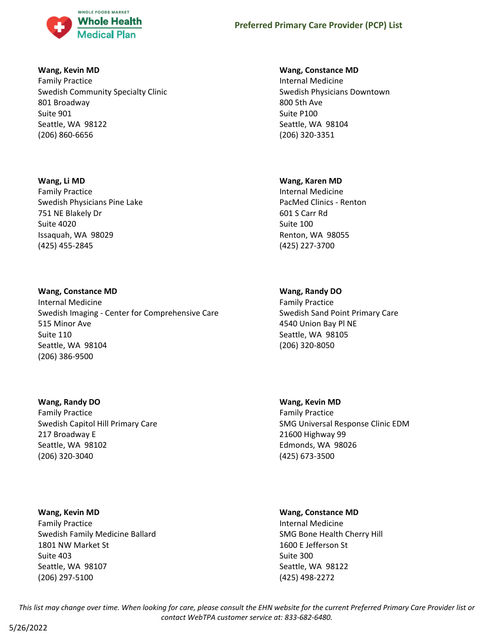

## **Wang, Kevin MD**

Family Practice Swedish Community Specialty Clinic 801 Broadway Suite 901 Seattle, WA 98122 (206) 860-6656

## **Wang, Li MD**

Family Practice Swedish Physicians Pine Lake 751 NE Blakely Dr Suite 4020 Issaquah, WA 98029 (425) 455-2845

## **Wang, Constance MD**

Internal Medicine Swedish Imaging - Center for Comprehensive Care 515 Minor Ave Suite 110 Seattle, WA 98104 (206) 386-9500

**Wang, Randy DO**

Family Practice Swedish Capitol Hill Primary Care 217 Broadway E Seattle, WA 98102 (206) 320-3040

## **Wang, Kevin MD**

Family Practice Swedish Family Medicine Ballard 1801 NW Market St Suite 403 Seattle, WA 98107 (206) 297-5100

## **Wang, Constance MD**

Internal Medicine Swedish Physicians Downtown 800 5th Ave Suite P100 Seattle, WA 98104 (206) 320-3351

## **Wang, Karen MD**

Internal Medicine PacMed Clinics - Renton 601 S Carr Rd Suite 100 Renton, WA 98055 (425) 227-3700

## **Wang, Randy DO**

Family Practice Swedish Sand Point Primary Care 4540 Union Bay Pl NE Seattle, WA 98105 (206) 320-8050

**Wang, Kevin MD** Family Practice SMG Universal Response Clinic EDM 21600 Highway 99 Edmonds, WA 98026 (425) 673-3500

## **Wang, Constance MD**

Internal Medicine SMG Bone Health Cherry Hill 1600 E Jefferson St Suite 300 Seattle, WA 98122 (425) 498-2272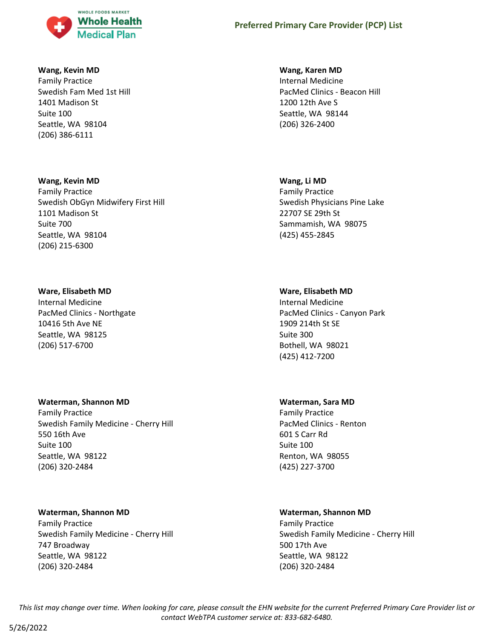

## **Wang, Kevin MD**

Family Practice Swedish Fam Med 1st Hill 1401 Madison St Suite 100 Seattle, WA 98104 (206) 386-6111

#### **Wang, Kevin MD**

Family Practice Swedish ObGyn Midwifery First Hill 1101 Madison St Suite 700 Seattle, WA 98104 (206) 215-6300

## **Ware, Elisabeth MD**

Internal Medicine PacMed Clinics - Northgate 10416 5th Ave NE Seattle, WA 98125 (206) 517-6700

## **Waterman, Shannon MD**

Family Practice Swedish Family Medicine - Cherry Hill 550 16th Ave Suite 100 Seattle, WA 98122 (206) 320-2484

## **Waterman, Shannon MD**

Family Practice Swedish Family Medicine - Cherry Hill 747 Broadway Seattle, WA 98122 (206) 320-2484

### **Wang, Karen MD**

Internal Medicine PacMed Clinics - Beacon Hill 1200 12th Ave S Seattle, WA 98144 (206) 326-2400

#### **Wang, Li MD**

Family Practice Swedish Physicians Pine Lake 22707 SE 29th St Sammamish, WA 98075 (425) 455-2845

## **Ware, Elisabeth MD**

Internal Medicine PacMed Clinics - Canyon Park 1909 214th St SE Suite 300 Bothell, WA 98021 (425) 412-7200

## **Waterman, Sara MD**

Family Practice PacMed Clinics - Renton 601 S Carr Rd Suite 100 Renton, WA 98055 (425) 227-3700

## **Waterman, Shannon MD**

Family Practice Swedish Family Medicine - Cherry Hill 500 17th Ave Seattle, WA 98122 (206) 320-2484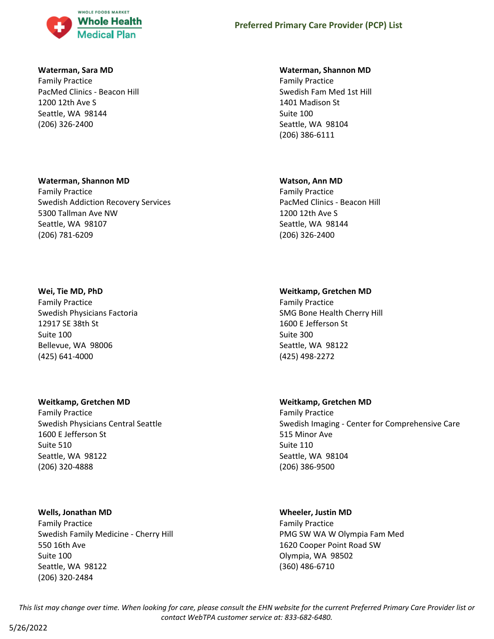

#### **Waterman, Sara MD**

Family Practice PacMed Clinics - Beacon Hill 1200 12th Ave S Seattle, WA 98144 (206) 326-2400

#### **Waterman, Shannon MD**

Family Practice Swedish Addiction Recovery Services 5300 Tallman Ave NW Seattle, WA 98107 (206) 781-6209

#### **Wei, Tie MD, PhD**

Family Practice Swedish Physicians Factoria 12917 SE 38th St Suite 100 Bellevue, WA 98006 (425) 641-4000

## **Weitkamp, Gretchen MD**

Family Practice Swedish Physicians Central Seattle 1600 E Jefferson St Suite 510 Seattle, WA 98122 (206) 320-4888

#### **Wells, Jonathan MD**

Family Practice Swedish Family Medicine - Cherry Hill 550 16th Ave Suite 100 Seattle, WA 98122 (206) 320-2484

#### **Waterman, Shannon MD**

Family Practice Swedish Fam Med 1st Hill 1401 Madison St Suite 100 Seattle, WA 98104 (206) 386-6111

#### **Watson, Ann MD**

Family Practice PacMed Clinics - Beacon Hill 1200 12th Ave S Seattle, WA 98144 (206) 326-2400

## **Weitkamp, Gretchen MD**

Family Practice SMG Bone Health Cherry Hill 1600 E Jefferson St Suite 300 Seattle, WA 98122 (425) 498-2272

## **Weitkamp, Gretchen MD**

Family Practice Swedish Imaging - Center for Comprehensive Care 515 Minor Ave Suite 110 Seattle, WA 98104 (206) 386-9500

#### **Wheeler, Justin MD**

Family Practice PMG SW WA W Olympia Fam Med 1620 Cooper Point Road SW Olympia, WA 98502 (360) 486-6710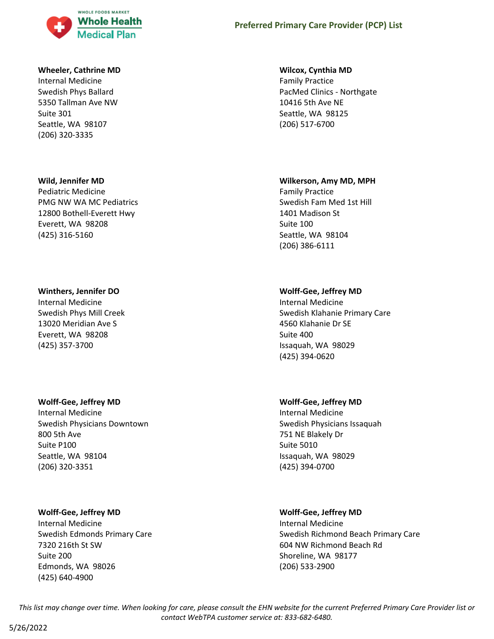

## **Wheeler, Cathrine MD**

Internal Medicine Swedish Phys Ballard 5350 Tallman Ave NW Suite 301 Seattle, WA 98107 (206) 320-3335

#### **Wild, Jennifer MD**

Pediatric Medicine PMG NW WA MC Pediatrics 12800 Bothell-Everett Hwy Everett, WA 98208 (425) 316-5160

#### **Winthers, Jennifer DO**

Internal Medicine Swedish Phys Mill Creek 13020 Meridian Ave S Everett, WA 98208 (425) 357-3700

#### **Wolff-Gee, Jeffrey MD**

Internal Medicine Swedish Physicians Downtown 800 5th Ave Suite P100 Seattle, WA 98104 (206) 320-3351

## **Wolff-Gee, Jeffrey MD**

Internal Medicine Swedish Edmonds Primary Care 7320 216th St SW Suite 200 Edmonds, WA 98026 (425) 640-4900

### **Wilcox, Cynthia MD**

Family Practice PacMed Clinics - Northgate 10416 5th Ave NE Seattle, WA 98125 (206) 517-6700

#### **Wilkerson, Amy MD, MPH**

Family Practice Swedish Fam Med 1st Hill 1401 Madison St Suite 100 Seattle, WA 98104 (206) 386-6111

## **Wolff-Gee, Jeffrey MD**

Internal Medicine Swedish Klahanie Primary Care 4560 Klahanie Dr SE Suite 400 Issaquah, WA 98029 (425) 394-0620

## **Wolff-Gee, Jeffrey MD**

Internal Medicine Swedish Physicians Issaquah 751 NE Blakely Dr Suite 5010 Issaquah, WA 98029 (425) 394-0700

## **Wolff-Gee, Jeffrey MD**

Internal Medicine Swedish Richmond Beach Primary Care 604 NW Richmond Beach Rd Shoreline, WA 98177 (206) 533-2900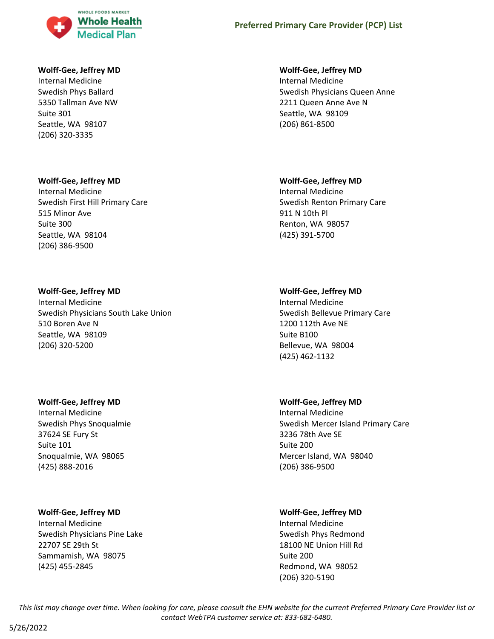

### **Wolff-Gee, Jeffrey MD**

Internal Medicine Swedish Phys Ballard 5350 Tallman Ave NW Suite 301 Seattle, WA 98107 (206) 320-3335

#### **Wolff-Gee, Jeffrey MD**

Internal Medicine Swedish First Hill Primary Care 515 Minor Ave Suite 300 Seattle, WA 98104 (206) 386-9500

#### **Wolff-Gee, Jeffrey MD**

Internal Medicine Swedish Physicians South Lake Union 510 Boren Ave N Seattle, WA 98109 (206) 320-5200

#### **Wolff-Gee, Jeffrey MD**

Internal Medicine Swedish Phys Snoqualmie 37624 SE Fury St Suite 101 Snoqualmie, WA 98065 (425) 888-2016

## **Wolff-Gee, Jeffrey MD**

Internal Medicine Swedish Physicians Pine Lake 22707 SE 29th St Sammamish, WA 98075 (425) 455-2845

### **Wolff-Gee, Jeffrey MD**

Internal Medicine Swedish Physicians Queen Anne 2211 Queen Anne Ave N Seattle, WA 98109 (206) 861-8500

#### **Wolff-Gee, Jeffrey MD**

Internal Medicine Swedish Renton Primary Care 911 N 10th Pl Renton, WA 98057 (425) 391-5700

## **Wolff-Gee, Jeffrey MD**

Internal Medicine Swedish Bellevue Primary Care 1200 112th Ave NE Suite B100 Bellevue, WA 98004 (425) 462-1132

## **Wolff-Gee, Jeffrey MD**

Internal Medicine Swedish Mercer Island Primary Care 3236 78th Ave SE Suite 200 Mercer Island, WA 98040 (206) 386-9500

## **Wolff-Gee, Jeffrey MD**

Internal Medicine Swedish Phys Redmond 18100 NE Union Hill Rd Suite 200 Redmond, WA 98052 (206) 320-5190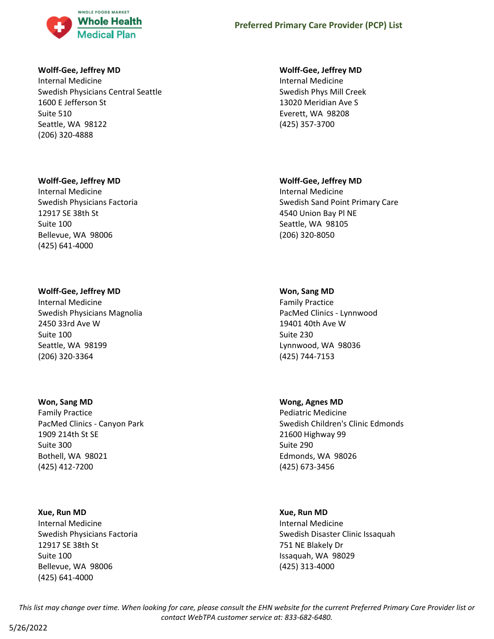

## **Wolff-Gee, Jeffrey MD**

Internal Medicine Swedish Physicians Central Seattle 1600 E Jefferson St Suite 510 Seattle, WA 98122 (206) 320-4888

## **Wolff-Gee, Jeffrey MD**

Internal Medicine Swedish Physicians Factoria 12917 SE 38th St Suite 100 Bellevue, WA 98006 (425) 641-4000

## **Wolff-Gee, Jeffrey MD**

Internal Medicine Swedish Physicians Magnolia 2450 33rd Ave W Suite 100 Seattle, WA 98199 (206) 320-3364

## **Won, Sang MD**

Family Practice PacMed Clinics - Canyon Park 1909 214th St SE Suite 300 Bothell, WA 98021 (425) 412-7200

## **Xue, Run MD**

Internal Medicine Swedish Physicians Factoria 12917 SE 38th St Suite 100 Bellevue, WA 98006 (425) 641-4000

## **Wolff-Gee, Jeffrey MD**

Internal Medicine Swedish Phys Mill Creek 13020 Meridian Ave S Everett, WA 98208 (425) 357-3700

## **Wolff-Gee, Jeffrey MD**

Internal Medicine Swedish Sand Point Primary Care 4540 Union Bay Pl NE Seattle, WA 98105 (206) 320-8050

## **Won, Sang MD**

Family Practice PacMed Clinics - Lynnwood 19401 40th Ave W Suite 230 Lynnwood, WA 98036 (425) 744-7153

## **Wong, Agnes MD**

Pediatric Medicine Swedish Children's Clinic Edmonds 21600 Highway 99 Suite 290 Edmonds, WA 98026 (425) 673-3456

## **Xue, Run MD**

Internal Medicine Swedish Disaster Clinic Issaquah 751 NE Blakely Dr Issaquah, WA 98029 (425) 313-4000